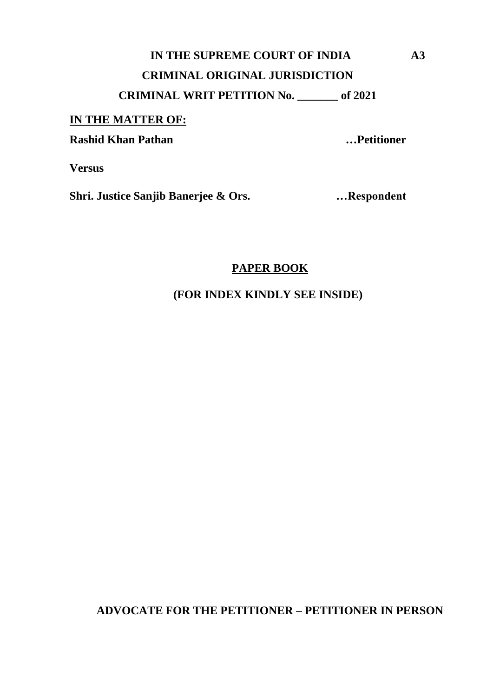# **IN THE SUPREME COURT OF INDIA A3 CRIMINAL ORIGINAL JURISDICTION CRIMINAL WRIT PETITION No. \_\_\_\_\_\_\_ of 2021**

#### **IN THE MATTER OF:**

**Rashid Khan Pathan …Petitioner**

**Versus**

**Shri. Justice Sanjib Banerjee & Ors. …Respondent**

### **PAPER BOOK**

**(FOR INDEX KINDLY SEE INSIDE)**

**ADVOCATE FOR THE PETITIONER – PETITIONER IN PERSON**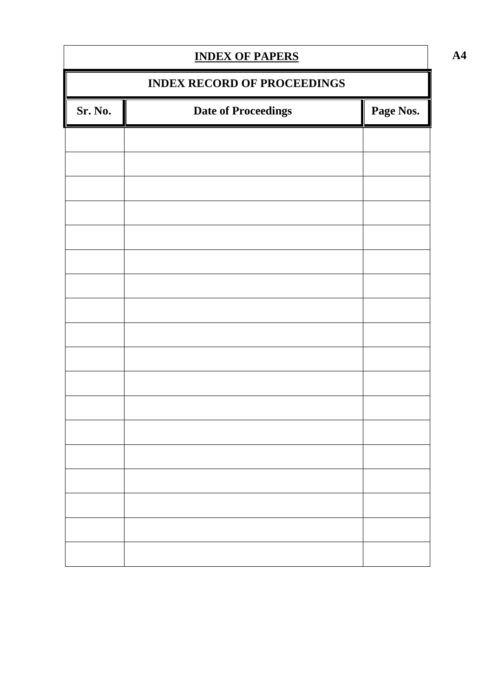| <b>INDEX OF PAPERS</b>             |                            |           |  |
|------------------------------------|----------------------------|-----------|--|
| <b>INDEX RECORD OF PROCEEDINGS</b> |                            |           |  |
| Sr. No.                            | <b>Date of Proceedings</b> | Page Nos. |  |
|                                    |                            |           |  |
|                                    |                            |           |  |
|                                    |                            |           |  |
|                                    |                            |           |  |
|                                    |                            |           |  |
|                                    |                            |           |  |
|                                    |                            |           |  |
|                                    |                            |           |  |
|                                    |                            |           |  |
|                                    |                            |           |  |
|                                    |                            |           |  |
|                                    |                            |           |  |
|                                    |                            |           |  |
|                                    |                            |           |  |
|                                    |                            |           |  |
|                                    |                            |           |  |
|                                    |                            |           |  |

**A4**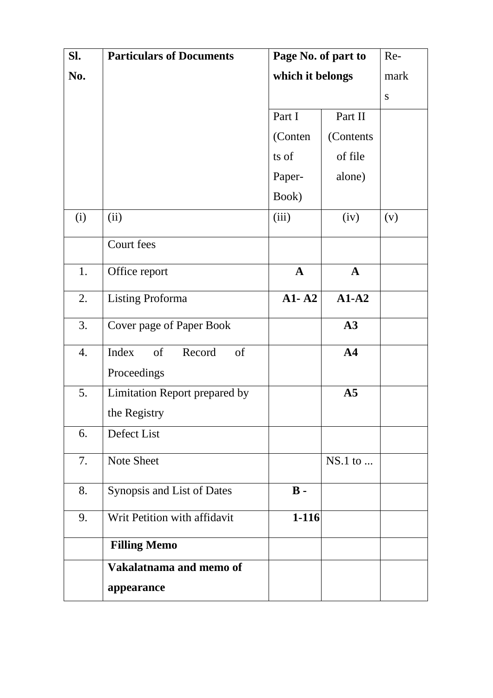| SI. | <b>Particulars of Documents</b> | Page No. of part to | Re-            |           |
|-----|---------------------------------|---------------------|----------------|-----------|
| No. |                                 | which it belongs    |                | mark      |
|     |                                 |                     |                | ${\bf S}$ |
|     |                                 | Part I              | Part II        |           |
|     |                                 | (Conten             | (Contents)     |           |
|     |                                 | ts of               | of file        |           |
|     |                                 | Paper-              | alone)         |           |
|     |                                 | Book)               |                |           |
| (i) | (ii)                            | (iii)               | (iv)           | (v)       |
|     | Court fees                      |                     |                |           |
| 1.  | Office report                   | $\mathbf{A}$        | $\mathbf A$    |           |
| 2.  | <b>Listing Proforma</b>         | $A1 - A2$           | $A1-A2$        |           |
| 3.  | Cover page of Paper Book        |                     | A3             |           |
| 4.  | Index<br>Record<br>of<br>of     |                     | A <sub>4</sub> |           |
|     | Proceedings                     |                     |                |           |
| 5.  | Limitation Report prepared by   |                     | A <sub>5</sub> |           |
|     | the Registry                    |                     |                |           |
| 6.  | Defect List                     |                     |                |           |
| 7.  | <b>Note Sheet</b>               |                     | $NS.1$ to      |           |
| 8.  | Synopsis and List of Dates      | $\mathbf{B}$ -      |                |           |
| 9.  | Writ Petition with affidavit    | $1 - 116$           |                |           |
|     | <b>Filling Memo</b>             |                     |                |           |
|     | Vakalatnama and memo of         |                     |                |           |
|     | appearance                      |                     |                |           |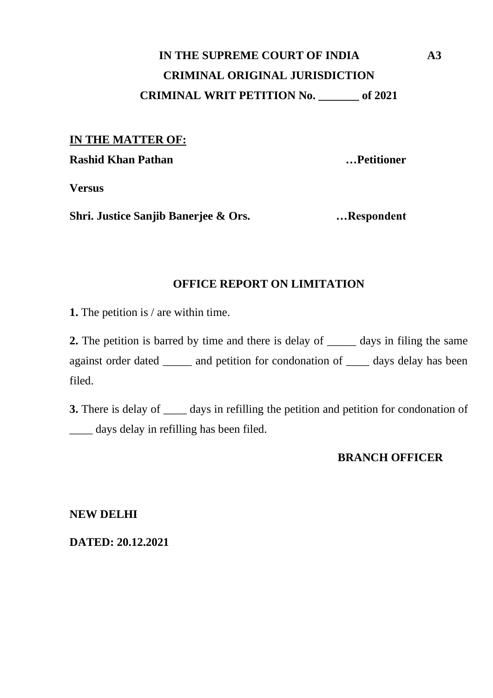# **IN THE SUPREME COURT OF INDIA A3 CRIMINAL ORIGINAL JURISDICTION CRIMINAL WRIT PETITION No. \_\_\_\_\_\_\_ of 2021**

#### **IN THE MATTER OF:**

**Rashid Khan Pathan …Petitioner**

**Versus**

**Shri. Justice Sanjib Banerjee & Ors. …Respondent**

### **OFFICE REPORT ON LIMITATION**

**1.** The petition is / are within time.

**2.** The petition is barred by time and there is delay of \_\_\_\_\_\_ days in filing the same against order dated \_\_\_\_\_ and petition for condonation of \_\_\_\_ days delay has been filed.

**3.** There is delay of  $\_\_\_\_$  days in refilling the petition and petition for condonation of \_\_\_\_ days delay in refilling has been filed.

#### **BRANCH OFFICER**

**NEW DELHI** 

**DATED: 20.12.2021**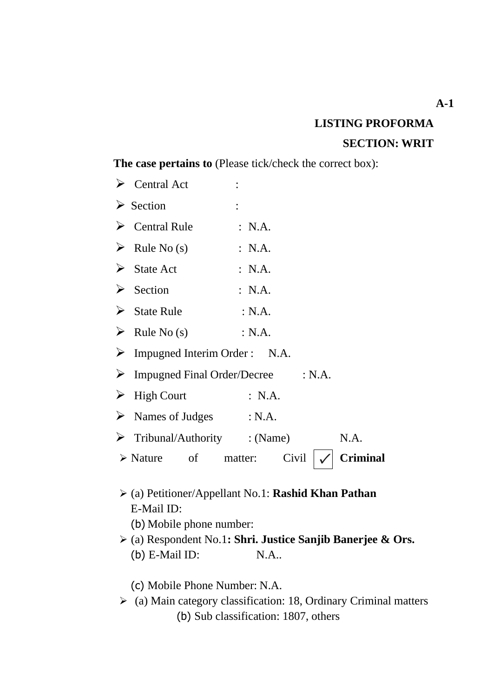# **LISTING PROFORMA SECTION: WRIT**

## **The case pertains to** (Please tick/check the correct box):

|                       | $\triangleright$ Central Act                   |                                                                           |
|-----------------------|------------------------------------------------|---------------------------------------------------------------------------|
|                       | $\triangleright$ Section                       |                                                                           |
|                       | $\triangleright$ Central Rule                  | : N.A.                                                                    |
|                       | $\triangleright$ Rule No (s)                   | : N.A.                                                                    |
|                       | $\triangleright$ State Act                     | : N.A.                                                                    |
|                       | $\triangleright$ Section                       | : N.A.                                                                    |
|                       | $\triangleright$ State Rule                    | : N.A.                                                                    |
|                       | $\triangleright$ Rule No (s) : N.A.            |                                                                           |
|                       | $\triangleright$ Impugned Interim Order : N.A. |                                                                           |
|                       | $\triangleright$ Impugned Final Order/Decree   | : N.A.                                                                    |
| $\blacktriangleright$ | <b>High Court</b>                              | $\therefore$ N.A.                                                         |
|                       | $\triangleright$ Names of Judges : N.A.        |                                                                           |
|                       | $\triangleright$ Tribunal/Authority : (Name)   | N.A.                                                                      |
|                       | $\triangleright$ Nature of matter:             | Civil<br><b>Criminal</b>                                                  |
|                       | E-Mail ID:<br>(b) Mobile phone number:         | $\triangleright$ (a) Petitioner/Appellant No.1: <b>Rashid Khan Pathan</b> |

➢ (a) Respondent No.1**: Shri. Justice Sanjib Banerjee & Ors.** (b) E-Mail ID: N.A..

(c) Mobile Phone Number: N.A.

➢ (a) Main category classification: 18, Ordinary Criminal matters (b) Sub classification: 1807, others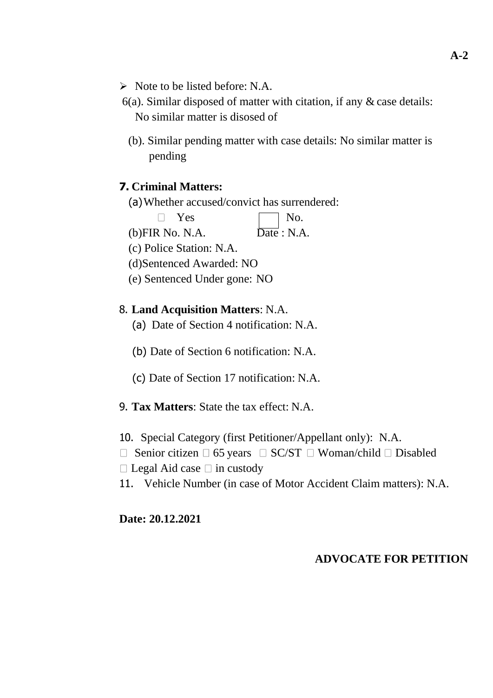- ➢ Note to be listed before: N.A.
- 6(a). Similar disposed of matter with citation, if any & case details: No similar matter is disosed of
	- (b). Similar pending matter with case details: No similar matter is pending

### **7. Criminal Matters:**

(a)Whether accused/convict has surrendered:

 $\Box$  Yes  $\Box$  No.

 $(b)$ FIR No. N.A.  $Date : N.A.$ 

(c) Police Station: N.A.

(d)Sentenced Awarded: NO

(e) Sentenced Under gone: NO

### 8. **Land Acquisition Matters**: N.A.

- (a) Date of Section 4 notification: N.A.
- (b) Date of Section 6 notification: N.A.
- (c) Date of Section 17 notification: N.A.
- 9. **Tax Matters**: State the tax effect: N.A.
- 10. Special Category (first Petitioner/Appellant only): N.A.
- $\Box$  Senior citizen  $\Box$  65 years  $\Box$  SC/ST  $\Box$  Woman/child  $\Box$  Disabled
- $\Box$  Legal Aid case  $\Box$  in custody
- 11. Vehicle Number (in case of Motor Accident Claim matters): N.A.

### **Date: 20.12.2021**

### **ADVOCATE FOR PETITION**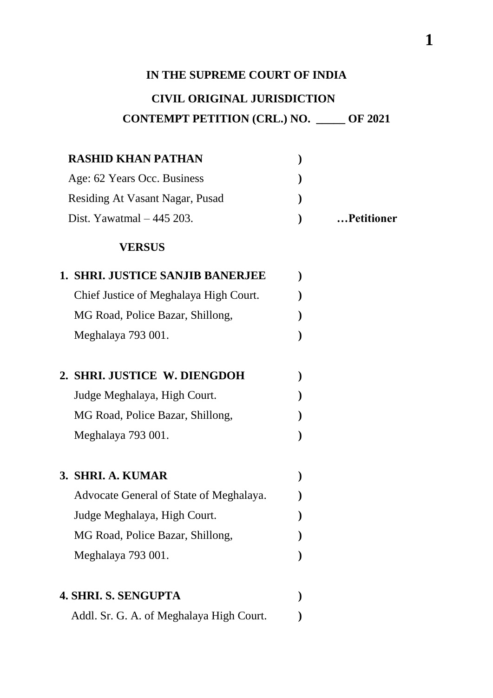### **IN THE SUPREME COURT OF INDIA**

## **CIVIL ORIGINAL JURISDICTION**

## **CONTEMPT PETITION (CRL.) NO. \_\_\_\_\_ OF 2021**

| <b>RASHID KHAN PATHAN</b>       |            |
|---------------------------------|------------|
| Age: 62 Years Occ. Business     |            |
| Residing At Vasant Nagar, Pusad |            |
| Dist. Yawatmal $-445$ 203.      | Petitioner |

### **VERSUS**

| <b>1. SHRI. JUSTICE SANJIB BANERJEE</b>  |  |
|------------------------------------------|--|
| Chief Justice of Meghalaya High Court.   |  |
| MG Road, Police Bazar, Shillong,         |  |
| Meghalaya 793 001.                       |  |
| 2. SHRI. JUSTICE W. DIENGDOH             |  |
| Judge Meghalaya, High Court.             |  |
| MG Road, Police Bazar, Shillong,         |  |
| Meghalaya 793 001.                       |  |
| 3. SHRI. A. KUMAR                        |  |
| Advocate General of State of Meghalaya.  |  |
| Judge Meghalaya, High Court.             |  |
| MG Road, Police Bazar, Shillong,         |  |
| Meghalaya 793 001.                       |  |
|                                          |  |
| <b>4. SHRI. S. SENGUPTA</b>              |  |
| Addl. Sr. G. A. of Meghalaya High Court. |  |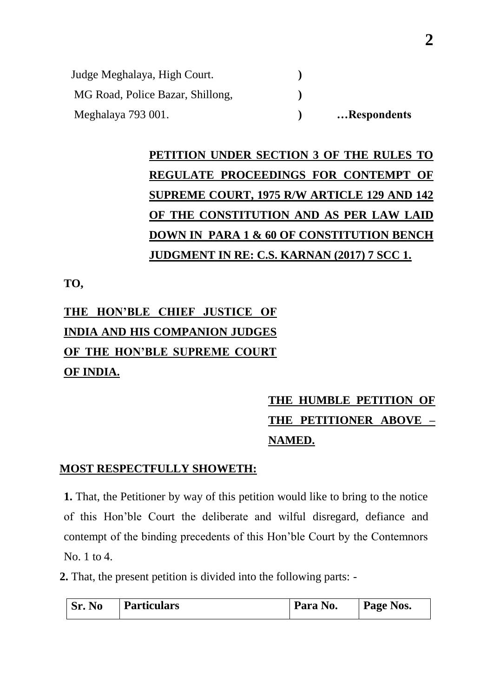| Judge Meghalaya, High Court.     |             |
|----------------------------------|-------------|
| MG Road, Police Bazar, Shillong, |             |
| Meghalaya 793 001.               | Respondents |

# **PETITION UNDER SECTION 3 OF THE RULES TO REGULATE PROCEEDINGS FOR CONTEMPT OF SUPREME COURT, 1975 R/W ARTICLE 129 AND 142 OF THE CONSTITUTION AND AS PER LAW LAID DOWN IN PARA 1 & 60 OF CONSTITUTION BENCH JUDGMENT IN RE: C.S. KARNAN (2017) 7 SCC 1.**

**TO,**

# **THE HON"BLE CHIEF JUSTICE OF INDIA AND HIS COMPANION JUDGES OF THE HON'BLE SUPREME COURT OF INDIA.**

# **THE HUMBLE PETITION OF THE PETITIONER ABOVE – NAMED.**

### **MOST RESPECTFULLY SHOWETH:**

**1.** That, the Petitioner by way of this petition would like to bring to the notice of this Hon"ble Court the deliberate and wilful disregard, defiance and contempt of the binding precedents of this Hon"ble Court by the Contemnors No. 1 to 4.

**2.** That, the present petition is divided into the following parts: -

| Sr.<br><b>No</b> | <b>Particulars</b> | Para No. | Page Nos. |
|------------------|--------------------|----------|-----------|
|------------------|--------------------|----------|-----------|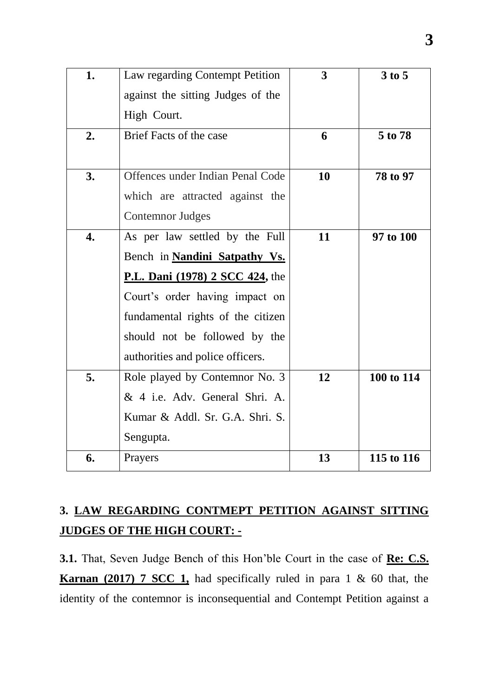| 1.               | Law regarding Contempt Petition        | 3  | 3 to 5     |
|------------------|----------------------------------------|----|------------|
|                  | against the sitting Judges of the      |    |            |
|                  | High Court.                            |    |            |
| 2.               | <b>Brief Facts of the case</b>         | 6  | 5 to 78    |
|                  |                                        |    |            |
| 3.               | Offences under Indian Penal Code       | 10 | 78 to 97   |
|                  | which are attracted against the        |    |            |
|                  | <b>Contemnor Judges</b>                |    |            |
| $\overline{4}$ . | As per law settled by the Full         | 11 | 97 to 100  |
|                  | Bench in Nandini Satpathy Vs.          |    |            |
|                  | <b>P.L. Dani</b> (1978) 2 SCC 424, the |    |            |
|                  | Court's order having impact on         |    |            |
|                  | fundamental rights of the citizen      |    |            |
|                  | should not be followed by the          |    |            |
|                  | authorities and police officers.       |    |            |
| 5.               | Role played by Contemnor No. 3         | 12 | 100 to 114 |
|                  | & 4 i.e. Adv. General Shri. A.         |    |            |
|                  | Kumar & Addl. Sr. G.A. Shri. S.        |    |            |
|                  | Sengupta.                              |    |            |
| 6.               | Prayers                                | 13 | 115 to 116 |

# **3. LAW REGARDING CONTMEPT PETITION AGAINST SITTING JUDGES OF THE HIGH COURT: -**

**3.1.** That, Seven Judge Bench of this Hon"ble Court in the case of **Re: C.S. Karnan (2017) 7 SCC 1,** had specifically ruled in para 1 & 60 that, the identity of the contemnor is inconsequential and Contempt Petition against a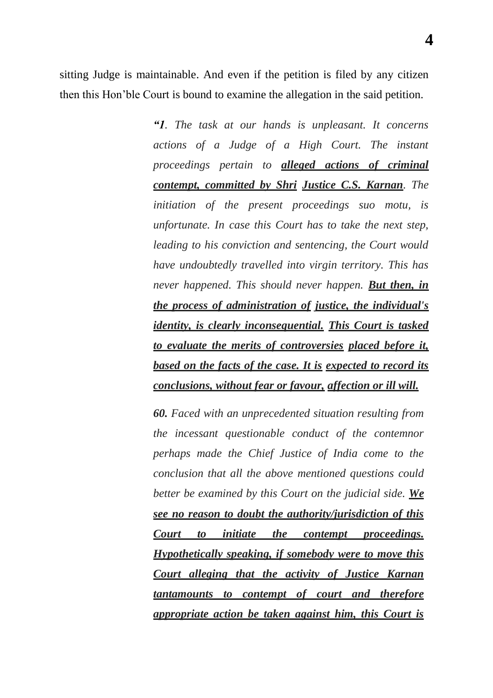**4**

sitting Judge is maintainable. And even if the petition is filed by any citizen then this Hon"ble Court is bound to examine the allegation in the said petition.

> *―1. The task at our hands is unpleasant. It concerns actions of a Judge of a High Court. The instant proceedings pertain to alleged actions of criminal contempt, committed by Shri Justice C.S. Karnan. The initiation of the present proceedings suo motu, is unfortunate. In case this Court has to take the next step, leading to his conviction and sentencing, the Court would have undoubtedly travelled into virgin territory. This has never happened. This should never happen. But then, in the process of administration of justice, the individual's identity, is clearly inconsequential. This Court is tasked to evaluate the merits of controversies placed before it, based on the facts of the case. It is expected to record its conclusions, without fear or favour, affection or ill will.*

*60. Faced with an unprecedented situation resulting from the incessant questionable conduct of the contemnor perhaps made the Chief Justice of India come to the conclusion that all the above mentioned questions could better be examined by this Court on the judicial side. We see no reason to doubt the authority/jurisdiction of this Court to initiate the contempt proceedings. Hypothetically speaking, if somebody were to move this Court alleging that the activity of Justice Karnan tantamounts to contempt of court and therefore appropriate action be taken against him, this Court is*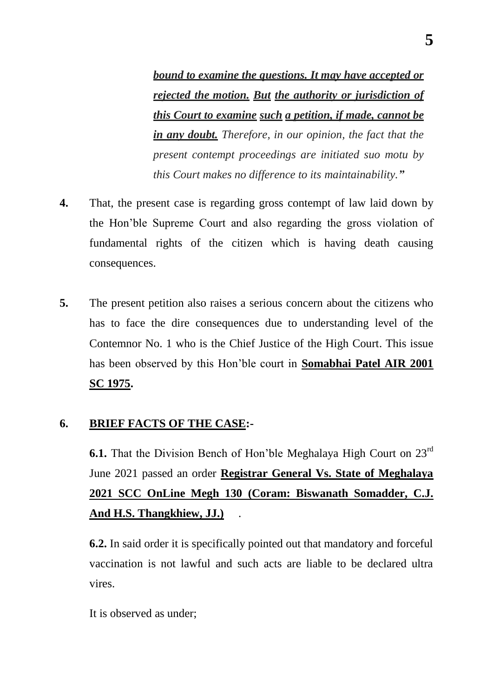*bound to examine the questions. It may have accepted or rejected the motion. But the authority or jurisdiction of this Court to examine such a petition, if made, cannot be in any doubt. Therefore, in our opinion, the fact that the present contempt proceedings are initiated suo motu by this Court makes no difference to its maintainability.‖*

- **4.** That, the present case is regarding gross contempt of law laid down by the Hon"ble Supreme Court and also regarding the gross violation of fundamental rights of the citizen which is having death causing consequences.
- **5.** The present petition also raises a serious concern about the citizens who has to face the dire consequences due to understanding level of the Contemnor No. 1 who is the Chief Justice of the High Court. This issue has been observed by this Hon"ble court in **Somabhai Patel AIR 2001 SC 1975.**

### **6. BRIEF FACTS OF THE CASE:-**

**6.1.** That the Division Bench of Hon'ble Meghalaya High Court on 23<sup>rd</sup> June 2021 passed an order **Registrar General Vs. State of Meghalaya 2021 SCC OnLine Megh 130 (Coram: Biswanath Somadder, C.J. And H.S. Thangkhiew, JJ.)** .

**6.2.** In said order it is specifically pointed out that mandatory and forceful vaccination is not lawful and such acts are liable to be declared ultra vires.

It is observed as under;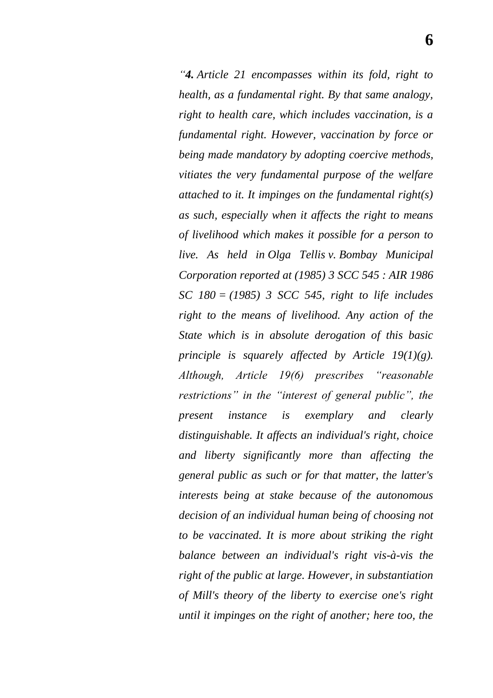*―4. Article 21 encompasses within its fold, right to health, as a fundamental right. By that same analogy, right to health care, which includes vaccination, is a fundamental right. However, vaccination by force or being made mandatory by adopting coercive methods, vitiates the very fundamental purpose of the welfare attached to it. It impinges on the fundamental right(s) as such, especially when it affects the right to means of livelihood which makes it possible for a person to live. As held in Olga Tellis v. Bombay Municipal Corporation reported at (1985) 3 SCC 545 : AIR 1986 SC 180 = (1985) 3 SCC 545, right to life includes right to the means of livelihood. Any action of the State which is in absolute derogation of this basic principle is squarely affected by Article 19(1)(g). Although, Article 19(6) prescribes ―reasonable restrictions*" *in the "interest of general public", the present instance is exemplary and clearly distinguishable. It affects an individual's right, choice and liberty significantly more than affecting the general public as such or for that matter, the latter's interests being at stake because of the autonomous decision of an individual human being of choosing not to be vaccinated. It is more about striking the right balance between an individual's right vis-à-vis the right of the public at large. However, in substantiation of Mill's theory of the liberty to exercise one's right until it impinges on the right of another; here too, the*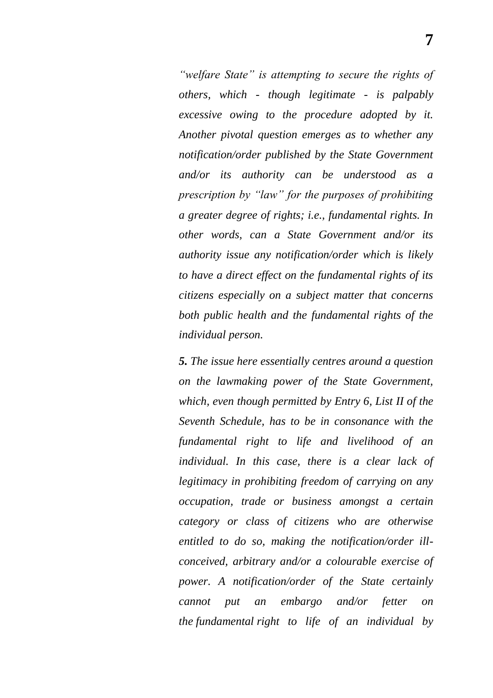*―welfare State‖ is attempting to secure the rights of others, which - though legitimate - is palpably excessive owing to the procedure adopted by it. Another pivotal question emerges as to whether any notification/order published by the State Government and/or its authority can be understood as a prescription by "law" for the purposes of prohibiting a greater degree of rights; i.e., fundamental rights. In other words, can a State Government and/or its authority issue any notification/order which is likely to have a direct effect on the fundamental rights of its citizens especially on a subject matter that concerns both public health and the fundamental rights of the individual person.*

*5. The issue here essentially centres around a question on the lawmaking power of the State Government, which, even though permitted by Entry 6, List II of the Seventh Schedule, has to be in consonance with the fundamental right to life and livelihood of an individual. In this case, there is a clear lack of legitimacy in prohibiting freedom of carrying on any occupation, trade or business amongst a certain category or class of citizens who are otherwise entitled to do so, making the notification/order illconceived, arbitrary and/or a colourable exercise of power. A notification/order of the State certainly cannot put an embargo and/or fetter on the fundamental right to life of an individual by*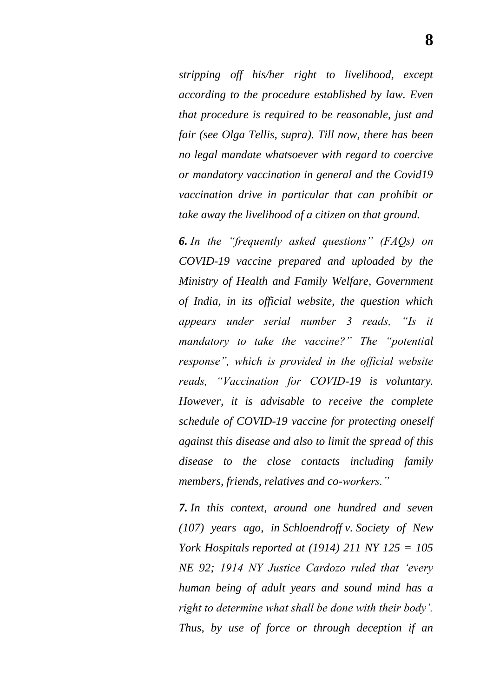*stripping off his/her right to livelihood, except according to the procedure established by law. Even that procedure is required to be reasonable, just and fair (see Olga Tellis, supra). Till now, there has been no legal mandate whatsoever with regard to coercive or mandatory vaccination in general and the Covid19 vaccination drive in particular that can prohibit or take away the livelihood of a citizen on that ground.*

**6.** In the "frequently asked questions" (FAQs) on *COVID-19 vaccine prepared and uploaded by the Ministry of Health and Family Welfare, Government of India, in its official website, the question which appears under serial number 3 reads, ―Is it mandatory to take the vaccine?*" The "potential *response‖, which is provided in the official website*  reads, "Vaccination for COVID-19 is voluntary. *However, it is advisable to receive the complete schedule of COVID-19 vaccine for protecting oneself against this disease and also to limit the spread of this disease to the close contacts including family members, friends, relatives and co-workers.‖*

*7. In this context, around one hundred and seven (107) years ago, in Schloendroff v. Society of New York Hospitals reported at (1914) 211 NY 125 = 105 NE 92; 1914 NY Justice Cardozo ruled that ‗every human being of adult years and sound mind has a right to determine what shall be done with their body'. Thus, by use of force or through deception if an*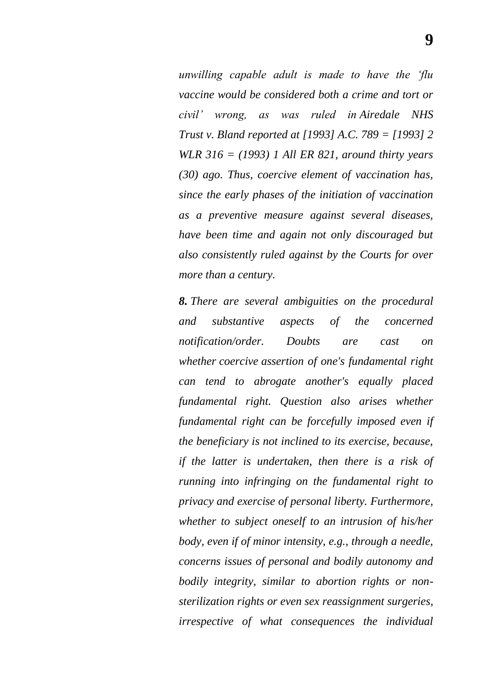*unwilling capable adult is made to have the ‗flu vaccine would be considered both a crime and tort or civil' wrong, as was ruled in Airedale NHS Trust v. Bland reported at [1993] A.C. 789 = [1993] 2 WLR 316 = (1993) 1 All ER 821, around thirty years (30) ago. Thus, coercive element of vaccination has, since the early phases of the initiation of vaccination as a preventive measure against several diseases, have been time and again not only discouraged but also consistently ruled against by the Courts for over more than a century.*

*8. There are several ambiguities on the procedural and substantive aspects of the concerned notification/order. Doubts are cast on whether coercive assertion of one's fundamental right can tend to abrogate another's equally placed fundamental right. Question also arises whether fundamental right can be forcefully imposed even if the beneficiary is not inclined to its exercise, because, if the latter is undertaken, then there is a risk of running into infringing on the fundamental right to privacy and exercise of personal liberty. Furthermore, whether to subject oneself to an intrusion of his/her body, even if of minor intensity, e.g., through a needle, concerns issues of personal and bodily autonomy and bodily integrity, similar to abortion rights or nonsterilization rights or even sex reassignment surgeries, irrespective of what consequences the individual*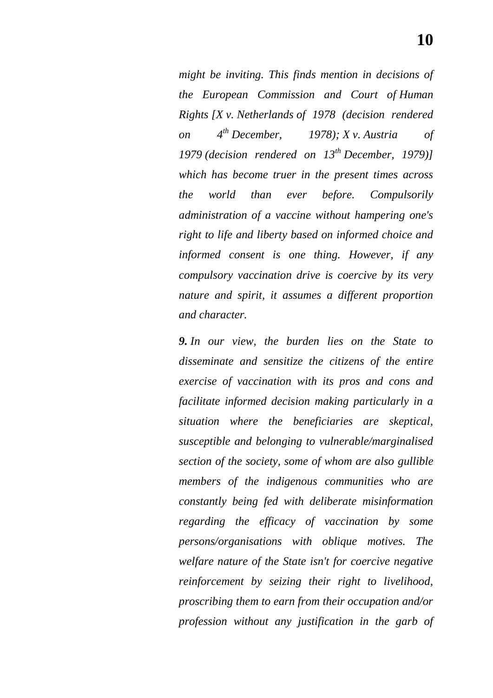*might be inviting. This finds mention in decisions of the European Commission and Court of Human Rights [X v. Netherlands of 1978 (decision rendered on 4th December, 1978); X v. Austria of 1979 (decision rendered on 13th December, 1979)] which has become truer in the present times across the world than ever before. Compulsorily administration of a vaccine without hampering one's right to life and liberty based on informed choice and informed consent is one thing. However, if any* 

*compulsory vaccination drive is coercive by its very nature and spirit, it assumes a different proportion and character.*

*9. In our view, the burden lies on the State to disseminate and sensitize the citizens of the entire exercise of vaccination with its pros and cons and facilitate informed decision making particularly in a situation where the beneficiaries are skeptical, susceptible and belonging to vulnerable/marginalised section of the society, some of whom are also gullible members of the indigenous communities who are constantly being fed with deliberate misinformation regarding the efficacy of vaccination by some persons/organisations with oblique motives. The welfare nature of the State isn't for coercive negative reinforcement by seizing their right to livelihood, proscribing them to earn from their occupation and/or profession without any justification in the garb of*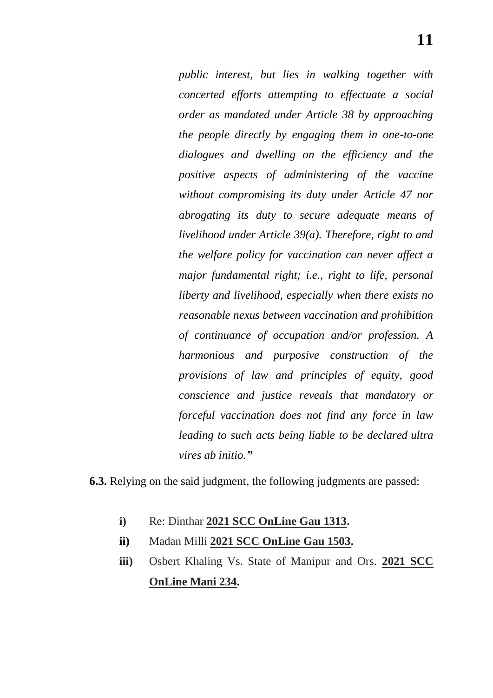*public interest, but lies in walking together with concerted efforts attempting to effectuate a social order as mandated under Article 38 by approaching the people directly by engaging them in one-to-one dialogues and dwelling on the efficiency and the positive aspects of administering of the vaccine without compromising its duty under Article 47 nor abrogating its duty to secure adequate means of livelihood under Article 39(a). Therefore, right to and the welfare policy for vaccination can never affect a major fundamental right; i.e., right to life, personal liberty and livelihood, especially when there exists no reasonable nexus between vaccination and prohibition of continuance of occupation and/or profession. A harmonious and purposive construction of the provisions of law and principles of equity, good conscience and justice reveals that mandatory or forceful vaccination does not find any force in law leading to such acts being liable to be declared ultra vires ab initio.‖*

**6.3.** Relying on the said judgment, the following judgments are passed:

- **i)** Re: Dinthar **2021 SCC OnLine Gau 1313.**
- **ii)** Madan Milli **2021 SCC OnLine Gau 1503.**
- **iii)** Osbert Khaling Vs. State of Manipur and Ors. **2021 SCC OnLine Mani 234.**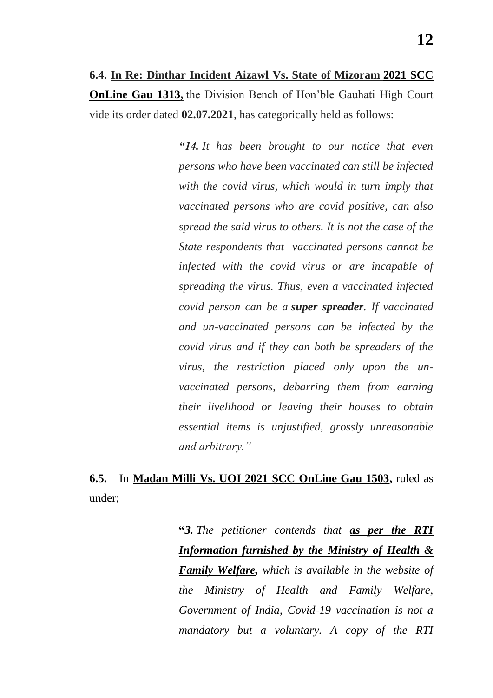**6.4. In Re: Dinthar Incident Aizawl Vs. State of Mizoram 2021 SCC OnLine Gau 1313,** the Division Bench of Hon"ble Gauhati High Court vide its order dated **02.07.2021**, has categorically held as follows:

> *―14. It has been brought to our notice that even persons who have been vaccinated can still be infected with the covid virus, which would in turn imply that vaccinated persons who are covid positive, can also spread the said virus to others. It is not the case of the State respondents that vaccinated persons cannot be infected with the covid virus or are incapable of spreading the virus. Thus, even a vaccinated infected covid person can be a super spreader. If vaccinated and un-vaccinated persons can be infected by the covid virus and if they can both be spreaders of the virus, the restriction placed only upon the unvaccinated persons, debarring them from earning their livelihood or leaving their houses to obtain essential items is unjustified, grossly unreasonable and arbitrary.‖*

## **6.5.** In **Madan Milli Vs. UOI 2021 SCC OnLine Gau 1503,** ruled as under;

**"***3. The petitioner contends that as per the RTI Information furnished by the Ministry of Health & Family Welfare, which is available in the website of the Ministry of Health and Family Welfare, Government of India, Covid-19 vaccination is not a mandatory but a voluntary. A copy of the RTI*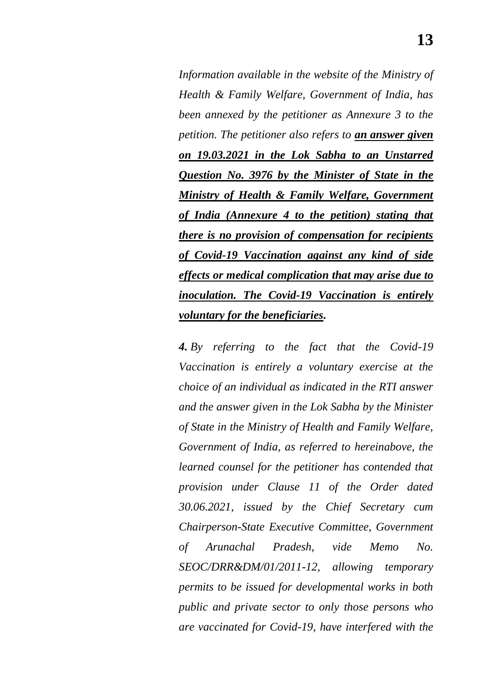*Information available in the website of the Ministry of Health & Family Welfare, Government of India, has been annexed by the petitioner as Annexure 3 to the petition. The petitioner also refers to an answer given on 19.03.2021 in the Lok Sabha to an Unstarred Question No. 3976 by the Minister of State in the Ministry of Health & Family Welfare, Government of India (Annexure 4 to the petition) stating that there is no provision of compensation for recipients of Covid-19 Vaccination against any kind of side effects or medical complication that may arise due to inoculation. The Covid-19 Vaccination is entirely voluntary for the beneficiaries.*

*4. By referring to the fact that the Covid-19 Vaccination is entirely a voluntary exercise at the choice of an individual as indicated in the RTI answer and the answer given in the Lok Sabha by the Minister of State in the Ministry of Health and Family Welfare, Government of India, as referred to hereinabove, the learned counsel for the petitioner has contended that provision under Clause 11 of the Order dated 30.06.2021, issued by the Chief Secretary cum Chairperson-State Executive Committee, Government of Arunachal Pradesh, vide Memo No. SEOC/DRR&DM/01/2011-12, allowing temporary permits to be issued for developmental works in both public and private sector to only those persons who are vaccinated for Covid-19, have interfered with the*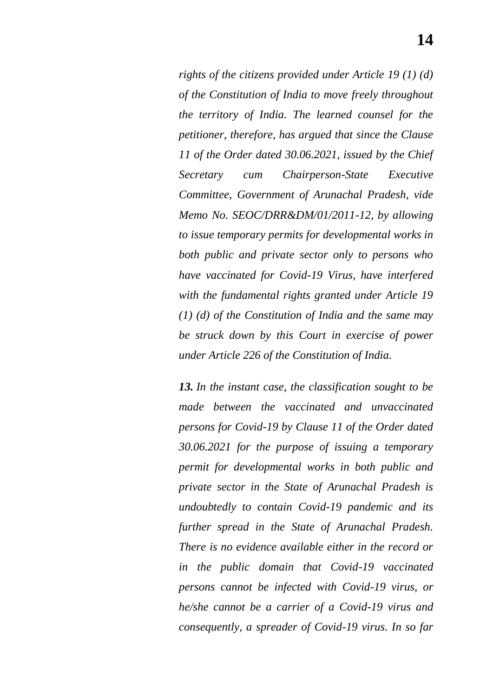*rights of the citizens provided under Article 19 (1) (d) of the Constitution of India to move freely throughout the territory of India. The learned counsel for the petitioner, therefore, has argued that since the Clause 11 of the Order dated 30.06.2021, issued by the Chief Secretary cum Chairperson-State Executive Committee, Government of Arunachal Pradesh, vide Memo No. SEOC/DRR&DM/01/2011-12, by allowing to issue temporary permits for developmental works in both public and private sector only to persons who have vaccinated for Covid-19 Virus, have interfered with the fundamental rights granted under Article 19 (1) (d) of the Constitution of India and the same may be struck down by this Court in exercise of power under Article 226 of the Constitution of India.*

*13. In the instant case, the classification sought to be made between the vaccinated and unvaccinated persons for Covid-19 by Clause 11 of the Order dated 30.06.2021 for the purpose of issuing a temporary permit for developmental works in both public and private sector in the State of Arunachal Pradesh is undoubtedly to contain Covid-19 pandemic and its further spread in the State of Arunachal Pradesh. There is no evidence available either in the record or in the public domain that Covid-19 vaccinated persons cannot be infected with Covid-19 virus, or he/she cannot be a carrier of a Covid-19 virus and consequently, a spreader of Covid-19 virus. In so far*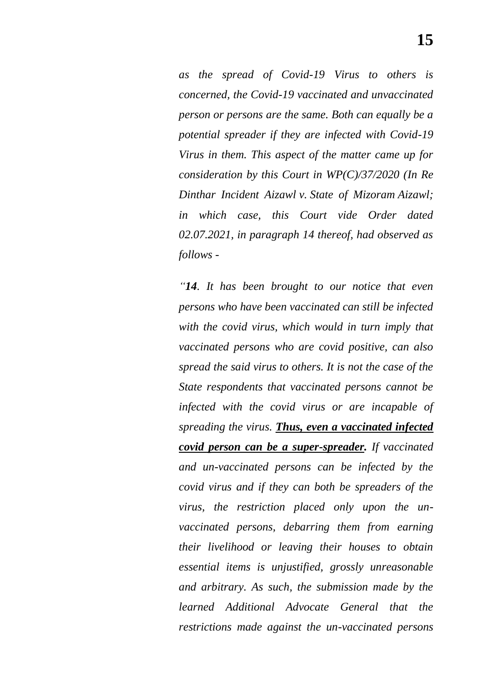*as the spread of Covid-19 Virus to others is concerned, the Covid-19 vaccinated and unvaccinated person or persons are the same. Both can equally be a potential spreader if they are infected with Covid-19 Virus in them. This aspect of the matter came up for consideration by this Court in WP(C)/37/2020 (In Re Dinthar Incident Aizawl v. State of Mizoram Aizawl; in which case, this Court vide Order dated 02.07.2021, in paragraph 14 thereof, had observed as follows -*

*―14. It has been brought to our notice that even persons who have been vaccinated can still be infected with the covid virus, which would in turn imply that vaccinated persons who are covid positive, can also spread the said virus to others. It is not the case of the State respondents that vaccinated persons cannot be infected with the covid virus or are incapable of spreading the virus. Thus, even a vaccinated infected covid person can be a super-spreader. If vaccinated and un-vaccinated persons can be infected by the covid virus and if they can both be spreaders of the virus, the restriction placed only upon the unvaccinated persons, debarring them from earning their livelihood or leaving their houses to obtain essential items is unjustified, grossly unreasonable and arbitrary. As such, the submission made by the learned Additional Advocate General that the restrictions made against the un-vaccinated persons*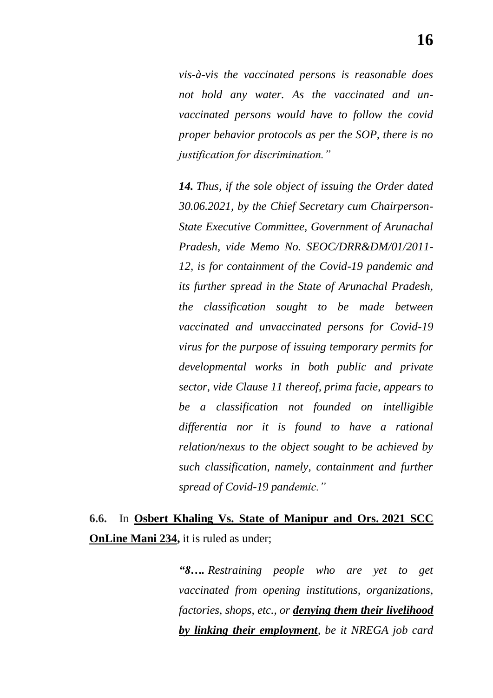*vis-à-vis the vaccinated persons is reasonable does not hold any water. As the vaccinated and unvaccinated persons would have to follow the covid proper behavior protocols as per the SOP, there is no justification for discrimination.‖*

*14. Thus, if the sole object of issuing the Order dated 30.06.2021, by the Chief Secretary cum Chairperson-State Executive Committee, Government of Arunachal Pradesh, vide Memo No. SEOC/DRR&DM/01/2011- 12, is for containment of the Covid-19 pandemic and its further spread in the State of Arunachal Pradesh, the classification sought to be made between vaccinated and unvaccinated persons for Covid-19 virus for the purpose of issuing temporary permits for developmental works in both public and private sector, vide Clause 11 thereof, prima facie, appears to be a classification not founded on intelligible differentia nor it is found to have a rational relation/nexus to the object sought to be achieved by such classification, namely, containment and further spread of Covid-19 pandemic.‖*

**6.6.** In **Osbert Khaling Vs. State of Manipur and Ors. 2021 SCC OnLine Mani 234,** it is ruled as under;

> *―8…. Restraining people who are yet to get vaccinated from opening institutions, organizations, factories, shops, etc., or denying them their livelihood by linking their employment, be it NREGA job card*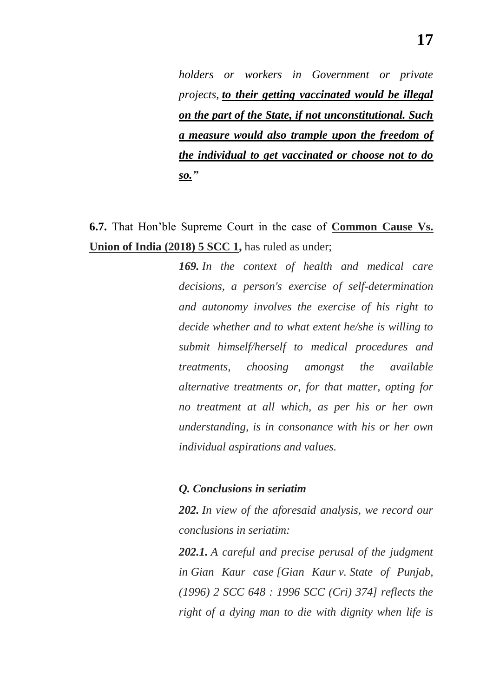*holders or workers in Government or private projects, to their getting vaccinated would be illegal on the part of the State, if not unconstitutional. Such a measure would also trample upon the freedom of the individual to get vaccinated or choose not to do so.‖*

**6.7.** That Hon"ble Supreme Court in the case of **Common Cause Vs. Union of India (2018) 5 SCC 1,** has ruled as under;

> *169. In the context of health and medical care decisions, a person's exercise of self-determination and autonomy involves the exercise of his right to decide whether and to what extent he/she is willing to submit himself/herself to medical procedures and treatments, choosing amongst the available alternative treatments or, for that matter, opting for no treatment at all which, as per his or her own understanding, is in consonance with his or her own individual aspirations and values.*

#### *Q. Conclusions in seriatim*

*202. In view of the aforesaid analysis, we record our conclusions in seriatim:*

*202.1. A careful and precise perusal of the judgment in Gian Kaur case [Gian Kaur v. State of Punjab, (1996) 2 SCC 648 : 1996 SCC (Cri) 374] reflects the right of a dying man to die with dignity when life is*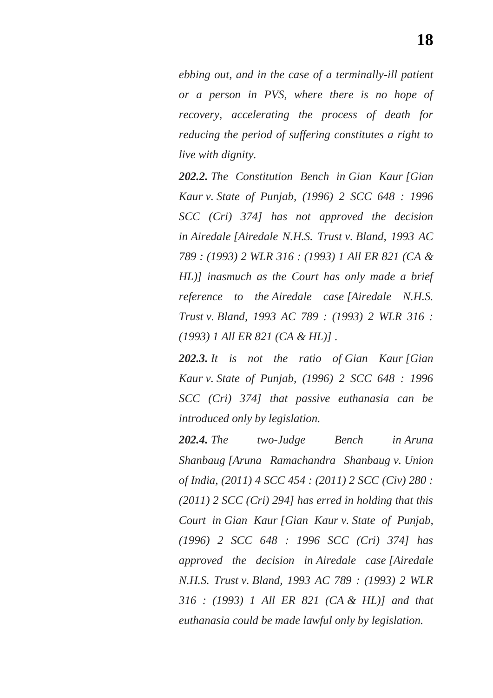*ebbing out, and in the case of a terminally-ill patient or a person in PVS, where there is no hope of recovery, accelerating the process of death for reducing the period of suffering constitutes a right to live with dignity.*

*202.2. The Constitution Bench in Gian Kaur [Gian Kaur v. State of Punjab, (1996) 2 SCC 648 : 1996 SCC (Cri) 374] has not approved the decision in Airedale [Airedale N.H.S. Trust v. Bland, 1993 AC 789 : (1993) 2 WLR 316 : (1993) 1 All ER 821 (CA & HL)] inasmuch as the Court has only made a brief reference to the Airedale case [Airedale N.H.S. Trust v. Bland, 1993 AC 789 : (1993) 2 WLR 316 : (1993) 1 All ER 821 (CA & HL)] .*

*202.3. It is not the ratio of Gian Kaur [Gian Kaur v. State of Punjab, (1996) 2 SCC 648 : 1996 SCC (Cri) 374] that passive euthanasia can be introduced only by legislation.*

*202.4. The two-Judge Bench in Aruna Shanbaug [Aruna Ramachandra Shanbaug v. Union of India, (2011) 4 SCC 454 : (2011) 2 SCC (Civ) 280 : (2011) 2 SCC (Cri) 294] has erred in holding that this Court in Gian Kaur [Gian Kaur v. State of Punjab, (1996) 2 SCC 648 : 1996 SCC (Cri) 374] has approved the decision in Airedale case [Airedale N.H.S. Trust v. Bland, 1993 AC 789 : (1993) 2 WLR 316 : (1993) 1 All ER 821 (CA & HL)] and that euthanasia could be made lawful only by legislation.*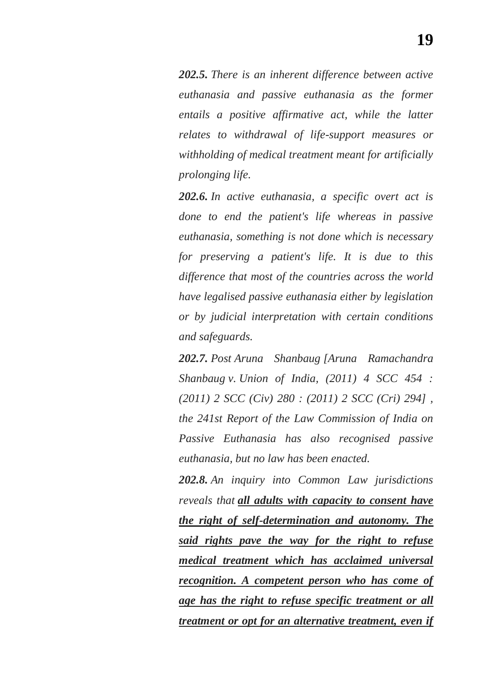*202.5. There is an inherent difference between active euthanasia and passive euthanasia as the former entails a positive affirmative act, while the latter relates to withdrawal of life-support measures or withholding of medical treatment meant for artificially prolonging life.*

*202.6. In active euthanasia, a specific overt act is done to end the patient's life whereas in passive euthanasia, something is not done which is necessary for preserving a patient's life. It is due to this difference that most of the countries across the world have legalised passive euthanasia either by legislation or by judicial interpretation with certain conditions and safeguards.*

*202.7. Post Aruna Shanbaug [Aruna Ramachandra Shanbaug v. Union of India, (2011) 4 SCC 454 : (2011) 2 SCC (Civ) 280 : (2011) 2 SCC (Cri) 294] , the 241st Report of the Law Commission of India on Passive Euthanasia has also recognised passive euthanasia, but no law has been enacted.*

*202.8. An inquiry into Common Law jurisdictions reveals that all adults with capacity to consent have the right of self-determination and autonomy. The said rights pave the way for the right to refuse medical treatment which has acclaimed universal recognition. A competent person who has come of age has the right to refuse specific treatment or all treatment or opt for an alternative treatment, even if*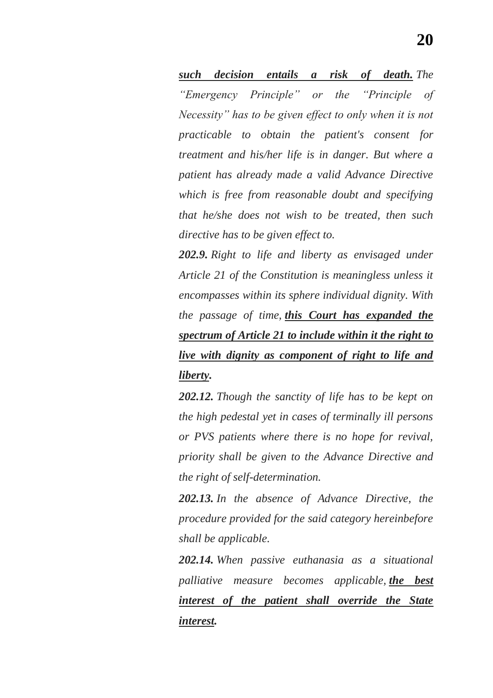*such decision entails a risk of death. The ―Emergency Principle‖ or the ―Principle of Necessity‖ has to be given effect to only when it is not practicable to obtain the patient's consent for treatment and his/her life is in danger. But where a patient has already made a valid Advance Directive which is free from reasonable doubt and specifying that he/she does not wish to be treated, then such directive has to be given effect to.*

*202.9. Right to life and liberty as envisaged under Article 21 of the Constitution is meaningless unless it encompasses within its sphere individual dignity. With the passage of time, this Court has expanded the spectrum of Article 21 to include within it the right to live with dignity as component of right to life and liberty.*

*202.12. Though the sanctity of life has to be kept on the high pedestal yet in cases of terminally ill persons or PVS patients where there is no hope for revival, priority shall be given to the Advance Directive and the right of self-determination.*

*202.13. In the absence of Advance Directive, the procedure provided for the said category hereinbefore shall be applicable.*

*202.14. When passive euthanasia as a situational palliative measure becomes applicable, the best interest of the patient shall override the State interest.*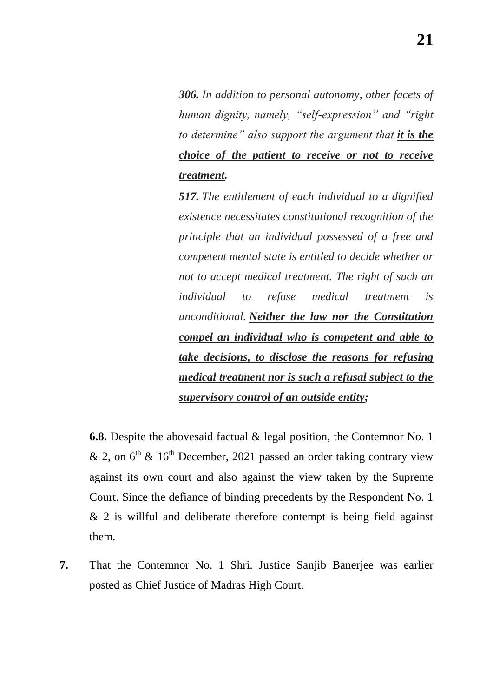*306. In addition to personal autonomy, other facets of human dignity, namely, "self-expression" and "right to determine‖ also support the argument that it is the choice of the patient to receive or not to receive treatment.*

*517. The entitlement of each individual to a dignified existence necessitates constitutional recognition of the principle that an individual possessed of a free and competent mental state is entitled to decide whether or not to accept medical treatment. The right of such an individual to refuse medical treatment is unconditional. Neither the law nor the Constitution compel an individual who is competent and able to take decisions, to disclose the reasons for refusing medical treatment nor is such a refusal subject to the supervisory control of an outside entity;*

**6.8.** Despite the abovesaid factual & legal position, the Contemnor No. 1 & 2, on  $6<sup>th</sup>$  & 16<sup>th</sup> December, 2021 passed an order taking contrary view against its own court and also against the view taken by the Supreme Court. Since the defiance of binding precedents by the Respondent No. 1  $& 2$  is willful and deliberate therefore contempt is being field against them.

**7.** That the Contemnor No. 1 Shri. Justice Sanjib Banerjee was earlier posted as Chief Justice of Madras High Court.

**21**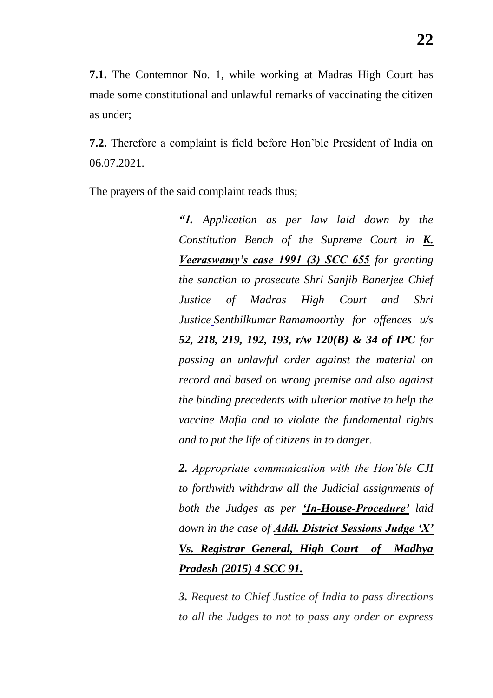**7.1.** The Contemnor No. 1, while working at Madras High Court has made some constitutional and unlawful remarks of vaccinating the citizen as under;

**7.2.** Therefore a complaint is field before Hon"ble President of India on 06.07.2021.

The prayers of the said complaint reads thus;

*―1. Application as per law laid down by the Constitution Bench of the Supreme Court in K. Veeraswamy's case 1991 (3) SCC 655 for granting the sanction to prosecute Shri Sanjib Banerjee Chief Justice of Madras High Court and Shri Justice Senthilkumar [Ramamoorthy](https://www.google.co.in/search?sxsrf=ALeKk00qUv5Me1NpJFMjkT3V5S4jDhCVAg:1625211177940&q=Justice+Senthilkumar+Ramamoorthy&spell=1&sa=X&ved=2ahUKEwiLmci378PxAhU-IbcAHRo7BNMQkeECKAB6BAgBEDU) for offences u/s 52, 218, 219, 192, 193, r/w 120(B) & 34 of IPC for passing an unlawful order against the material on record and based on wrong premise and also against the binding precedents with ulterior motive to help the vaccine Mafia and to violate the fundamental rights and to put the life of citizens in to danger.* 

*2. Appropriate communication with the Hon'ble CJI to forthwith withdraw all the Judicial assignments of both the Judges as per ‗In-House-Procedure' laid down in the case of Addl. District Sessions Judge ‗X' Vs. Registrar General, High Court of Madhya Pradesh (2015) 4 SCC 91.*

*3. Request to Chief Justice of India to pass directions to all the Judges to not to pass any order or express*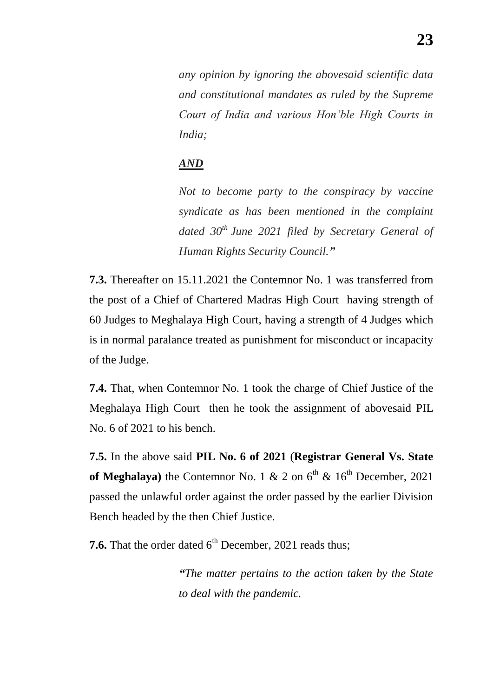*any opinion by ignoring the abovesaid scientific data and constitutional mandates as ruled by the Supreme Court of India and various Hon'ble High Courts in India;*

### *AND*

*Not to become party to the conspiracy by vaccine syndicate as has been mentioned in the complaint dated 30th June 2021 filed by Secretary General of Human Rights Security Council.‖*

**7.3.** Thereafter on 15.11.2021 the Contemnor No. 1 was transferred from the post of a Chief of Chartered Madras High Court having strength of 60 Judges to Meghalaya High Court, having a strength of 4 Judges which is in normal paralance treated as punishment for misconduct or incapacity of the Judge.

**7.4.** That, when Contemnor No. 1 took the charge of Chief Justice of the Meghalaya High Court then he took the assignment of abovesaid PIL No. 6 of 2021 to his bench.

**7.5.** In the above said **PIL No. 6 of 2021** (**Registrar General Vs. State**  of Meghalaya) the Contemnor No. 1  $\&$  2 on  $6<sup>th</sup> \& 16<sup>th</sup>$  December, 2021 passed the unlawful order against the order passed by the earlier Division Bench headed by the then Chief Justice.

**7.6.** That the order dated  $6<sup>th</sup>$  December, 2021 reads thus;

*―The matter pertains to the action taken by the State to deal with the pandemic.*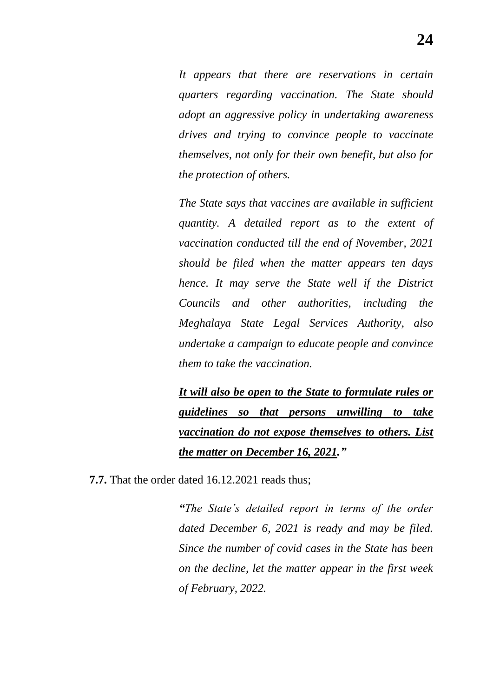*It appears that there are reservations in certain quarters regarding vaccination. The State should adopt an aggressive policy in undertaking awareness drives and trying to convince people to vaccinate themselves, not only for their own benefit, but also for the protection of others.* 

*The State says that vaccines are available in sufficient quantity. A detailed report as to the extent of vaccination conducted till the end of November, 2021 should be filed when the matter appears ten days hence. It may serve the State well if the District Councils and other authorities, including the Meghalaya State Legal Services Authority, also undertake a campaign to educate people and convince them to take the vaccination.* 

*It will also be open to the State to formulate rules or guidelines so that persons unwilling to take vaccination do not expose themselves to others. List the matter on December 16, 2021.‖*

**7.7.** That the order dated 16.12.2021 reads thus;

*―The State's detailed report in terms of the order dated December 6, 2021 is ready and may be filed. Since the number of covid cases in the State has been on the decline, let the matter appear in the first week of February, 2022.*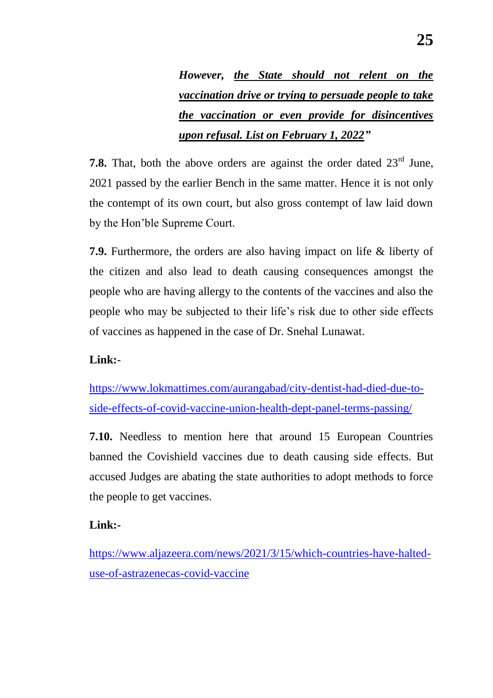*However, the State should not relent on the vaccination drive or trying to persuade people to take the vaccination or even provide for disincentives upon refusal. List on February 1, 2022‖*

**7.8.** That, both the above orders are against the order dated  $23<sup>rd</sup>$  June, 2021 passed by the earlier Bench in the same matter. Hence it is not only the contempt of its own court, but also gross contempt of law laid down by the Hon"ble Supreme Court.

**7.9.** Furthermore, the orders are also having impact on life & liberty of the citizen and also lead to death causing consequences amongst the people who are having allergy to the contents of the vaccines and also the people who may be subjected to their life"s risk due to other side effects of vaccines as happened in the case of Dr. Snehal Lunawat.

#### **Link:**-

[https://www.lokmattimes.com/aurangabad/city-dentist-had-died-due-to](https://www.lokmattimes.com/aurangabad/city-dentist-had-died-due-to-side-effects-of-covid-vaccine-union-health-dept-panel-terms-passing/)[side-effects-of-covid-vaccine-union-health-dept-panel-terms-passing/](https://www.lokmattimes.com/aurangabad/city-dentist-had-died-due-to-side-effects-of-covid-vaccine-union-health-dept-panel-terms-passing/)

**7.10.** Needless to mention here that around 15 European Countries banned the Covishield vaccines due to death causing side effects. But accused Judges are abating the state authorities to adopt methods to force the people to get vaccines.

### **Link:-**

[https://www.aljazeera.com/news/2021/3/15/which-countries-have-halted](https://www.aljazeera.com/news/2021/3/15/which-countries-have-halted-use-of-astrazenecas-covid-vaccine)[use-of-astrazenecas-covid-vaccine](https://www.aljazeera.com/news/2021/3/15/which-countries-have-halted-use-of-astrazenecas-covid-vaccine)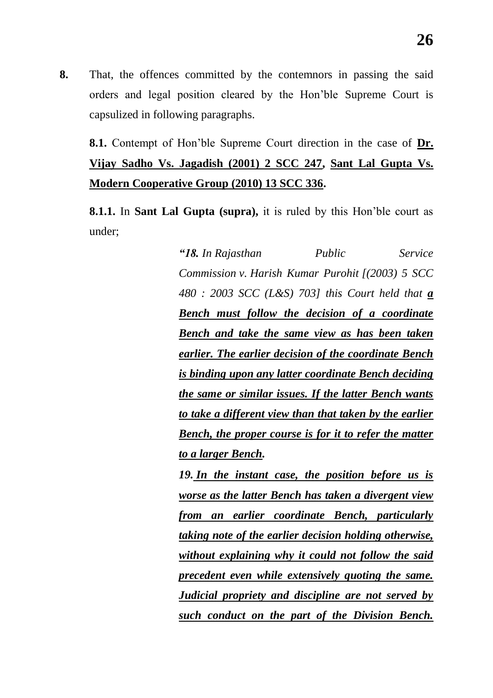**8.** That, the offences committed by the contemnors in passing the said orders and legal position cleared by the Hon"ble Supreme Court is capsulized in following paragraphs.

**8.1.** Contempt of Hon"ble Supreme Court direction in the case of **Dr. Vijay Sadho Vs. Jagadish (2001) 2 SCC 247, Sant Lal Gupta Vs. Modern Cooperative Group (2010) 13 SCC 336.**

**8.1.1.** In **Sant Lal Gupta (supra),** it is ruled by this Hon"ble court as under;

> *―18. In Rajasthan Public Service Commission v. Harish Kumar Purohit [(2003) 5 SCC 480 : 2003 SCC (L&S) 703] this Court held that a Bench must follow the decision of a coordinate Bench and take the same view as has been taken earlier. The earlier decision of the coordinate Bench is binding upon any latter coordinate Bench deciding the same or similar issues. If the latter Bench wants to take a different view than that taken by the earlier Bench, the proper course is for it to refer the matter to a larger Bench. 19. In the instant case, the position before us is worse as the latter Bench has taken a divergent view from an earlier coordinate Bench, particularly taking note of the earlier decision holding otherwise, without explaining why it could not follow the said precedent even while extensively quoting the same. Judicial propriety and discipline are not served by such conduct on the part of the Division Bench.*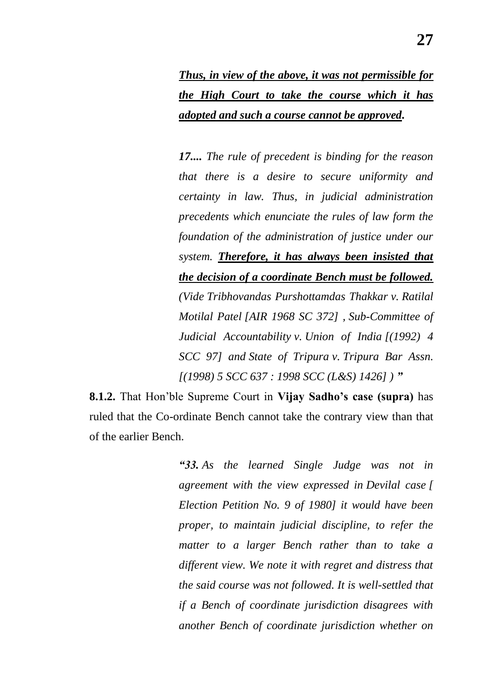*Thus, in view of the above, it was not permissible for the High Court to take the course which it has adopted and such a course cannot be approved.*

*17.... The rule of precedent is binding for the reason that there is a desire to secure uniformity and certainty in law. Thus, in judicial administration precedents which enunciate the rules of law form the foundation of the administration of justice under our system. Therefore, it has always been insisted that the decision of a coordinate Bench must be followed. (Vide Tribhovandas Purshottamdas Thakkar v. Ratilal Motilal Patel [AIR 1968 SC 372] , Sub-Committee of Judicial Accountability v. Union of India [(1992) 4 SCC 97] and State of Tripura v. Tripura Bar Assn. [(1998) 5 SCC 637 : 1998 SCC (L&S) 1426] ) ‖*

**8.1.2.** That Hon"ble Supreme Court in **Vijay Sadho"s case (supra)** has ruled that the Co-ordinate Bench cannot take the contrary view than that of the earlier Bench.

> *―33. As the learned Single Judge was not in agreement with the view expressed in Devilal case [ Election Petition No. 9 of 1980] it would have been proper, to maintain judicial discipline, to refer the matter to a larger Bench rather than to take a different view. We note it with regret and distress that the said course was not followed. It is well-settled that if a Bench of coordinate jurisdiction disagrees with another Bench of coordinate jurisdiction whether on*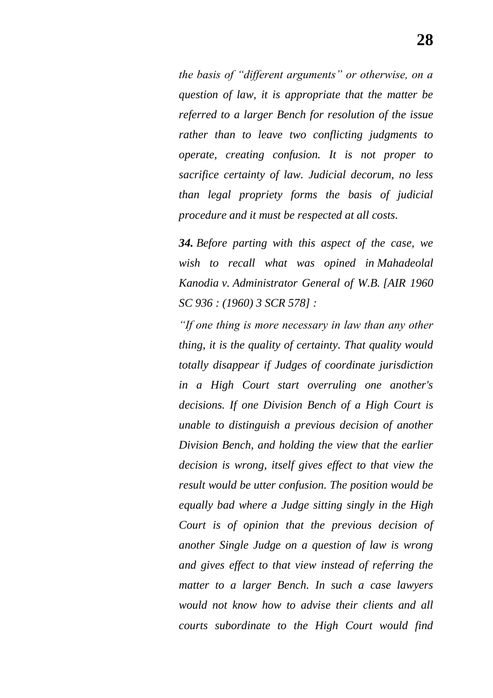*the basis of "different arguments" or otherwise, on a question of law, it is appropriate that the matter be referred to a larger Bench for resolution of the issue rather than to leave two conflicting judgments to operate, creating confusion. It is not proper to sacrifice certainty of law. Judicial decorum, no less than legal propriety forms the basis of judicial procedure and it must be respected at all costs.*

*34. Before parting with this aspect of the case, we wish to recall what was opined in Mahadeolal Kanodia v. Administrator General of W.B. [AIR 1960 SC 936 : (1960) 3 SCR 578] :*

*―If one thing is more necessary in law than any other thing, it is the quality of certainty. That quality would totally disappear if Judges of coordinate jurisdiction in a High Court start overruling one another's decisions. If one Division Bench of a High Court is unable to distinguish a previous decision of another Division Bench, and holding the view that the earlier decision is wrong, itself gives effect to that view the result would be utter confusion. The position would be equally bad where a Judge sitting singly in the High Court is of opinion that the previous decision of another Single Judge on a question of law is wrong and gives effect to that view instead of referring the matter to a larger Bench. In such a case lawyers would not know how to advise their clients and all courts subordinate to the High Court would find*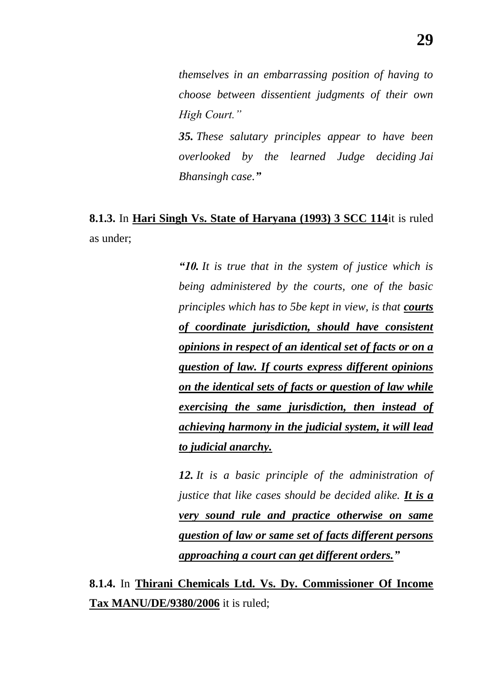*themselves in an embarrassing position of having to choose between dissentient judgments of their own High Court.‖*

*35. These salutary principles appear to have been overlooked by the learned Judge deciding Jai Bhansingh case.‖*

# **8.1.3.** In **Hari Singh Vs. State of Haryana (1993) 3 SCC 114**it is ruled as under;

*―10. It is true that in the system of justice which is being administered by the courts, one of the basic principles which has to 5be kept in view, is that courts of coordinate jurisdiction, should have consistent opinions in respect of an identical set of facts or on a question of law. If courts express different opinions on the identical sets of facts or question of law while exercising the same jurisdiction, then instead of achieving harmony in the judicial system, it will lead to judicial anarchy.*

*12. It is a basic principle of the administration of justice that like cases should be decided alike.* It is a *very sound rule and practice otherwise on same question of law or same set of facts different persons approaching a court can get different orders.‖*

**8.1.4.** In **Thirani Chemicals Ltd. Vs. Dy. Commissioner Of Income Tax MANU/DE/9380/2006** it is ruled;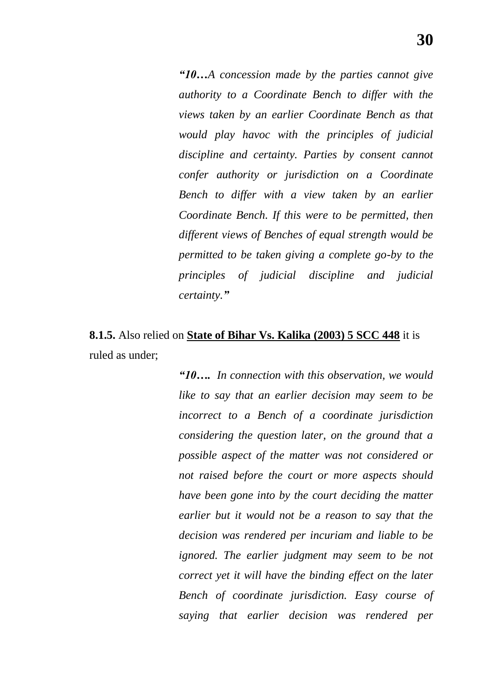*―10…A concession made by the parties cannot give authority to a Coordinate Bench to differ with the views taken by an earlier Coordinate Bench as that would play havoc with the principles of judicial discipline and certainty. Parties by consent cannot confer authority or jurisdiction on a Coordinate Bench to differ with a view taken by an earlier Coordinate Bench. If this were to be permitted, then different views of Benches of equal strength would be permitted to be taken giving a complete go-by to the principles of judicial discipline and judicial certainty.‖*

## **8.1.5.** Also relied on **State of Bihar Vs. Kalika (2003) 5 SCC 448** it is ruled as under;

*―10…. In connection with this observation, we would like to say that an earlier decision may seem to be incorrect to a Bench of a coordinate jurisdiction considering the question later, on the ground that a possible aspect of the matter was not considered or not raised before the court or more aspects should have been gone into by the court deciding the matter earlier but it would not be a reason to say that the decision was rendered per incuriam and liable to be ignored. The earlier judgment may seem to be not correct yet it will have the binding effect on the later Bench of coordinate jurisdiction. Easy course of saying that earlier decision was rendered per*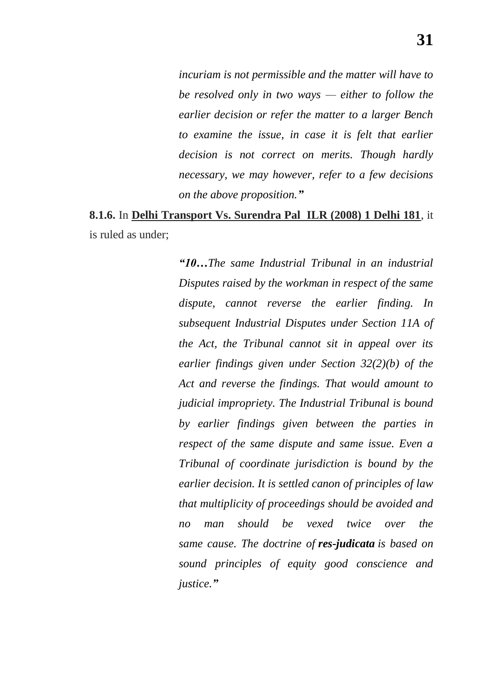*incuriam is not permissible and the matter will have to be resolved only in two ways — either to follow the earlier decision or refer the matter to a larger Bench to examine the issue, in case it is felt that earlier decision is not correct on merits. Though hardly necessary, we may however, refer to a few decisions on the above proposition.‖*

## **8.1.6.** In **Delhi Transport Vs. Surendra Pal ILR (2008) 1 Delhi 181**, it is ruled as under;

*―10…The same Industrial Tribunal in an industrial Disputes raised by the workman in respect of the same dispute, cannot reverse the earlier finding. In subsequent Industrial Disputes under Section 11A of the Act, the Tribunal cannot sit in appeal over its earlier findings given under Section 32(2)(b) of the Act and reverse the findings. That would amount to judicial impropriety. The Industrial Tribunal is bound by earlier findings given between the parties in respect of the same dispute and same issue. Even a Tribunal of coordinate jurisdiction is bound by the earlier decision. It is settled canon of principles of law that multiplicity of proceedings should be avoided and no man should be vexed twice over the same cause. The doctrine of res-judicata is based on sound principles of equity good conscience and justice.‖*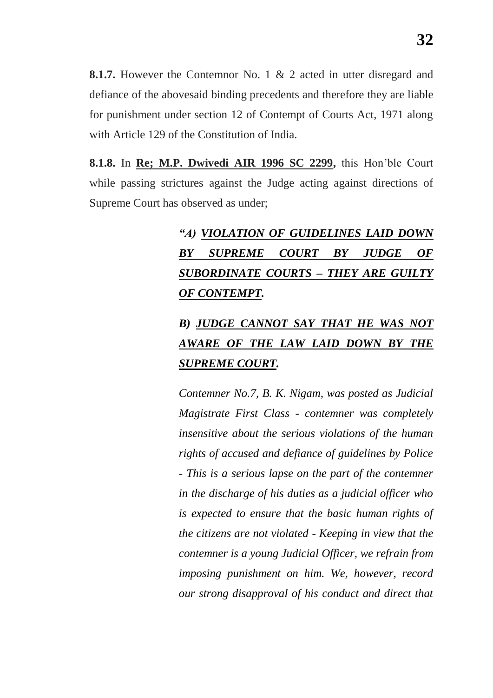**8.1.7.** However the Contemnor No. 1 & 2 acted in utter disregard and defiance of the abovesaid binding precedents and therefore they are liable for punishment under section 12 of Contempt of Courts Act, 1971 along with Article 129 of the Constitution of India.

**8.1.8.** In **Re; M.P. Dwivedi AIR 1996 SC 2299,** this Hon"ble Court while passing strictures against the Judge acting against directions of Supreme Court has observed as under;

# *―A) VIOLATION OF GUIDELINES LAID DOWN BY SUPREME COURT BY JUDGE OF SUBORDINATE COURTS – THEY ARE GUILTY OF CONTEMPT.*

# *B) JUDGE CANNOT SAY THAT HE WAS NOT AWARE OF THE LAW LAID DOWN BY THE SUPREME COURT.*

*Contemner No.7, B. K. Nigam, was posted as Judicial Magistrate First Class - contemner was completely insensitive about the serious violations of the human rights of accused and defiance of guidelines by Police - This is a serious lapse on the part of the contemner in the discharge of his duties as a judicial officer who is expected to ensure that the basic human rights of the citizens are not violated - Keeping in view that the contemner is a young Judicial Officer, we refrain from imposing punishment on him. We, however, record our strong disapproval of his conduct and direct that*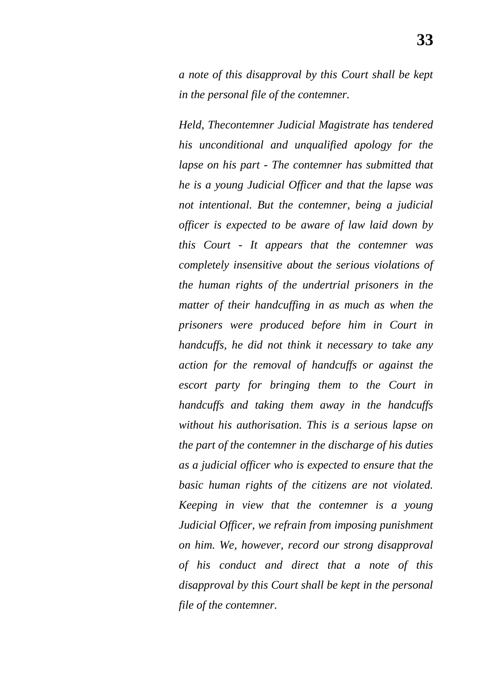*a note of this disapproval by this Court shall be kept in the personal file of the contemner.*

*Held, Thecontemner Judicial Magistrate has tendered his unconditional and unqualified apology for the lapse on his part - The contemner has submitted that he is a young Judicial Officer and that the lapse was not intentional. But the contemner, being a judicial officer is expected to be aware of law laid down by this Court - It appears that the contemner was completely insensitive about the serious violations of the human rights of the undertrial prisoners in the matter of their handcuffing in as much as when the prisoners were produced before him in Court in handcuffs, he did not think it necessary to take any action for the removal of handcuffs or against the escort party for bringing them to the Court in handcuffs and taking them away in the handcuffs without his authorisation. This is a serious lapse on the part of the contemner in the discharge of his duties as a judicial officer who is expected to ensure that the basic human rights of the citizens are not violated. Keeping in view that the contemner is a young Judicial Officer, we refrain from imposing punishment on him. We, however, record our strong disapproval of his conduct and direct that a note of this disapproval by this Court shall be kept in the personal file of the contemner.*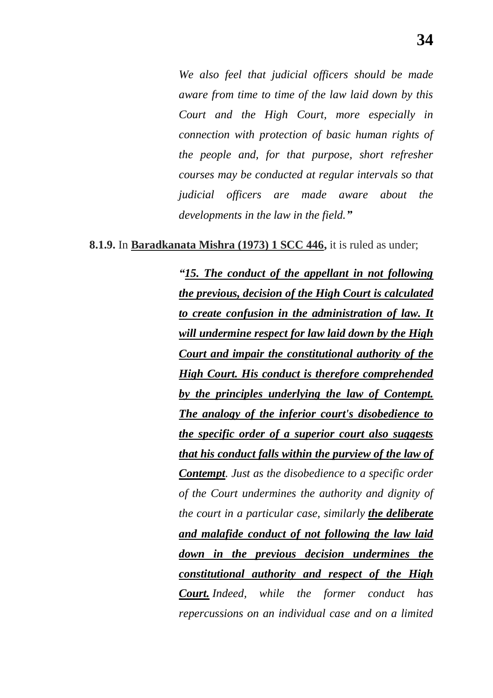*We also feel that judicial officers should be made aware from time to time of the law laid down by this Court and the High Court, more especially in connection with protection of basic human rights of the people and, for that purpose, short refresher courses may be conducted at regular intervals so that judicial officers are made aware about the developments in the law in the field.‖*

**8.1.9.** In **Baradkanata Mishra (1973) 1 SCC 446,** it is ruled as under;

*―15. The conduct of the appellant in not following the previous, decision of the High Court is calculated to create confusion in the administration of law. It will undermine respect for law laid down by the High Court and impair the constitutional authority of the High Court. His conduct is therefore comprehended by the principles underlying the law of Contempt. The analogy of the inferior court's disobedience to the specific order of a superior court also suggests that his conduct falls within the purview of the law of Contempt. Just as the disobedience to a specific order of the Court undermines the authority and dignity of the court in a particular case, similarly the deliberate and malafide conduct of not following the law laid down in the previous decision undermines the constitutional authority and respect of the High Court. Indeed, while the former conduct has repercussions on an individual case and on a limited*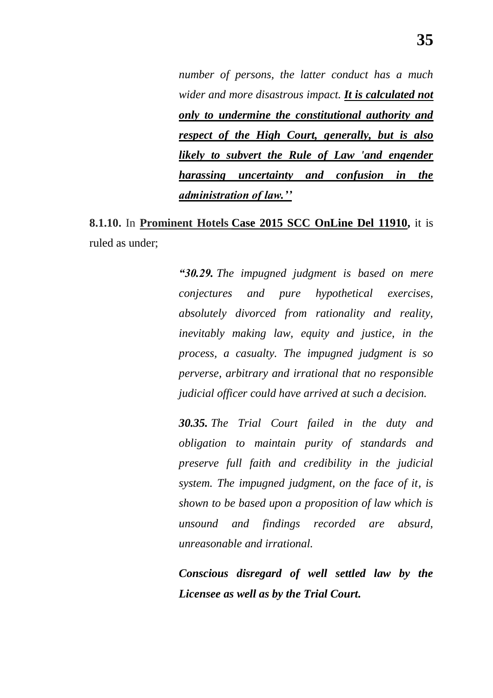*number of persons, the latter conduct has a much wider and more disastrous impact. It is calculated not only to undermine the constitutional authority and respect of the High Court, generally, but is also likely to subvert the Rule of Law 'and engender harassing uncertainty and confusion in the administration of law.''*

**8.1.10.** In **Prominent Hotels Case 2015 SCC OnLine Del 11910,** it is ruled as under;

> *―30.29. The impugned judgment is based on mere conjectures and pure hypothetical exercises, absolutely divorced from rationality and reality, inevitably making law, equity and justice, in the process, a casualty. The impugned judgment is so perverse, arbitrary and irrational that no responsible judicial officer could have arrived at such a decision.*

> *30.35. The Trial Court failed in the duty and obligation to maintain purity of standards and preserve full faith and credibility in the judicial system. The impugned judgment, on the face of it, is shown to be based upon a proposition of law which is unsound and findings recorded are absurd, unreasonable and irrational.*

> *Conscious disregard of well settled law by the Licensee as well as by the Trial Court.*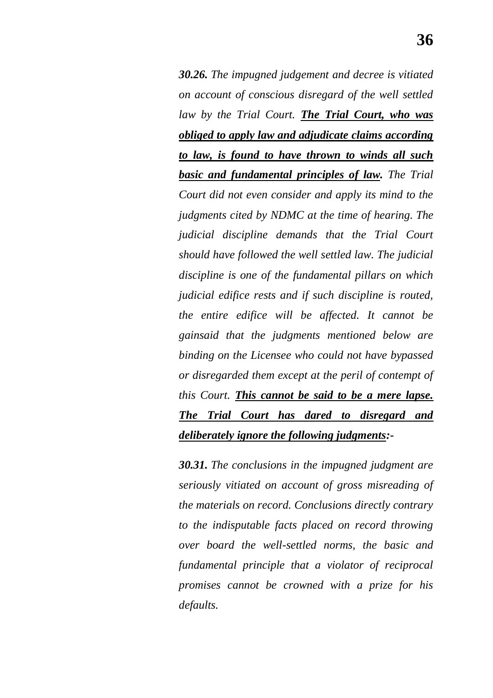*30.26. The impugned judgement and decree is vitiated on account of conscious disregard of the well settled law by the Trial Court. The Trial Court, who was obliged to apply law and adjudicate claims according to law, is found to have thrown to winds all such basic and fundamental principles of law. The Trial Court did not even consider and apply its mind to the judgments cited by NDMC at the time of hearing. The judicial discipline demands that the Trial Court should have followed the well settled law. The judicial discipline is one of the fundamental pillars on which judicial edifice rests and if such discipline is routed, the entire edifice will be affected. It cannot be gainsaid that the judgments mentioned below are binding on the Licensee who could not have bypassed or disregarded them except at the peril of contempt of this Court. This cannot be said to be a mere lapse. The Trial Court has dared to disregard and deliberately ignore the following judgments:-*

*30.31. The conclusions in the impugned judgment are seriously vitiated on account of gross misreading of the materials on record. Conclusions directly contrary to the indisputable facts placed on record throwing over board the well-settled norms, the basic and fundamental principle that a violator of reciprocal promises cannot be crowned with a prize for his defaults.*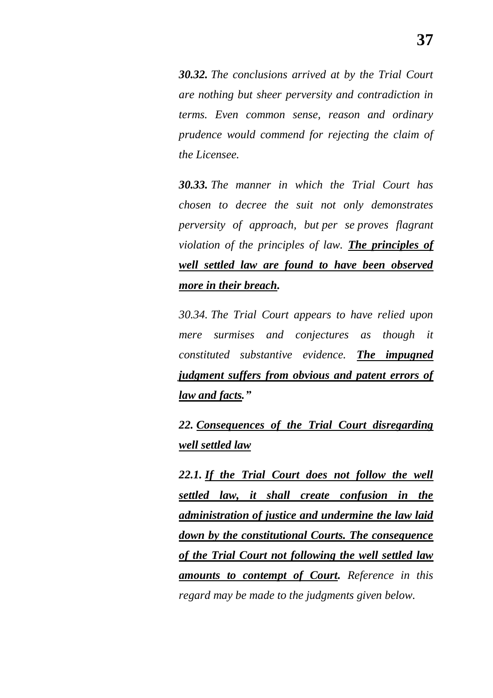*30.32. The conclusions arrived at by the Trial Court are nothing but sheer perversity and contradiction in terms. Even common sense, reason and ordinary prudence would commend for rejecting the claim of the Licensee.*

*30.33. The manner in which the Trial Court has chosen to decree the suit not only demonstrates perversity of approach, but per se proves flagrant violation of the principles of law. The principles of well settled law are found to have been observed more in their breach.*

*30.34. The Trial Court appears to have relied upon mere surmises and conjectures as though it constituted substantive evidence. The impugned judgment suffers from obvious and patent errors of law and facts.‖*

*22. Consequences of the Trial Court disregarding well settled law*

*22.1. If the Trial Court does not follow the well settled law, it shall create confusion in the administration of justice and undermine the law laid down by the constitutional Courts. The consequence of the Trial Court not following the well settled law amounts to contempt of Court. Reference in this regard may be made to the judgments given below.*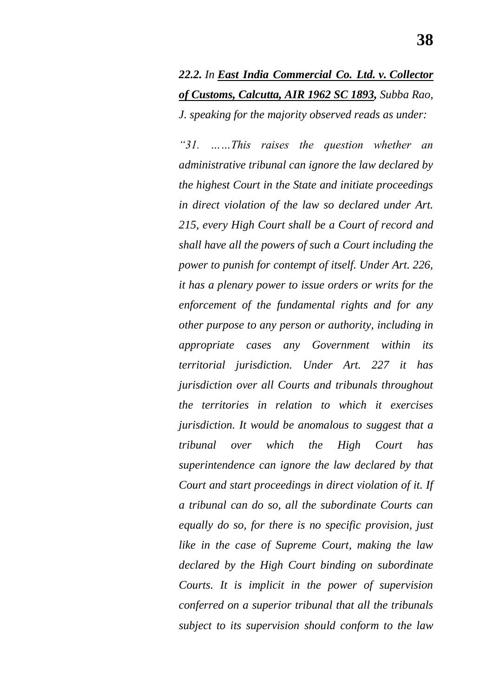*22.2. In East India Commercial Co. Ltd. v. Collector of Customs, Calcutta, AIR 1962 SC 1893, Subba Rao, J. speaking for the majority observed reads as under:*

*―31. ……This raises the question whether an administrative tribunal can ignore the law declared by the highest Court in the State and initiate proceedings in direct violation of the law so declared under Art. 215, every High Court shall be a Court of record and shall have all the powers of such a Court including the power to punish for contempt of itself. Under Art. 226, it has a plenary power to issue orders or writs for the enforcement of the fundamental rights and for any other purpose to any person or authority, including in appropriate cases any Government within its territorial jurisdiction. Under Art. 227 it has jurisdiction over all Courts and tribunals throughout the territories in relation to which it exercises jurisdiction. It would be anomalous to suggest that a tribunal over which the High Court has superintendence can ignore the law declared by that Court and start proceedings in direct violation of it. If a tribunal can do so, all the subordinate Courts can equally do so, for there is no specific provision, just like in the case of Supreme Court, making the law declared by the High Court binding on subordinate Courts. It is implicit in the power of supervision conferred on a superior tribunal that all the tribunals subject to its supervision should conform to the law*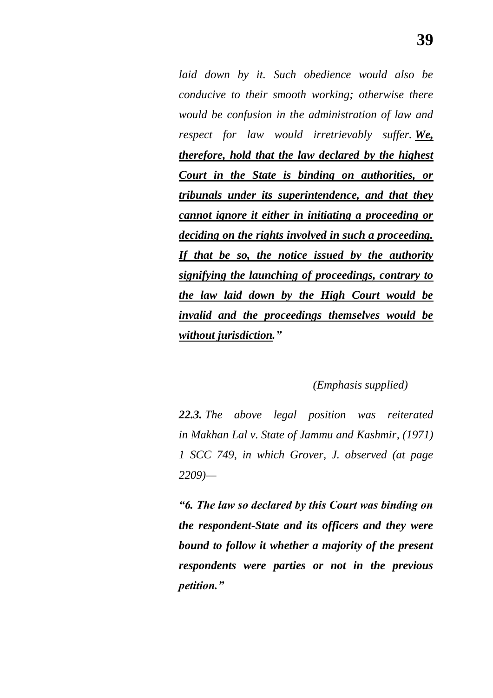*laid down by it. Such obedience would also be conducive to their smooth working; otherwise there would be confusion in the administration of law and respect for law would irretrievably suffer. We, therefore, hold that the law declared by the highest Court in the State is binding on authorities, or tribunals under its superintendence, and that they cannot ignore it either in initiating a proceeding or deciding on the rights involved in such a proceeding. If that be so, the notice issued by the authority signifying the launching of proceedings, contrary to the law laid down by the High Court would be invalid and the proceedings themselves would be without jurisdiction.‖*

### *(Emphasis supplied)*

*22.3. The above legal position was reiterated in Makhan Lal v. State of Jammu and Kashmir, (1971) 1 SCC 749, in which Grover, J. observed (at page 2209)—*

*―6. The law so declared by this Court was binding on the respondent-State and its officers and they were bound to follow it whether a majority of the present respondents were parties or not in the previous petition.‖*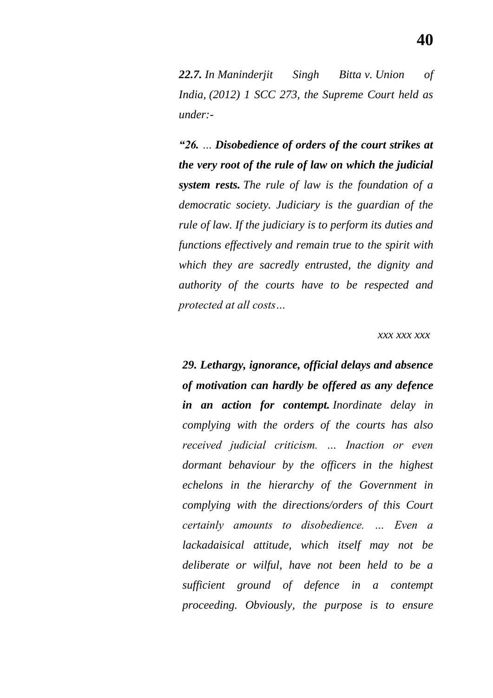*22.7. In Maninderjit Singh Bitta v. Union of India, (2012) 1 SCC 273, the Supreme Court held as under:-*

*―26. … Disobedience of orders of the court strikes at the very root of the rule of law on which the judicial system rests. The rule of law is the foundation of a democratic society. Judiciary is the guardian of the rule of law. If the judiciary is to perform its duties and functions effectively and remain true to the spirit with which they are sacredly entrusted, the dignity and authority of the courts have to be respected and protected at all costs…*

#### *xxx xxx xxx*

*29. Lethargy, ignorance, official delays and absence of motivation can hardly be offered as any defence in an action for contempt. Inordinate delay in complying with the orders of the courts has also received judicial criticism. … Inaction or even dormant behaviour by the officers in the highest echelons in the hierarchy of the Government in complying with the directions/orders of this Court certainly amounts to disobedience. … Even a lackadaisical attitude, which itself may not be deliberate or wilful, have not been held to be a sufficient ground of defence in a contempt proceeding. Obviously, the purpose is to ensure*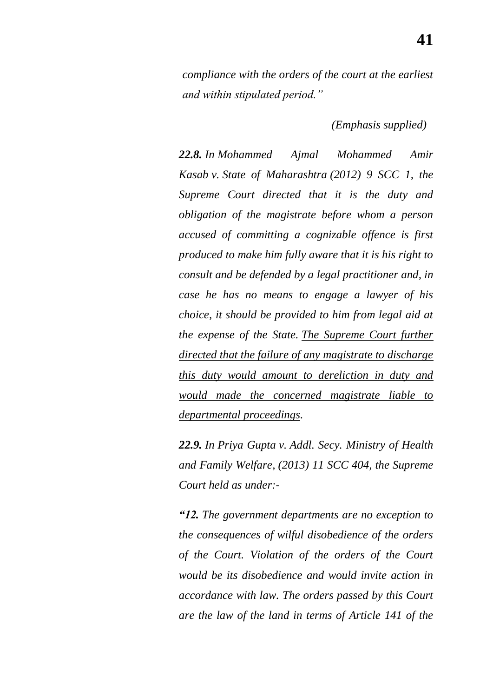*compliance with the orders of the court at the earliest and within stipulated period.‖*

 *(Emphasis supplied)*

*22.8. In Mohammed Ajmal Mohammed Amir Kasab v. State of Maharashtra (2012) 9 SCC 1, the Supreme Court directed that it is the duty and obligation of the magistrate before whom a person accused of committing a cognizable offence is first produced to make him fully aware that it is his right to consult and be defended by a legal practitioner and, in case he has no means to engage a lawyer of his choice, it should be provided to him from legal aid at the expense of the State. The Supreme Court further directed that the failure of any magistrate to discharge this duty would amount to dereliction in duty and would made the concerned magistrate liable to departmental proceedings.* 

*22.9. In Priya Gupta v. Addl. Secy. Ministry of Health and Family Welfare, (2013) 11 SCC 404, the Supreme Court held as under:-*

*―12. The government departments are no exception to the consequences of wilful disobedience of the orders of the Court. Violation of the orders of the Court would be its disobedience and would invite action in accordance with law. The orders passed by this Court are the law of the land in terms of Article 141 of the*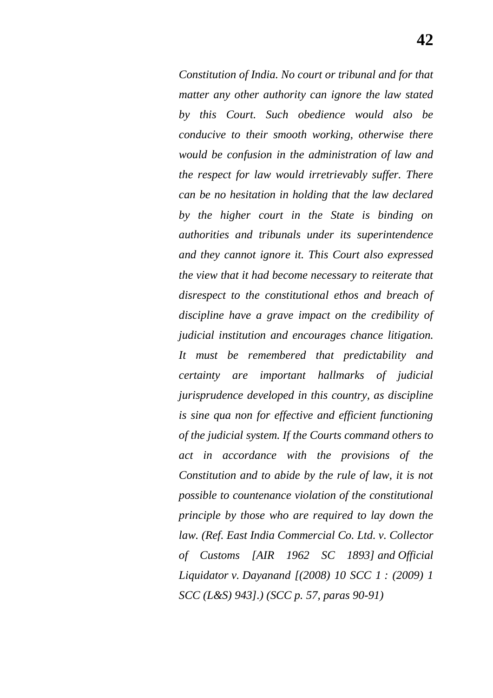*Constitution of India. No court or tribunal and for that matter any other authority can ignore the law stated by this Court. Such obedience would also be conducive to their smooth working, otherwise there would be confusion in the administration of law and the respect for law would irretrievably suffer. There can be no hesitation in holding that the law declared by the higher court in the State is binding on authorities and tribunals under its superintendence and they cannot ignore it. This Court also expressed the view that it had become necessary to reiterate that disrespect to the constitutional ethos and breach of discipline have a grave impact on the credibility of judicial institution and encourages chance litigation. It must be remembered that predictability and certainty are important hallmarks of judicial jurisprudence developed in this country, as discipline is sine qua non for effective and efficient functioning of the judicial system. If the Courts command others to act in accordance with the provisions of the Constitution and to abide by the rule of law, it is not possible to countenance violation of the constitutional principle by those who are required to lay down the law. (Ref. East India Commercial Co. Ltd. v. Collector of Customs [AIR 1962 SC 1893] and Official Liquidator v. Dayanand [(2008) 10 SCC 1 : (2009) 1 SCC (L&S) 943].) (SCC p. 57, paras 90-91)*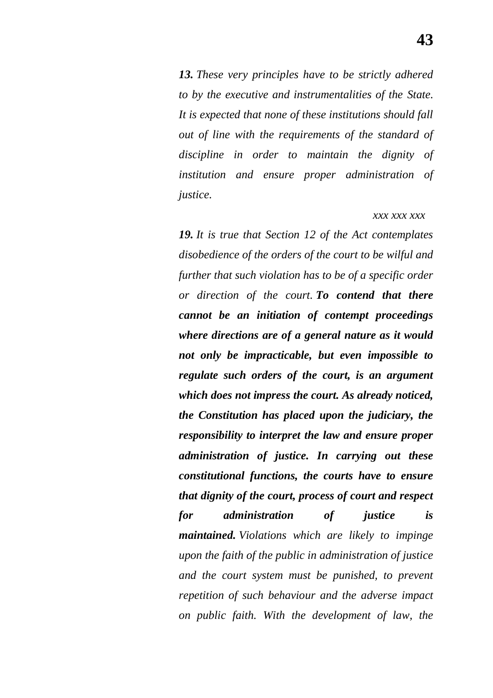*13. These very principles have to be strictly adhered to by the executive and instrumentalities of the State. It is expected that none of these institutions should fall out of line with the requirements of the standard of discipline in order to maintain the dignity of institution and ensure proper administration of justice.*

#### *xxx xxx xxx*

*19. It is true that Section 12 of the Act contemplates disobedience of the orders of the court to be wilful and further that such violation has to be of a specific order or direction of the court. To contend that there cannot be an initiation of contempt proceedings where directions are of a general nature as it would not only be impracticable, but even impossible to regulate such orders of the court, is an argument which does not impress the court. As already noticed, the Constitution has placed upon the judiciary, the responsibility to interpret the law and ensure proper administration of justice. In carrying out these constitutional functions, the courts have to ensure that dignity of the court, process of court and respect for administration of justice is maintained. Violations which are likely to impinge upon the faith of the public in administration of justice and the court system must be punished, to prevent repetition of such behaviour and the adverse impact on public faith. With the development of law, the*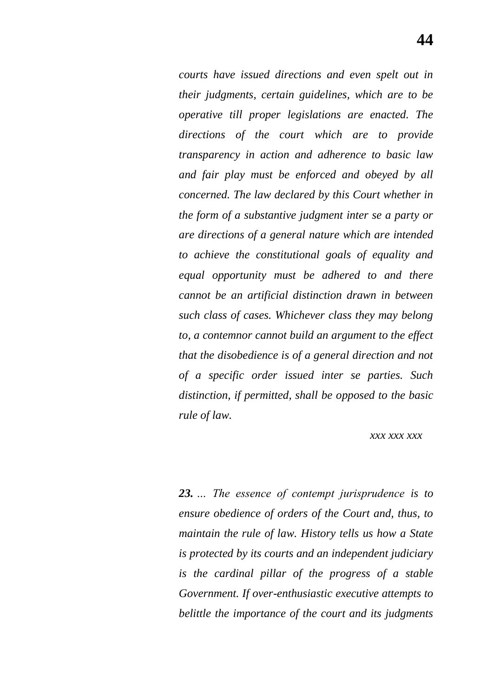*courts have issued directions and even spelt out in their judgments, certain guidelines, which are to be operative till proper legislations are enacted. The directions of the court which are to provide transparency in action and adherence to basic law and fair play must be enforced and obeyed by all concerned. The law declared by this Court whether in the form of a substantive judgment inter se a party or are directions of a general nature which are intended to achieve the constitutional goals of equality and equal opportunity must be adhered to and there cannot be an artificial distinction drawn in between such class of cases. Whichever class they may belong to, a contemnor cannot build an argument to the effect that the disobedience is of a general direction and not of a specific order issued inter se parties. Such distinction, if permitted, shall be opposed to the basic rule of law.*

#### *xxx xxx xxx*

*23. … The essence of contempt jurisprudence is to ensure obedience of orders of the Court and, thus, to maintain the rule of law. History tells us how a State is protected by its courts and an independent judiciary is the cardinal pillar of the progress of a stable Government. If over-enthusiastic executive attempts to belittle the importance of the court and its judgments*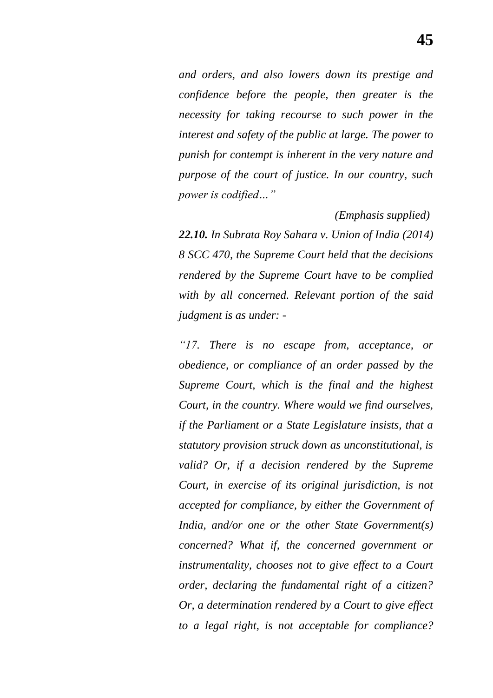*and orders, and also lowers down its prestige and confidence before the people, then greater is the necessity for taking recourse to such power in the interest and safety of the public at large. The power to punish for contempt is inherent in the very nature and purpose of the court of justice. In our country, such power is codified…‖*

 *(Emphasis supplied)*

*22.10. In Subrata Roy Sahara v. Union of India (2014) 8 SCC 470, the Supreme Court held that the decisions rendered by the Supreme Court have to be complied with by all concerned. Relevant portion of the said judgment is as under: -*

*―17. There is no escape from, acceptance, or obedience, or compliance of an order passed by the Supreme Court, which is the final and the highest Court, in the country. Where would we find ourselves, if the Parliament or a State Legislature insists, that a statutory provision struck down as unconstitutional, is valid? Or, if a decision rendered by the Supreme Court, in exercise of its original jurisdiction, is not accepted for compliance, by either the Government of India, and/or one or the other State Government(s) concerned? What if, the concerned government or instrumentality, chooses not to give effect to a Court order, declaring the fundamental right of a citizen? Or, a determination rendered by a Court to give effect to a legal right, is not acceptable for compliance?*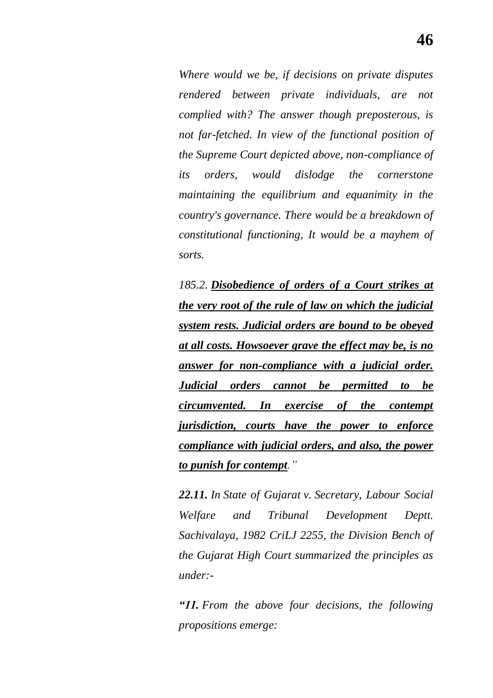*Where would we be, if decisions on private disputes rendered between private individuals, are not complied with? The answer though preposterous, is not far-fetched. In view of the functional position of the Supreme Court depicted above, non-compliance of its orders, would dislodge the cornerstone maintaining the equilibrium and equanimity in the country's governance. There would be a breakdown of constitutional functioning, It would be a mayhem of sorts.*

*185.2. Disobedience of orders of a Court strikes at the very root of the rule of law on which the judicial system rests. Judicial orders are bound to be obeyed at all costs. Howsoever grave the effect may be, is no answer for non-compliance with a judicial order. Judicial orders cannot be permitted to be circumvented. In exercise of the contempt jurisdiction, courts have the power to enforce compliance with judicial orders, and also, the power to punish for contempt.‖*

*22.11. In State of Gujarat v. Secretary, Labour Social Welfare and Tribunal Development Deptt. Sachivalaya, 1982 CriLJ 2255, the Division Bench of the Gujarat High Court summarized the principles as under:-*

*―11. From the above four decisions, the following propositions emerge:*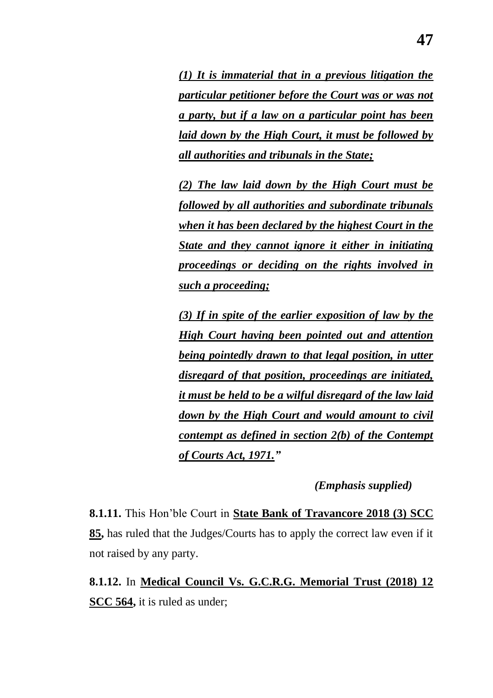*(1) It is immaterial that in a previous litigation the particular petitioner before the Court was or was not a party, but if a law on a particular point has been laid down by the High Court, it must be followed by all authorities and tribunals in the State;*

*(2) The law laid down by the High Court must be followed by all authorities and subordinate tribunals when it has been declared by the highest Court in the State and they cannot ignore it either in initiating proceedings or deciding on the rights involved in such a proceeding;*

*(3) If in spite of the earlier exposition of law by the High Court having been pointed out and attention being pointedly drawn to that legal position, in utter disregard of that position, proceedings are initiated, it must be held to be a wilful disregard of the law laid down by the High Court and would amount to civil contempt as defined in section 2(b) of the Contempt of Courts Act, 1971.‖*

 *(Emphasis supplied)*

**8.1.11.** This Hon"ble Court in **State Bank of Travancore 2018 (3) SCC 85,** has ruled that the Judges/Courts has to apply the correct law even if it not raised by any party.

**8.1.12.** In **Medical Council Vs. G.C.R.G. Memorial Trust (2018) 12 SCC 564,** it is ruled as under;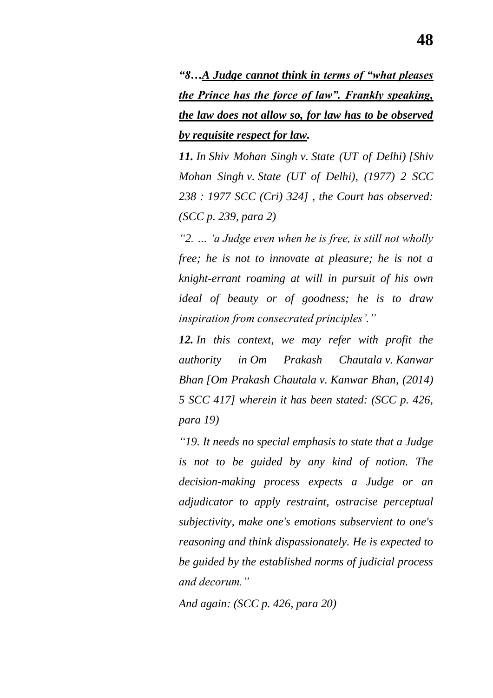*―8…A Judge cannot think in terms of ―what pleases the Prince has the force of law". Frankly speaking, the law does not allow so, for law has to be observed by requisite respect for law.*

*11. In Shiv Mohan Singh v. State (UT of Delhi) [Shiv Mohan Singh v. State (UT of Delhi), (1977) 2 SCC 238 : 1977 SCC (Cri) 324] , the Court has observed: (SCC p. 239, para 2)*

*―2. … ‗a Judge even when he is free, is still not wholly free; he is not to innovate at pleasure; he is not a knight-errant roaming at will in pursuit of his own ideal of beauty or of goodness; he is to draw inspiration from consecrated principles'.‖*

*12. In this context, we may refer with profit the authority in Om Prakash Chautala v. Kanwar Bhan [Om Prakash Chautala v. Kanwar Bhan, (2014) 5 SCC 417] wherein it has been stated: (SCC p. 426, para 19)*

*―19. It needs no special emphasis to state that a Judge is not to be guided by any kind of notion. The decision-making process expects a Judge or an adjudicator to apply restraint, ostracise perceptual subjectivity, make one's emotions subservient to one's reasoning and think dispassionately. He is expected to be guided by the established norms of judicial process and decorum.‖*

*And again: (SCC p. 426, para 20)*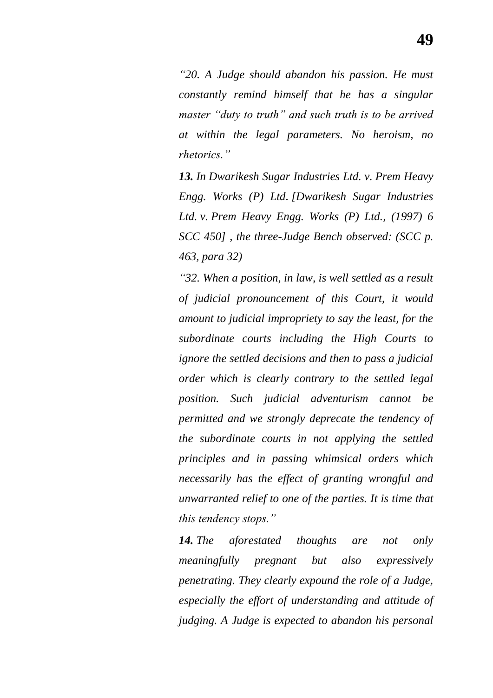*―20. A Judge should abandon his passion. He must constantly remind himself that he has a singular*  master "*duty to truth*" and such truth is to be arrived *at within the legal parameters. No heroism, no rhetorics.‖*

*13. In Dwarikesh Sugar Industries Ltd. v. Prem Heavy Engg. Works (P) Ltd. [Dwarikesh Sugar Industries Ltd. v. Prem Heavy Engg. Works (P) Ltd., (1997) 6 SCC 450] , the three-Judge Bench observed: (SCC p. 463, para 32)*

*―32. When a position, in law, is well settled as a result of judicial pronouncement of this Court, it would amount to judicial impropriety to say the least, for the subordinate courts including the High Courts to ignore the settled decisions and then to pass a judicial order which is clearly contrary to the settled legal position. Such judicial adventurism cannot be permitted and we strongly deprecate the tendency of the subordinate courts in not applying the settled principles and in passing whimsical orders which necessarily has the effect of granting wrongful and unwarranted relief to one of the parties. It is time that this tendency stops.*"

*14. The aforestated thoughts are not only meaningfully pregnant but also expressively penetrating. They clearly expound the role of a Judge, especially the effort of understanding and attitude of judging. A Judge is expected to abandon his personal*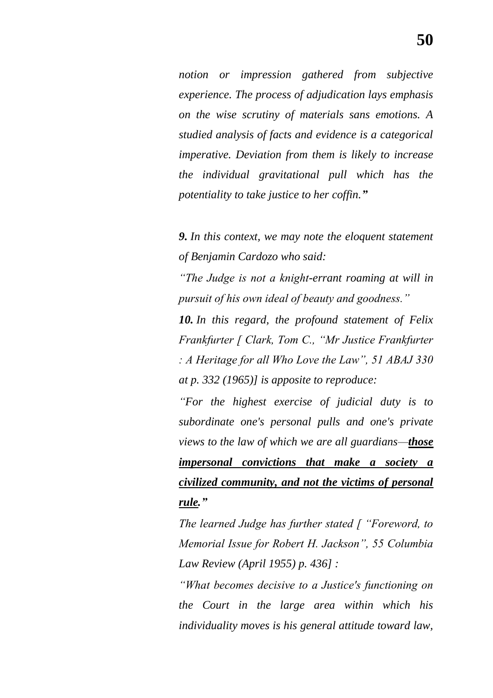*notion or impression gathered from subjective experience. The process of adjudication lays emphasis on the wise scrutiny of materials sans emotions. A studied analysis of facts and evidence is a categorical imperative. Deviation from them is likely to increase the individual gravitational pull which has the potentiality to take justice to her coffin.‖*

*9. In this context, we may note the eloquent statement of Benjamin Cardozo who said:*

*―The Judge is not a knight-errant roaming at will in pursuit of his own ideal of beauty and goodness.‖*

*10. In this regard, the profound statement of Felix Frankfurter [ Clark, Tom C., "Mr Justice Frankfurter : A Heritage for all Who Love the Law‖, 51 ABAJ 330 at p. 332 (1965)] is apposite to reproduce:*

*―For the highest exercise of judicial duty is to subordinate one's personal pulls and one's private views to the law of which we are all guardians—those impersonal convictions that make a society a civilized community, and not the victims of personal rule.‖*

*The learned Judge has further stated [ "Foreword, to Memorial Issue for Robert H. Jackson‖, 55 Columbia Law Review (April 1955) p. 436] :*

*―What becomes decisive to a Justice's functioning on the Court in the large area within which his individuality moves is his general attitude toward law,*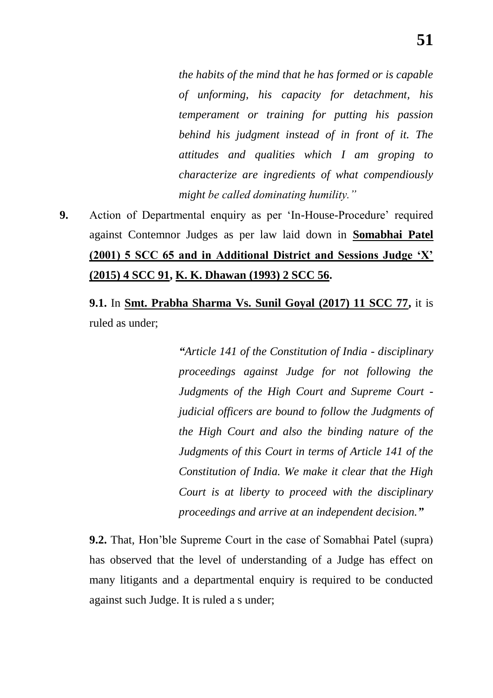*the habits of the mind that he has formed or is capable of unforming, his capacity for detachment, his temperament or training for putting his passion behind his judgment instead of in front of it. The attitudes and qualities which I am groping to characterize are ingredients of what compendiously might be called dominating humility.‖*

**9.** Action of Departmental enquiry as per 'In-House-Procedure' required against Contemnor Judges as per law laid down in **Somabhai Patel (2001) 5 SCC 65 and in Additional District and Sessions Judge "X" (2015) 4 SCC 91, K. K. Dhawan (1993) 2 SCC 56.**

**9.1.** In **Smt. Prabha Sharma Vs. Sunil Goyal (2017) 11 SCC 77,** it is ruled as under;

> *―Article 141 of the Constitution of India - disciplinary proceedings against Judge for not following the Judgments of the High Court and Supreme Court judicial officers are bound to follow the Judgments of the High Court and also the binding nature of the Judgments of this Court in terms of Article 141 of the Constitution of India. We make it clear that the High Court is at liberty to proceed with the disciplinary proceedings and arrive at an independent decision.‖*

**9.2.** That, Hon"ble Supreme Court in the case of Somabhai Patel (supra) has observed that the level of understanding of a Judge has effect on many litigants and a departmental enquiry is required to be conducted against such Judge. It is ruled a s under;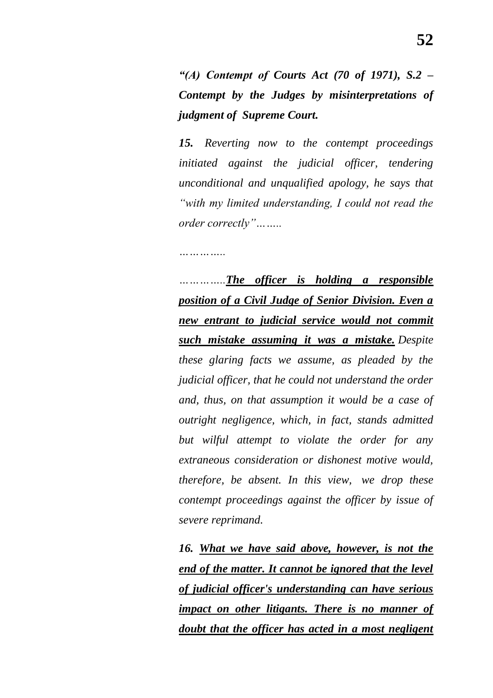*―(A) Contempt of Courts Act (70 of 1971), S.2 – Contempt by the Judges by misinterpretations of judgment of Supreme Court.*

*15. Reverting now to the contempt proceedings initiated against the judicial officer, tendering unconditional and unqualified apology, he says that ―with my limited understanding, I could not read the order correctly‖……..*

*…………..*

*…………..The officer is holding a responsible position of a Civil Judge of Senior Division. Even a new entrant to judicial service would not commit such mistake assuming it was a mistake. Despite these glaring facts we assume, as pleaded by the judicial officer, that he could not understand the order and, thus, on that assumption it would be a case of outright negligence, which, in fact, stands admitted but wilful attempt to violate the order for any extraneous consideration or dishonest motive would, therefore, be absent. In this view, we drop these contempt proceedings against the officer by issue of severe reprimand.*

*16. What we have said above, however, is not the end of the matter. It cannot be ignored that the level of judicial officer's understanding can have serious impact on other litigants. There is no manner of doubt that the officer has acted in a most negligent*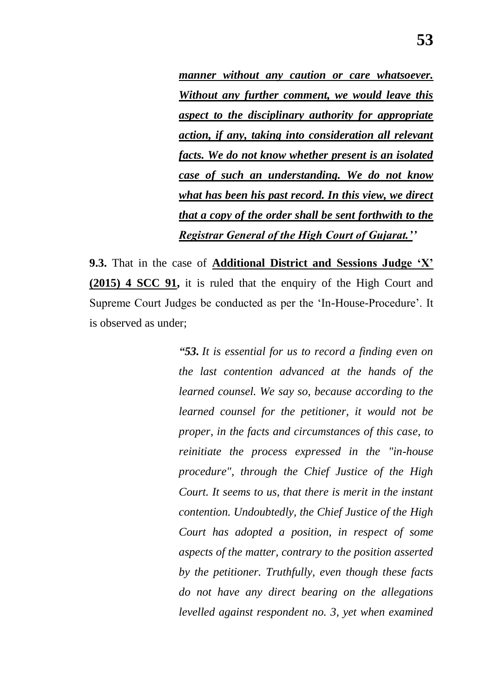*manner without any caution or care whatsoever. Without any further comment, we would leave this aspect to the disciplinary authority for appropriate action, if any, taking into consideration all relevant facts. We do not know whether present is an isolated case of such an understanding. We do not know what has been his past record. In this view, we direct that a copy of the order shall be sent forthwith to the Registrar General of the High Court of Gujarat.''*

**9.3.** That in the case of **Additional District and Sessions Judge "X" (2015) 4 SCC 91,** it is ruled that the enquiry of the High Court and Supreme Court Judges be conducted as per the "In-House-Procedure". It is observed as under;

> *―53. It is essential for us to record a finding even on the last contention advanced at the hands of the learned counsel. We say so, because according to the learned counsel for the petitioner, it would not be proper, in the facts and circumstances of this case, to reinitiate the process expressed in the "in-house procedure", through the Chief Justice of the High Court. It seems to us, that there is merit in the instant contention. Undoubtedly, the Chief Justice of the High Court has adopted a position, in respect of some aspects of the matter, contrary to the position asserted by the petitioner. Truthfully, even though these facts do not have any direct bearing on the allegations levelled against respondent no. 3, yet when examined*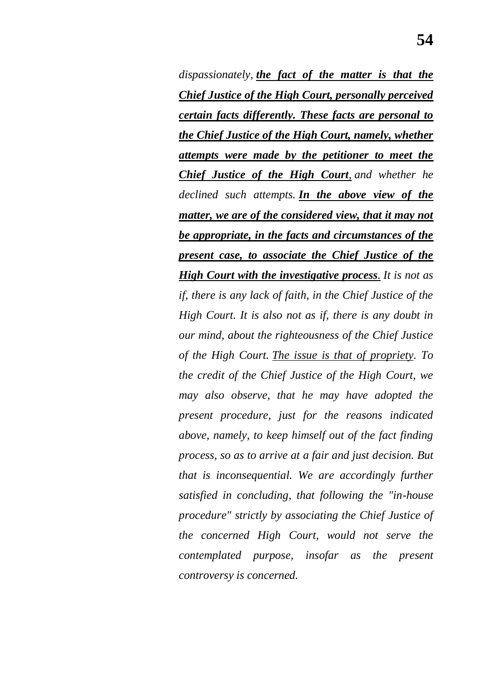*dispassionately, the fact of the matter is that the Chief Justice of the High Court, personally perceived certain facts differently. These facts are personal to the Chief Justice of the High Court, namely, whether attempts were made by the petitioner to meet the Chief Justice of the High Court, and whether he declined such attempts. In the above view of the matter, we are of the considered view, that it may not be appropriate, in the facts and circumstances of the present case, to associate the Chief Justice of the High Court with the investigative process. It is not as if, there is any lack of faith, in the Chief Justice of the High Court. It is also not as if, there is any doubt in our mind, about the righteousness of the Chief Justice of the High Court. The issue is that of propriety. To the credit of the Chief Justice of the High Court, we may also observe, that he may have adopted the present procedure, just for the reasons indicated above, namely, to keep himself out of the fact finding process, so as to arrive at a fair and just decision. But that is inconsequential. We are accordingly further satisfied in concluding, that following the "in-house procedure" strictly by associating the Chief Justice of the concerned High Court, would not serve the contemplated purpose, insofar as the present controversy is concerned.*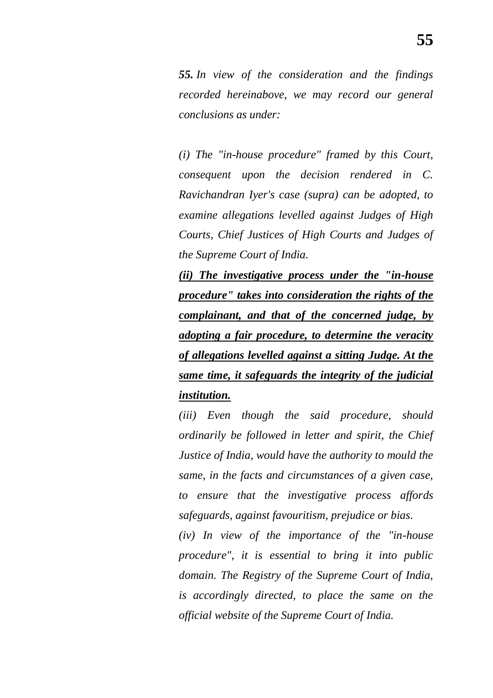*55. In view of the consideration and the findings recorded hereinabove, we may record our general conclusions as under:*

*(i) The "in-house procedure" framed by this Court, consequent upon the decision rendered in C. Ravichandran Iyer's case (supra) can be adopted, to examine allegations levelled against Judges of High Courts, Chief Justices of High Courts and Judges of the Supreme Court of India.*

*(ii) The investigative process under the "in-house procedure" takes into consideration the rights of the complainant, and that of the concerned judge, by adopting a fair procedure, to determine the veracity of allegations levelled against a sitting Judge. At the same time, it safeguards the integrity of the judicial institution.*

*(iii) Even though the said procedure, should ordinarily be followed in letter and spirit, the Chief Justice of India, would have the authority to mould the same, in the facts and circumstances of a given case, to ensure that the investigative process affords safeguards, against favouritism, prejudice or bias.*

*(iv) In view of the importance of the "in-house procedure", it is essential to bring it into public domain. The Registry of the Supreme Court of India, is accordingly directed, to place the same on the official website of the Supreme Court of India.*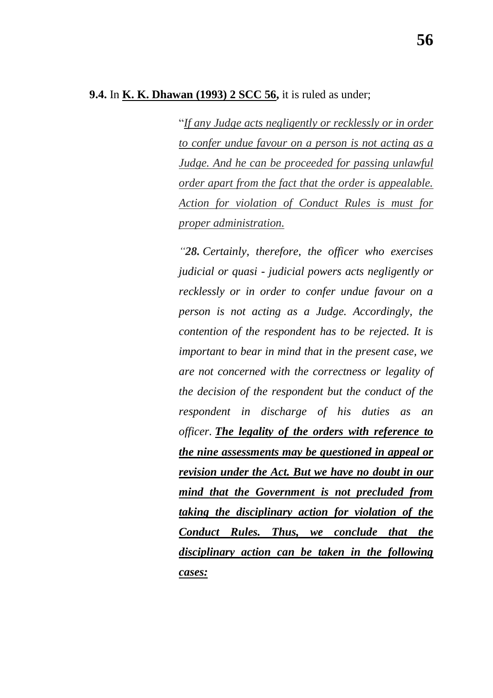"*If any Judge acts negligently or recklessly or in order to confer undue favour on a person is not acting as a Judge. And he can be proceeded for passing unlawful order apart from the fact that the order is appealable. Action for violation of Conduct Rules is must for proper administration.*

*―28. Certainly, therefore, the officer who exercises judicial or quasi - judicial powers acts negligently or recklessly or in order to confer undue favour on a person is not acting as a Judge. Accordingly, the contention of the respondent has to be rejected. It is important to bear in mind that in the present case, we are not concerned with the correctness or legality of the decision of the respondent but the conduct of the respondent in discharge of his duties as an officer. The legality of the orders with reference to the nine assessments may be questioned in appeal or revision under the Act. But we have no doubt in our mind that the Government is not precluded from taking the disciplinary action for violation of the Conduct Rules. Thus, we conclude that the disciplinary action can be taken in the following cases:*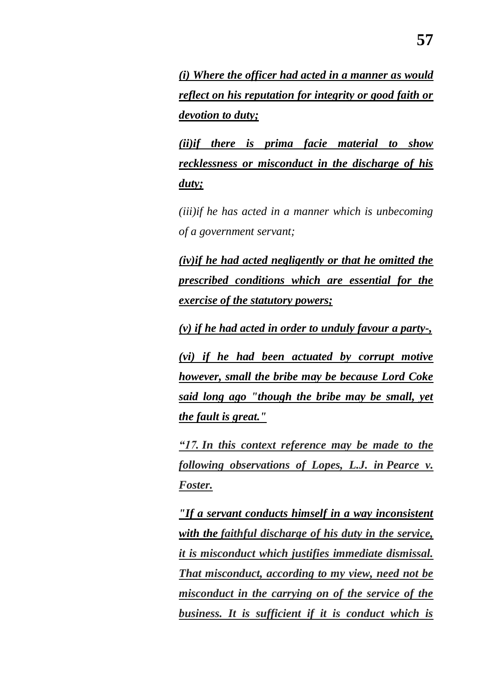*(i) Where the officer had acted in a manner as would reflect on his reputation for integrity or good faith or devotion to duty;*

*(ii)if there is prima facie material to show recklessness or misconduct in the discharge of his duty;*

*(iii)if he has acted in a manner which is unbecoming of a government servant;*

*(iv)if he had acted negligently or that he omitted the prescribed conditions which are essential for the exercise of the statutory powers;*

*(v) if he had acted in order to unduly favour a party-,*

*(vi) if he had been actuated by corrupt motive however, small the bribe may be because Lord Coke said long ago "though the bribe may be small, yet the fault is great."*

*―17. In this context reference may be made to the following observations of Lopes, L.J. in Pearce v. Foster.*

*"If a servant conducts himself in a way inconsistent with the faithful discharge of his duty in the service, it is misconduct which justifies immediate dismissal. That misconduct, according to my view, need not be misconduct in the carrying on of the service of the business. It is sufficient if it is conduct which is*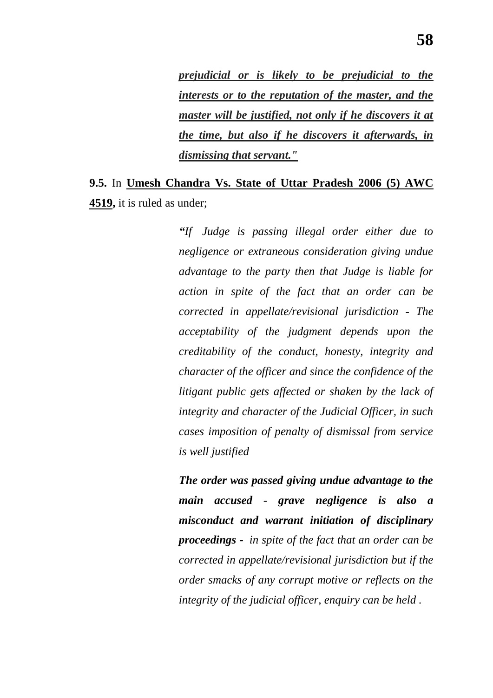*prejudicial or is likely to be prejudicial to the interests or to the reputation of the master, and the master will be justified, not only if he discovers it at the time, but also if he discovers it afterwards, in dismissing that servant."* 

## **9.5.** In **Umesh Chandra Vs. State of Uttar Pradesh 2006 (5) AWC 4519,** it is ruled as under;

*―If Judge is passing illegal order either due to negligence or extraneous consideration giving undue advantage to the party then that Judge is liable for action in spite of the fact that an order can be corrected in appellate/revisional jurisdiction - The acceptability of the judgment depends upon the creditability of the conduct, honesty, integrity and character of the officer and since the confidence of the litigant public gets affected or shaken by the lack of integrity and character of the Judicial Officer, in such cases imposition of penalty of dismissal from service is well justified*

*The order was passed giving undue advantage to the main accused - grave negligence is also a misconduct and warrant initiation of disciplinary proceedings - in spite of the fact that an order can be corrected in appellate/revisional jurisdiction but if the order smacks of any corrupt motive or reflects on the integrity of the judicial officer, enquiry can be held .*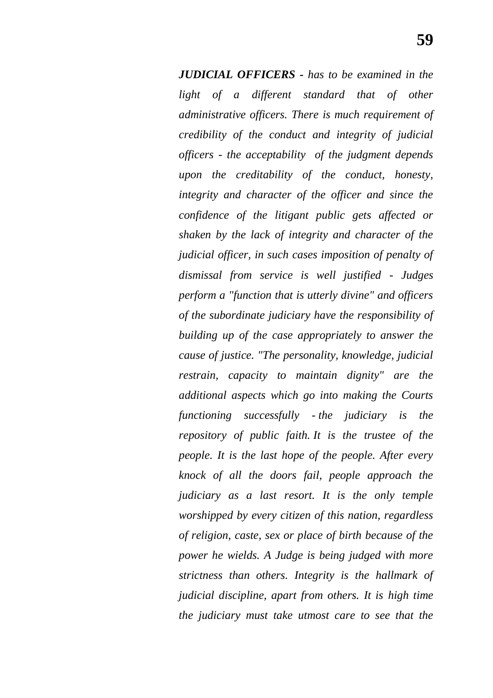*JUDICIAL OFFICERS - has to be examined in the light of a different standard that of other administrative officers. There is much requirement of credibility of the conduct and integrity of judicial officers - the acceptability of the judgment depends upon the creditability of the conduct, honesty, integrity and character of the officer and since the confidence of the litigant public gets affected or shaken by the lack of integrity and character of the judicial officer, in such cases imposition of penalty of dismissal from service is well justified - Judges perform a "function that is utterly divine" and officers of the subordinate judiciary have the responsibility of building up of the case appropriately to answer the cause of justice. "The personality, knowledge, judicial restrain, capacity to maintain dignity" are the additional aspects which go into making the Courts functioning successfully - the judiciary is the repository of public faith. It is the trustee of the people. It is the last hope of the people. After every knock of all the doors fail, people approach the judiciary as a last resort. It is the only temple worshipped by every citizen of this nation, regardless of religion, caste, sex or place of birth because of the power he wields. A Judge is being judged with more strictness than others. Integrity is the hallmark of judicial discipline, apart from others. It is high time the judiciary must take utmost care to see that the*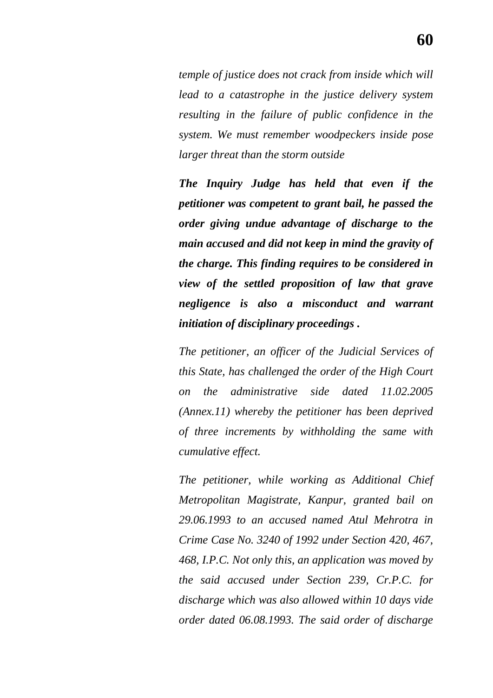*temple of justice does not crack from inside which will lead to a catastrophe in the justice delivery system resulting in the failure of public confidence in the system. We must remember woodpeckers inside pose larger threat than the storm outside*

*The Inquiry Judge has held that even if the petitioner was competent to grant bail, he passed the order giving undue advantage of discharge to the main accused and did not keep in mind the gravity of the charge. This finding requires to be considered in view of the settled proposition of law that grave negligence is also a misconduct and warrant initiation of disciplinary proceedings .*

*The petitioner, an officer of the Judicial Services of this State, has challenged the order of the High Court on the administrative side dated 11.02.2005 (Annex.11) whereby the petitioner has been deprived of three increments by withholding the same with cumulative effect.*

*The petitioner, while working as Additional Chief Metropolitan Magistrate, Kanpur, granted bail on 29.06.1993 to an accused named Atul Mehrotra in Crime Case No. 3240 of 1992 under Section 420, 467, 468, I.P.C. Not only this, an application was moved by the said accused under Section 239, Cr.P.C. for discharge which was also allowed within 10 days vide order dated 06.08.1993. The said order of discharge*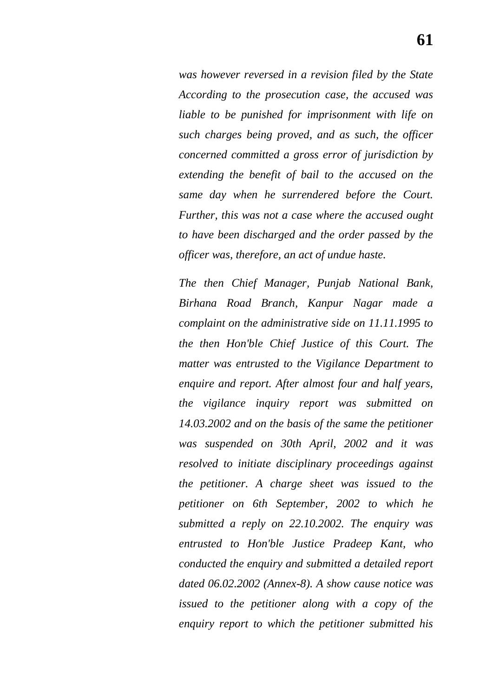*was however reversed in a revision filed by the State According to the prosecution case, the accused was liable to be punished for imprisonment with life on such charges being proved, and as such, the officer concerned committed a gross error of jurisdiction by extending the benefit of bail to the accused on the same day when he surrendered before the Court. Further, this was not a case where the accused ought to have been discharged and the order passed by the officer was, therefore, an act of undue haste.*

*The then Chief Manager, Punjab National Bank, Birhana Road Branch, Kanpur Nagar made a complaint on the administrative side on 11.11.1995 to the then Hon'ble Chief Justice of this Court. The matter was entrusted to the Vigilance Department to enquire and report. After almost four and half years, the vigilance inquiry report was submitted on 14.03.2002 and on the basis of the same the petitioner was suspended on 30th April, 2002 and it was resolved to initiate disciplinary proceedings against the petitioner. A charge sheet was issued to the petitioner on 6th September, 2002 to which he submitted a reply on 22.10.2002. The enquiry was entrusted to Hon'ble Justice Pradeep Kant, who conducted the enquiry and submitted a detailed report dated 06.02.2002 (Annex-8). A show cause notice was issued to the petitioner along with a copy of the enquiry report to which the petitioner submitted his*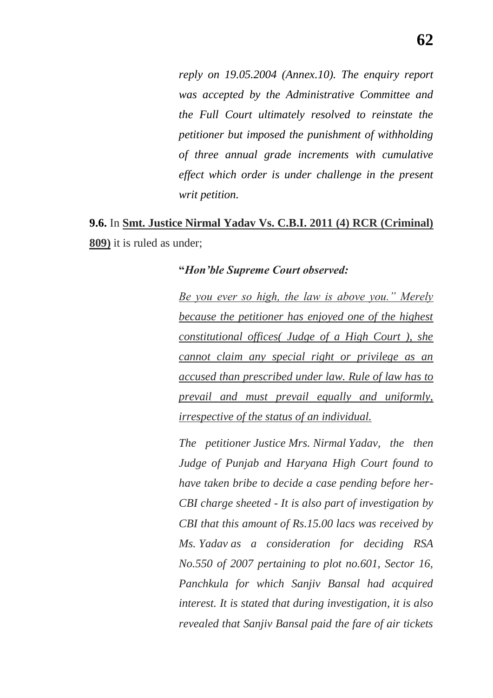*reply on 19.05.2004 (Annex.10). The enquiry report was accepted by the Administrative Committee and the Full Court ultimately resolved to reinstate the petitioner but imposed the punishment of withholding of three annual grade increments with cumulative effect which order is under challenge in the present writ petition.*

# **9.6.** In **Smt. Justice Nirmal Yadav Vs. C.B.I. 2011 (4) RCR (Criminal) 809)** it is ruled as under;

### **"***Hon'ble Supreme Court observed:*

Be you ever so high, the law is above you." Merely *because the petitioner has enjoyed one of the highest constitutional offices( Judge of a High Court ), she cannot claim any special right or privilege as an accused than prescribed under law. Rule of law has to prevail and must prevail equally and uniformly, irrespective of the status of an individual.*

*The petitioner Justice Mrs. Nirmal Yadav, the then Judge of Punjab and Haryana High Court found to have taken bribe to decide a case pending before her-CBI charge sheeted - It is also part of investigation by CBI that this amount of Rs.15.00 lacs was received by Ms. Yadav as a consideration for deciding RSA No.550 of 2007 pertaining to plot no.601, Sector 16, Panchkula for which Sanjiv Bansal had acquired interest. It is stated that during investigation, it is also revealed that Sanjiv Bansal paid the fare of air tickets*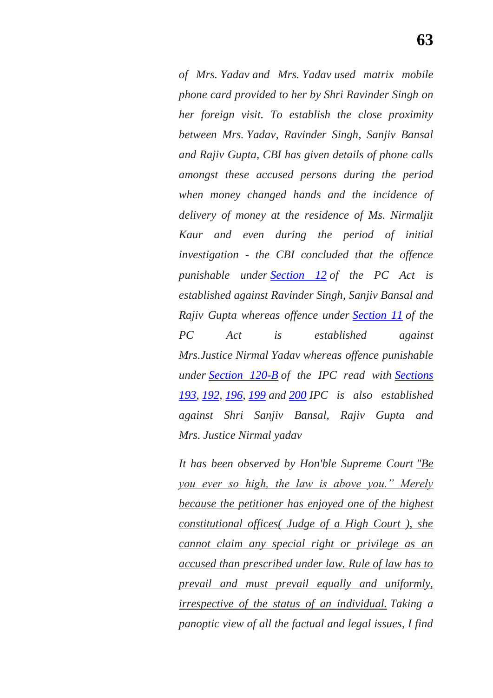*of Mrs. Yadav and Mrs. Yadav used matrix mobile phone card provided to her by Shri Ravinder Singh on her foreign visit. To establish the close proximity between Mrs. Yadav, Ravinder Singh, Sanjiv Bansal and Rajiv Gupta, CBI has given details of phone calls amongst these accused persons during the period when money changed hands and the incidence of delivery of money at the residence of Ms. Nirmaljit Kaur and even during the period of initial investigation - the CBI concluded that the offence punishable under [Section 12](https://indiankanoon.org/doc/642316/) of the PC Act is established against Ravinder Singh, Sanjiv Bansal and Rajiv Gupta whereas offence under [Section 11](https://indiankanoon.org/doc/1973776/) of the PC Act is established against Mrs.Justice Nirmal Yadav whereas offence punishable under [Section 120-B](https://indiankanoon.org/doc/1897847/) of the IPC read with [Sections](https://indiankanoon.org/doc/308396/)  [193,](https://indiankanoon.org/doc/308396/) [192,](https://indiankanoon.org/doc/1905297/) [196,](https://indiankanoon.org/doc/814524/) [199](https://indiankanoon.org/doc/739296/) and [200](https://indiankanoon.org/doc/943588/) IPC is also established against Shri Sanjiv Bansal, Rajiv Gupta and Mrs. Justice Nirmal yadav*

*It has been observed by Hon'ble Supreme Court "Be you ever so high, the law is above you.*" Merely *because the petitioner has enjoyed one of the highest constitutional offices( Judge of a High Court ), she cannot claim any special right or privilege as an accused than prescribed under law. Rule of law has to prevail and must prevail equally and uniformly, irrespective of the status of an individual. Taking a panoptic view of all the factual and legal issues, I find*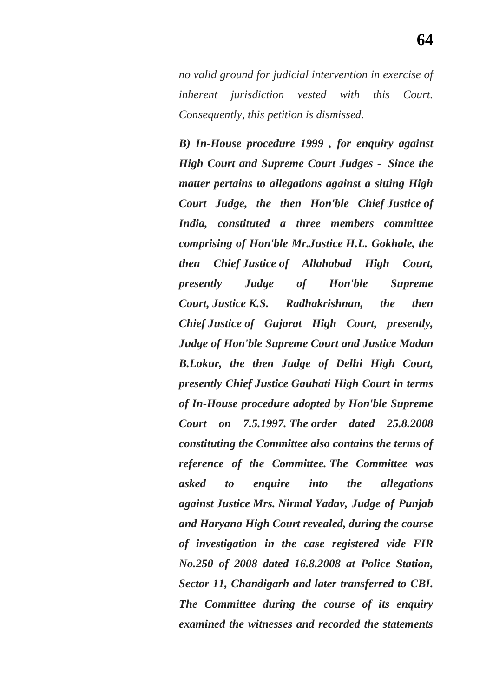*no valid ground for judicial intervention in exercise of inherent jurisdiction vested with this Court. Consequently, this petition is dismissed.*

*B) In-House procedure 1999 , for enquiry against High Court and Supreme Court Judges - Since the matter pertains to allegations against a sitting High Court Judge, the then Hon'ble Chief Justice of India, constituted a three members committee comprising of Hon'ble Mr.Justice H.L. Gokhale, the then Chief Justice of Allahabad High Court, presently Judge of Hon'ble Supreme Court, Justice K.S. Radhakrishnan, the then Chief Justice of Gujarat High Court, presently, Judge of Hon'ble Supreme Court and Justice Madan B.Lokur, the then Judge of Delhi High Court, presently Chief Justice Gauhati High Court in terms of In-House procedure adopted by Hon'ble Supreme Court on 7.5.1997. The order dated 25.8.2008 constituting the Committee also contains the terms of reference of the Committee. The Committee was asked to enquire into the allegations against Justice Mrs. Nirmal Yadav, Judge of Punjab and Haryana High Court revealed, during the course of investigation in the case registered vide FIR No.250 of 2008 dated 16.8.2008 at Police Station, Sector 11, Chandigarh and later transferred to CBI. The Committee during the course of its enquiry examined the witnesses and recorded the statements*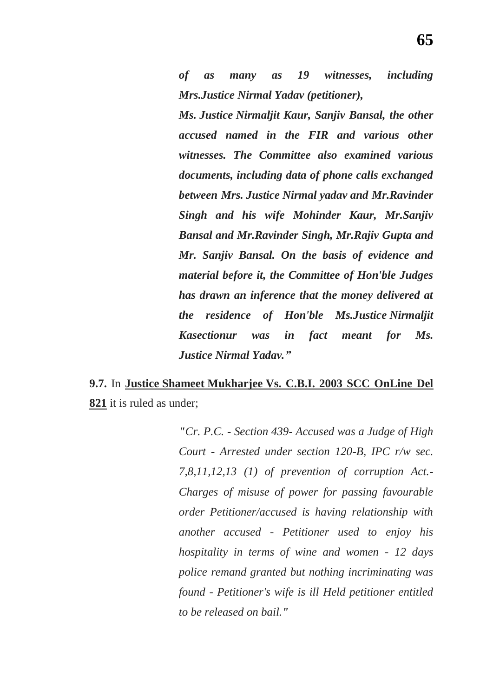*of as many as 19 witnesses, including Mrs.Justice Nirmal Yadav (petitioner),* 

*Ms. Justice Nirmaljit Kaur, Sanjiv Bansal, the other accused named in the FIR and various other witnesses. The Committee also examined various documents, including data of phone calls exchanged between Mrs. Justice Nirmal yadav and Mr.Ravinder Singh and his wife Mohinder Kaur, Mr.Sanjiv Bansal and Mr.Ravinder Singh, Mr.Rajiv Gupta and Mr. Sanjiv Bansal. On the basis of evidence and material before it, the Committee of Hon'ble Judges has drawn an inference that the money delivered at the residence of Hon'ble Ms.Justice Nirmaljit Kasectionur was in fact meant for Ms. Justice Nirmal Yadav.‖*

### **9.7.** In **Justice Shameet Mukharjee Vs. C.B.I. 2003 SCC OnLine Del 821** it is ruled as under;

*"Cr. P.C. - Section 439- Accused was a Judge of High Court - Arrested under section 120-B, IPC r/w sec. 7,8,11,12,13 (1) of prevention of corruption Act.- Charges of misuse of power for passing favourable order Petitioner/accused is having relationship with another accused - Petitioner used to enjoy his hospitality in terms of wine and women - 12 days police remand granted but nothing incriminating was found - Petitioner's wife is ill Held petitioner entitled to be released on bail."*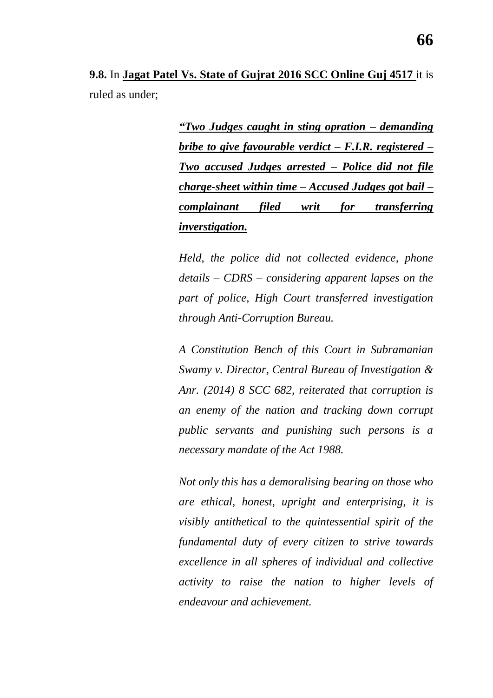**9.8.** In **Jagat Patel Vs. State of Gujrat 2016 SCC Online Guj 4517** it is ruled as under;

> *―Two Judges caught in sting opration – demanding bribe to give favourable verdict – F.I.R. registered – Two accused Judges arrested – Police did not file charge-sheet within time – Accused Judges got bail – complainant filed writ for transferring inverstigation.*

> *Held, the police did not collected evidence, phone details – CDRS – considering apparent lapses on the part of police, High Court transferred investigation through Anti-Corruption Bureau.*

> *A Constitution Bench of this Court in Subramanian Swamy v. Director, Central Bureau of Investigation & Anr. (2014) 8 SCC 682, reiterated that corruption is an enemy of the nation and tracking down corrupt public servants and punishing such persons is a necessary mandate of the Act 1988.*

> *Not only this has a demoralising bearing on those who are ethical, honest, upright and enterprising, it is visibly antithetical to the quintessential spirit of the fundamental duty of every citizen to strive towards excellence in all spheres of individual and collective activity to raise the nation to higher levels of endeavour and achievement.*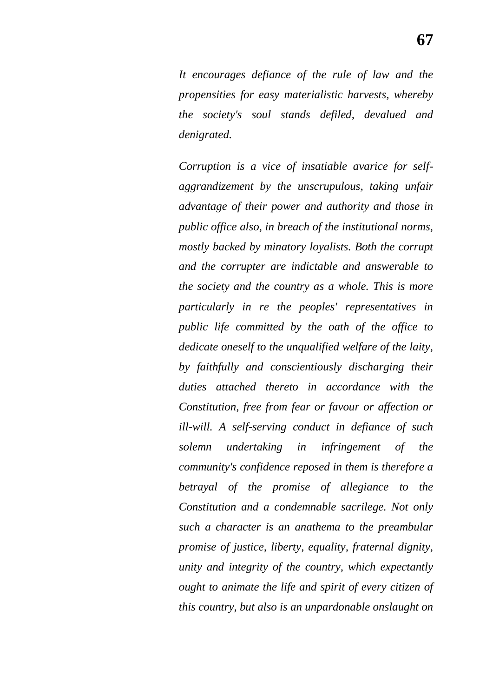*It encourages defiance of the rule of law and the propensities for easy materialistic harvests, whereby the society's soul stands defiled, devalued and denigrated.*

*Corruption is a vice of insatiable avarice for selfaggrandizement by the unscrupulous, taking unfair advantage of their power and authority and those in public office also, in breach of the institutional norms, mostly backed by minatory loyalists. Both the corrupt and the corrupter are indictable and answerable to the society and the country as a whole. This is more particularly in re the peoples' representatives in public life committed by the oath of the office to dedicate oneself to the unqualified welfare of the laity, by faithfully and conscientiously discharging their duties attached thereto in accordance with the Constitution, free from fear or favour or affection or ill-will. A self-serving conduct in defiance of such solemn undertaking in infringement of the community's confidence reposed in them is therefore a betrayal of the promise of allegiance to the Constitution and a condemnable sacrilege. Not only such a character is an anathema to the preambular promise of justice, liberty, equality, fraternal dignity, unity and integrity of the country, which expectantly ought to animate the life and spirit of every citizen of this country, but also is an unpardonable onslaught on*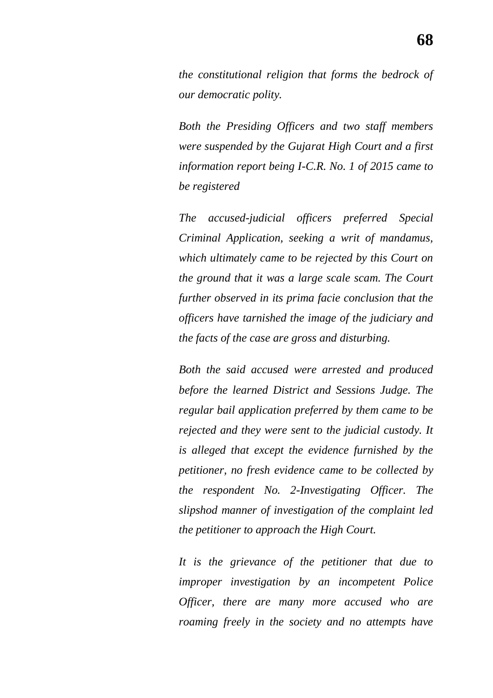*the constitutional religion that forms the bedrock of our democratic polity.*

*Both the Presiding Officers and two staff members were suspended by the Gujarat High Court and a first information report being I-C.R. No. 1 of 2015 came to be registered*

*The accused-judicial officers preferred Special Criminal Application, seeking a writ of mandamus, which ultimately came to be rejected by this Court on the ground that it was a large scale scam. The Court further observed in its prima facie conclusion that the officers have tarnished the image of the judiciary and the facts of the case are gross and disturbing.*

*Both the said accused were arrested and produced before the learned District and Sessions Judge. The regular bail application preferred by them came to be rejected and they were sent to the judicial custody. It is alleged that except the evidence furnished by the petitioner, no fresh evidence came to be collected by the respondent No. 2-Investigating Officer. The slipshod manner of investigation of the complaint led the petitioner to approach the High Court.*

*It is the grievance of the petitioner that due to improper investigation by an incompetent Police Officer, there are many more accused who are roaming freely in the society and no attempts have*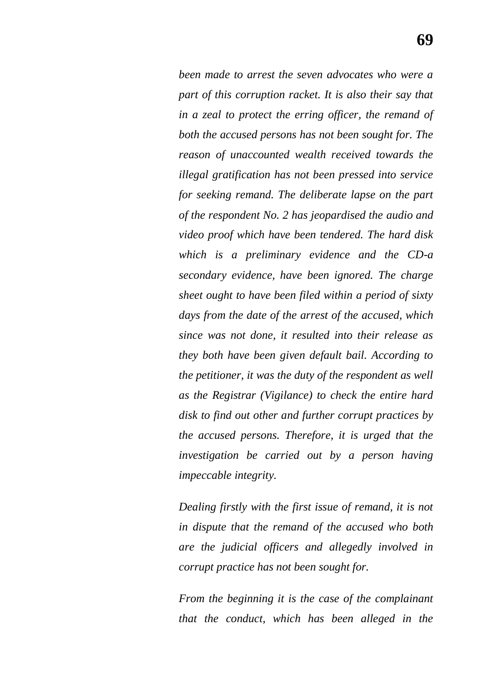*been made to arrest the seven advocates who were a part of this corruption racket. It is also their say that in a zeal to protect the erring officer, the remand of both the accused persons has not been sought for. The reason of unaccounted wealth received towards the illegal gratification has not been pressed into service for seeking remand. The deliberate lapse on the part of the respondent No. 2 has jeopardised the audio and video proof which have been tendered. The hard disk which is a preliminary evidence and the CD-a secondary evidence, have been ignored. The charge sheet ought to have been filed within a period of sixty days from the date of the arrest of the accused, which since was not done, it resulted into their release as they both have been given default bail. According to the petitioner, it was the duty of the respondent as well as the Registrar (Vigilance) to check the entire hard disk to find out other and further corrupt practices by the accused persons. Therefore, it is urged that the investigation be carried out by a person having impeccable integrity.*

*Dealing firstly with the first issue of remand, it is not in dispute that the remand of the accused who both are the judicial officers and allegedly involved in corrupt practice has not been sought for.*

*From the beginning it is the case of the complainant that the conduct, which has been alleged in the*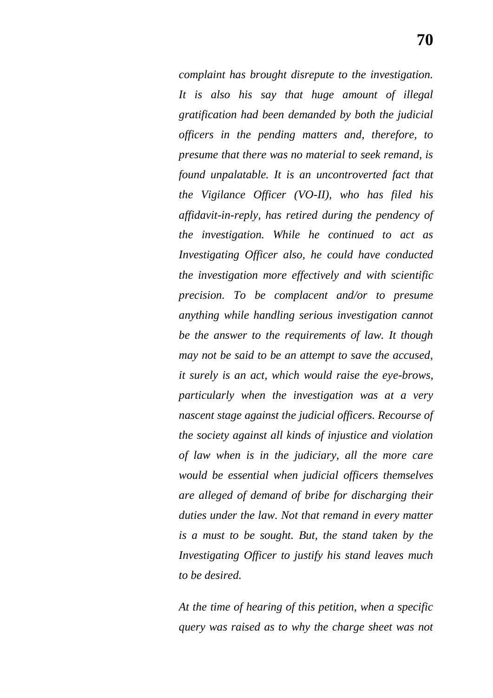*complaint has brought disrepute to the investigation. It is also his say that huge amount of illegal gratification had been demanded by both the judicial officers in the pending matters and, therefore, to presume that there was no material to seek remand, is found unpalatable. It is an uncontroverted fact that the Vigilance Officer (VO-II), who has filed his affidavit-in-reply, has retired during the pendency of the investigation. While he continued to act as Investigating Officer also, he could have conducted the investigation more effectively and with scientific precision. To be complacent and/or to presume anything while handling serious investigation cannot be the answer to the requirements of law. It though may not be said to be an attempt to save the accused, it surely is an act, which would raise the eye-brows, particularly when the investigation was at a very nascent stage against the judicial officers. Recourse of the society against all kinds of injustice and violation of law when is in the judiciary, all the more care would be essential when judicial officers themselves are alleged of demand of bribe for discharging their duties under the law. Not that remand in every matter is a must to be sought. But, the stand taken by the Investigating Officer to justify his stand leaves much to be desired.*

*At the time of hearing of this petition, when a specific query was raised as to why the charge sheet was not*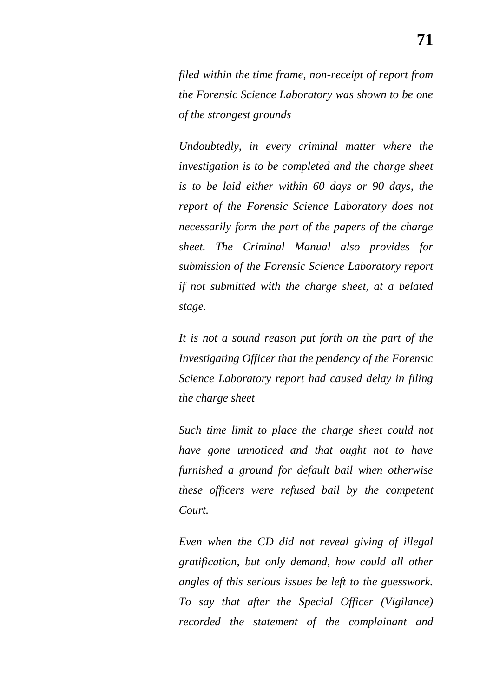*filed within the time frame, non-receipt of report from the Forensic Science Laboratory was shown to be one of the strongest grounds*

*Undoubtedly, in every criminal matter where the investigation is to be completed and the charge sheet is to be laid either within 60 days or 90 days, the report of the Forensic Science Laboratory does not necessarily form the part of the papers of the charge sheet. The Criminal Manual also provides for submission of the Forensic Science Laboratory report if not submitted with the charge sheet, at a belated stage.*

*It is not a sound reason put forth on the part of the Investigating Officer that the pendency of the Forensic Science Laboratory report had caused delay in filing the charge sheet*

*Such time limit to place the charge sheet could not have gone unnoticed and that ought not to have furnished a ground for default bail when otherwise these officers were refused bail by the competent Court.*

*Even when the CD did not reveal giving of illegal gratification, but only demand, how could all other angles of this serious issues be left to the guesswork. To say that after the Special Officer (Vigilance) recorded the statement of the complainant and*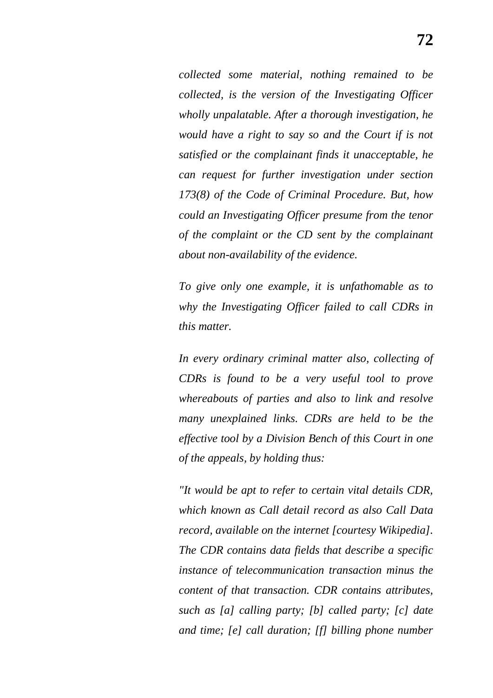*collected some material, nothing remained to be collected, is the version of the Investigating Officer wholly unpalatable. After a thorough investigation, he would have a right to say so and the Court if is not satisfied or the complainant finds it unacceptable, he can request for further investigation under section 173(8) of the Code of Criminal Procedure. But, how could an Investigating Officer presume from the tenor of the complaint or the CD sent by the complainant about non-availability of the evidence.*

*To give only one example, it is unfathomable as to why the Investigating Officer failed to call CDRs in this matter.*

*In every ordinary criminal matter also, collecting of CDRs is found to be a very useful tool to prove whereabouts of parties and also to link and resolve many unexplained links. CDRs are held to be the effective tool by a Division Bench of this Court in one of the appeals, by holding thus:*

*"It would be apt to refer to certain vital details CDR, which known as Call detail record as also Call Data record, available on the internet [courtesy Wikipedia]. The CDR contains data fields that describe a specific instance of telecommunication transaction minus the content of that transaction. CDR contains attributes, such as [a] calling party; [b] called party; [c] date and time; [e] call duration; [f] billing phone number*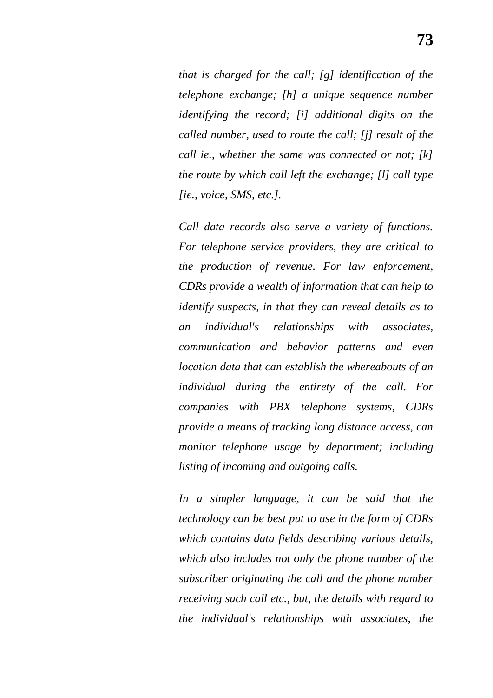*that is charged for the call; [g] identification of the telephone exchange; [h] a unique sequence number identifying the record; [i] additional digits on the called number, used to route the call; [j] result of the call ie., whether the same was connected or not; [k] the route by which call left the exchange; [l] call type [ie., voice, SMS, etc.].*

*Call data records also serve a variety of functions. For telephone service providers, they are critical to the production of revenue. For law enforcement, CDRs provide a wealth of information that can help to identify suspects, in that they can reveal details as to an individual's relationships with associates, communication and behavior patterns and even location data that can establish the whereabouts of an individual during the entirety of the call. For companies with PBX telephone systems, CDRs provide a means of tracking long distance access, can monitor telephone usage by department; including listing of incoming and outgoing calls.*

*In a simpler language, it can be said that the technology can be best put to use in the form of CDRs which contains data fields describing various details, which also includes not only the phone number of the subscriber originating the call and the phone number receiving such call etc., but, the details with regard to the individual's relationships with associates, the*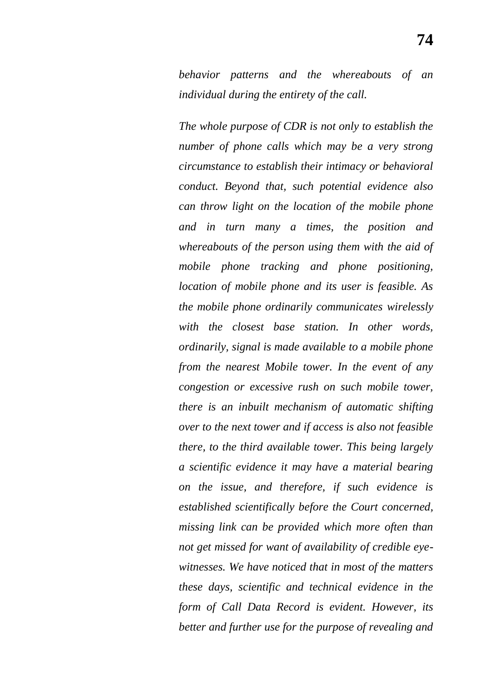*behavior patterns and the whereabouts of an individual during the entirety of the call.*

*The whole purpose of CDR is not only to establish the number of phone calls which may be a very strong circumstance to establish their intimacy or behavioral conduct. Beyond that, such potential evidence also can throw light on the location of the mobile phone and in turn many a times, the position and whereabouts of the person using them with the aid of mobile phone tracking and phone positioning, location of mobile phone and its user is feasible. As the mobile phone ordinarily communicates wirelessly with the closest base station. In other words, ordinarily, signal is made available to a mobile phone from the nearest Mobile tower. In the event of any congestion or excessive rush on such mobile tower, there is an inbuilt mechanism of automatic shifting over to the next tower and if access is also not feasible there, to the third available tower. This being largely a scientific evidence it may have a material bearing on the issue, and therefore, if such evidence is established scientifically before the Court concerned, missing link can be provided which more often than not get missed for want of availability of credible eyewitnesses. We have noticed that in most of the matters these days, scientific and technical evidence in the form of Call Data Record is evident. However, its better and further use for the purpose of revealing and*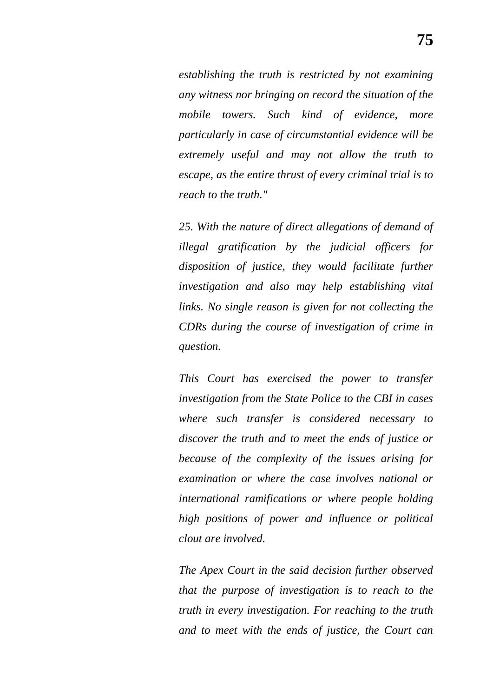*establishing the truth is restricted by not examining any witness nor bringing on record the situation of the mobile towers. Such kind of evidence, more particularly in case of circumstantial evidence will be extremely useful and may not allow the truth to escape, as the entire thrust of every criminal trial is to reach to the truth."*

*25. With the nature of direct allegations of demand of illegal gratification by the judicial officers for disposition of justice, they would facilitate further investigation and also may help establishing vital links. No single reason is given for not collecting the CDRs during the course of investigation of crime in question.*

*This Court has exercised the power to transfer investigation from the State Police to the CBI in cases where such transfer is considered necessary to discover the truth and to meet the ends of justice or because of the complexity of the issues arising for examination or where the case involves national or international ramifications or where people holding high positions of power and influence or political clout are involved.*

*The Apex Court in the said decision further observed that the purpose of investigation is to reach to the truth in every investigation. For reaching to the truth and to meet with the ends of justice, the Court can*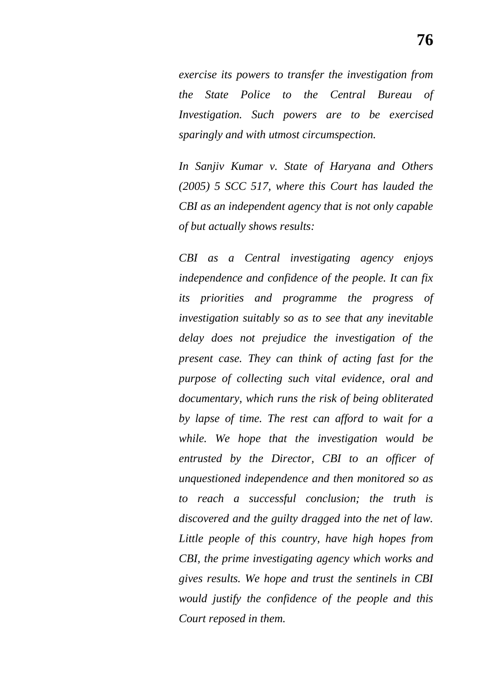*exercise its powers to transfer the investigation from the State Police to the Central Bureau of Investigation. Such powers are to be exercised sparingly and with utmost circumspection.*

*In Sanjiv Kumar v. State of Haryana and Others (2005) 5 SCC 517, where this Court has lauded the CBI as an independent agency that is not only capable of but actually shows results:*

*CBI as a Central investigating agency enjoys independence and confidence of the people. It can fix its priorities and programme the progress of investigation suitably so as to see that any inevitable delay does not prejudice the investigation of the present case. They can think of acting fast for the purpose of collecting such vital evidence, oral and documentary, which runs the risk of being obliterated by lapse of time. The rest can afford to wait for a while. We hope that the investigation would be entrusted by the Director, CBI to an officer of unquestioned independence and then monitored so as to reach a successful conclusion; the truth is discovered and the guilty dragged into the net of law. Little people of this country, have high hopes from CBI, the prime investigating agency which works and gives results. We hope and trust the sentinels in CBI would justify the confidence of the people and this Court reposed in them.*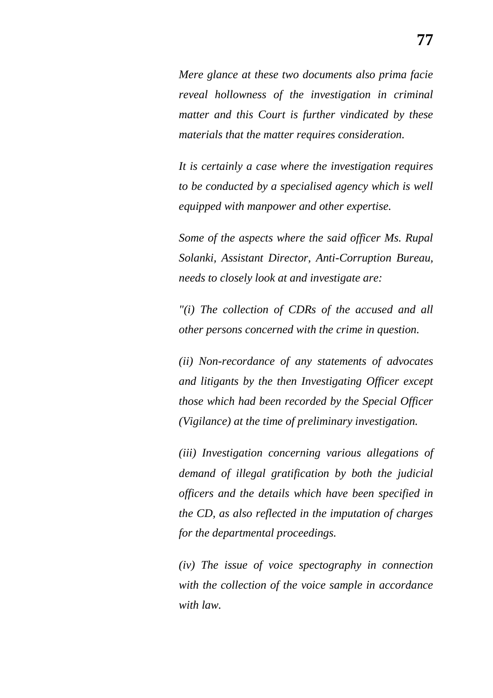*Mere glance at these two documents also prima facie reveal hollowness of the investigation in criminal matter and this Court is further vindicated by these materials that the matter requires consideration.*

*It is certainly a case where the investigation requires to be conducted by a specialised agency which is well equipped with manpower and other expertise.*

*Some of the aspects where the said officer Ms. Rupal Solanki, Assistant Director, Anti-Corruption Bureau, needs to closely look at and investigate are:*

*"(i) The collection of CDRs of the accused and all other persons concerned with the crime in question.*

*(ii) Non-recordance of any statements of advocates and litigants by the then Investigating Officer except those which had been recorded by the Special Officer (Vigilance) at the time of preliminary investigation.*

*(iii) Investigation concerning various allegations of demand of illegal gratification by both the judicial officers and the details which have been specified in the CD, as also reflected in the imputation of charges for the departmental proceedings.*

*(iv) The issue of voice spectography in connection with the collection of the voice sample in accordance with law.*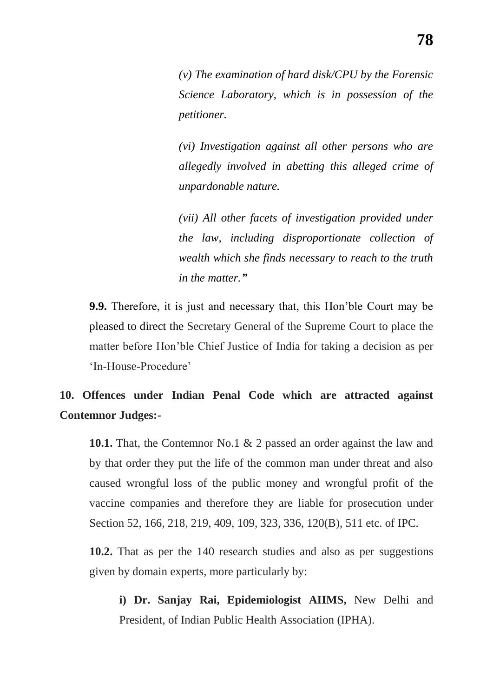*(v) The examination of hard disk/CPU by the Forensic Science Laboratory, which is in possession of the petitioner.*

*(vi) Investigation against all other persons who are allegedly involved in abetting this alleged crime of unpardonable nature.*

*(vii) All other facets of investigation provided under the law, including disproportionate collection of wealth which she finds necessary to reach to the truth in the matter.‖*

**9.9.** Therefore, it is just and necessary that, this Hon"ble Court may be pleased to direct the Secretary General of the Supreme Court to place the matter before Hon"ble Chief Justice of India for taking a decision as per 'In-House-Procedure'

## **10. Offences under Indian Penal Code which are attracted against Contemnor Judges:-**

**10.1.** That, the Contemnor No.1 & 2 passed an order against the law and by that order they put the life of the common man under threat and also caused wrongful loss of the public money and wrongful profit of the vaccine companies and therefore they are liable for prosecution under Section 52, 166, 218, 219, 409, 109, 323, 336, 120(B), 511 etc. of IPC.

**10.2.** That as per the 140 research studies and also as per suggestions given by domain experts, more particularly by:

**i) Dr. Sanjay Rai, Epidemiologist AIIMS,** New Delhi and President, of Indian Public Health Association (IPHA).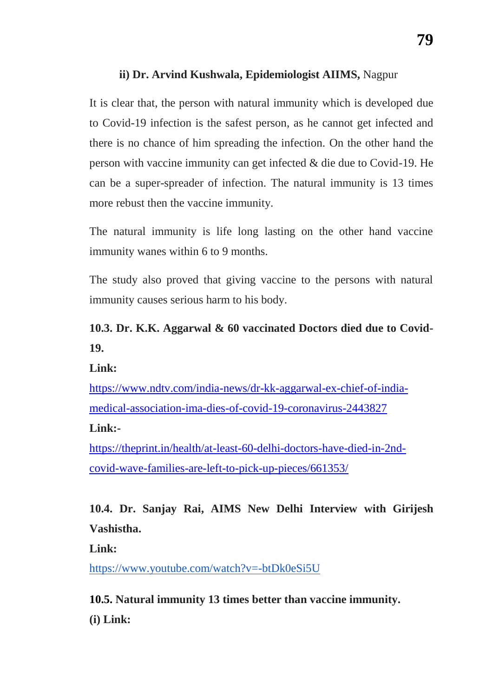## **ii) Dr. Arvind Kushwala, Epidemiologist AIIMS,** Nagpur

It is clear that, the person with natural immunity which is developed due to Covid-19 infection is the safest person, as he cannot get infected and there is no chance of him spreading the infection. On the other hand the person with vaccine immunity can get infected & die due to Covid-19. He can be a super-spreader of infection. The natural immunity is 13 times more rebust then the vaccine immunity.

The natural immunity is life long lasting on the other hand vaccine immunity wanes within 6 to 9 months.

The study also proved that giving vaccine to the persons with natural immunity causes serious harm to his body.

# **10.3. Dr. K.K. Aggarwal & 60 vaccinated Doctors died due to Covid-19.**

**Link:**

[https://www.ndtv.com/india-news/dr-kk-aggarwal-ex-chief-of-india](https://www.ndtv.com/india-news/dr-kk-aggarwal-ex-chief-of-india-medical-association-ima-dies-of-covid-19-coronavirus-2443827)[medical-association-ima-dies-of-covid-19-coronavirus-2443827](https://www.ndtv.com/india-news/dr-kk-aggarwal-ex-chief-of-india-medical-association-ima-dies-of-covid-19-coronavirus-2443827)

**Link:-**

[https://theprint.in/health/at-least-60-delhi-doctors-have-died-in-2nd](https://theprint.in/health/at-least-60-delhi-doctors-have-died-in-2nd-covid-wave-families-are-left-to-pick-up-pieces/661353/)[covid-wave-families-are-left-to-pick-up-pieces/661353/](https://theprint.in/health/at-least-60-delhi-doctors-have-died-in-2nd-covid-wave-families-are-left-to-pick-up-pieces/661353/)

**10.4. Dr. Sanjay Rai, AIMS New Delhi Interview with Girijesh Vashistha.**

**Link:** 

<https://www.youtube.com/watch?v=-btDk0eSi5U>

**10.5. Natural immunity 13 times better than vaccine immunity. (i) Link:**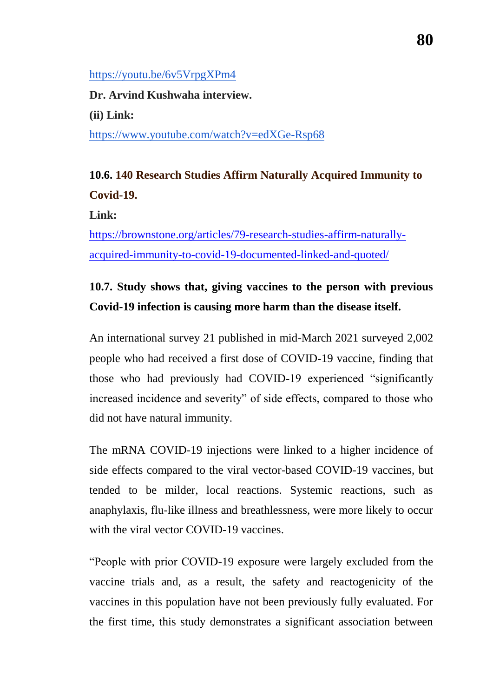## <https://youtu.be/6v5VrpgXPm4>

**Dr. Arvind Kushwaha interview. (ii) Link:**  <https://www.youtube.com/watch?v=edXGe-Rsp68>

# **10.6. 140 Research Studies Affirm Naturally Acquired Immunity to Covid-19.**

**Link:** 

[https://brownstone.org/articles/79-research-studies-affirm-naturally](https://brownstone.org/articles/79-research-studies-affirm-naturally-acquired-immunity-to-covid-19-documented-linked-and-quoted/)[acquired-immunity-to-covid-19-documented-linked-and-quoted/](https://brownstone.org/articles/79-research-studies-affirm-naturally-acquired-immunity-to-covid-19-documented-linked-and-quoted/)

# **10.7. Study shows that, giving vaccines to the person with previous Covid-19 infection is causing more harm than the disease itself.**

An international survey 21 published in mid-March 2021 surveyed 2,002 people who had received a first dose of COVID-19 vaccine, finding that those who had previously had COVID-19 experienced "significantly increased incidence and severity" of side effects, compared to those who did not have natural immunity.

The mRNA COVID-19 injections were linked to a higher incidence of side effects compared to the viral vector-based COVID-19 vaccines, but tended to be milder, local reactions. Systemic reactions, such as anaphylaxis, flu-like illness and breathlessness, were more likely to occur with the viral vector COVID-19 vaccines.

"People with prior COVID-19 exposure were largely excluded from the vaccine trials and, as a result, the safety and reactogenicity of the vaccines in this population have not been previously fully evaluated. For the first time, this study demonstrates a significant association between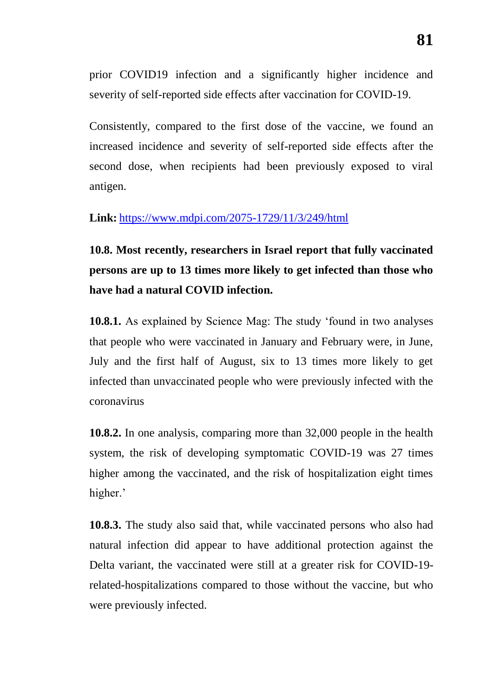prior COVID19 infection and a significantly higher incidence and severity of self-reported side effects after vaccination for COVID-19.

Consistently, compared to the first dose of the vaccine, we found an increased incidence and severity of self-reported side effects after the second dose, when recipients had been previously exposed to viral antigen.

## **Link:** <https://www.mdpi.com/2075-1729/11/3/249/html>

**10.8. Most recently, researchers in Israel report that fully vaccinated persons are up to 13 times more likely to get infected than those who have had a natural COVID infection.**

**10.8.1.** As explained by Science Mag: The study "found in two analyses that people who were vaccinated in January and February were, in June, July and the first half of August, six to 13 times more likely to get infected than unvaccinated people who were previously infected with the coronavirus

**10.8.2.** In one analysis, comparing more than 32,000 people in the health system, the risk of developing symptomatic COVID-19 was 27 times higher among the vaccinated, and the risk of hospitalization eight times higher.'

**10.8.3.** The study also said that, while vaccinated persons who also had natural infection did appear to have additional protection against the Delta variant, the vaccinated were still at a greater risk for COVID-19 related-hospitalizations compared to those without the vaccine, but who were previously infected.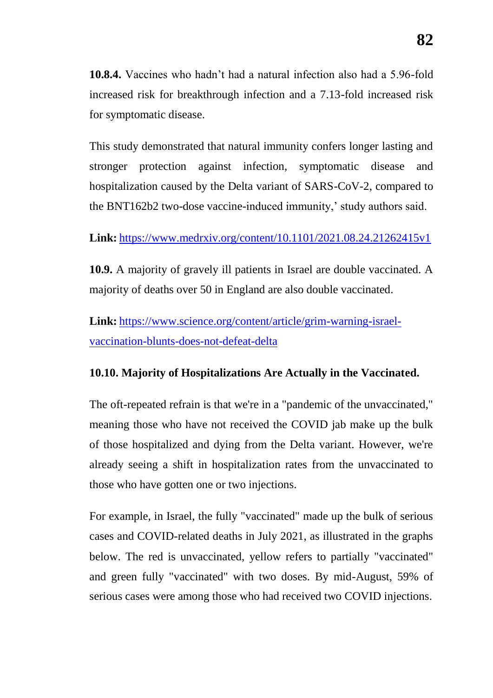**10.8.4.** Vaccines who hadn"t had a natural infection also had a 5.96-fold increased risk for breakthrough infection and a 7.13-fold increased risk for symptomatic disease.

This study demonstrated that natural immunity confers longer lasting and stronger protection against infection, symptomatic disease and hospitalization caused by the Delta variant of SARS-CoV-2, compared to the BNT162b2 two-dose vaccine-induced immunity,' study authors said.

**Link:** <https://www.medrxiv.org/content/10.1101/2021.08.24.21262415v1>

**10.9.** A majority of gravely ill patients in Israel are double vaccinated. A majority of deaths over 50 in England are also double vaccinated.

**Link:** [https://www.science.org/content/article/grim-warning-israel](https://www.science.org/content/article/grim-warning-israel-vaccination-blunts-does-not-defeat-delta)[vaccination-blunts-does-not-defeat-delta](https://www.science.org/content/article/grim-warning-israel-vaccination-blunts-does-not-defeat-delta)

## **10.10. Majority of Hospitalizations Are Actually in the Vaccinated.**

The oft-repeated refrain is that we're in a "pandemic of the unvaccinated," meaning those who have not received the COVID jab make up the bulk of those hospitalized and dying from the Delta variant. However, we're already seeing a shift in hospitalization rates from the unvaccinated to those who have gotten one or two injections.

For example, in Israel, the fully "vaccinated" made up the bulk of serious cases and COVID-related deaths in July 2021, as illustrated in the graphs below. The red is unvaccinated, yellow refers to partially "vaccinated" and green fully "vaccinated" with two doses. By mid-August, 59% of serious cases were among those who had received two COVID injections.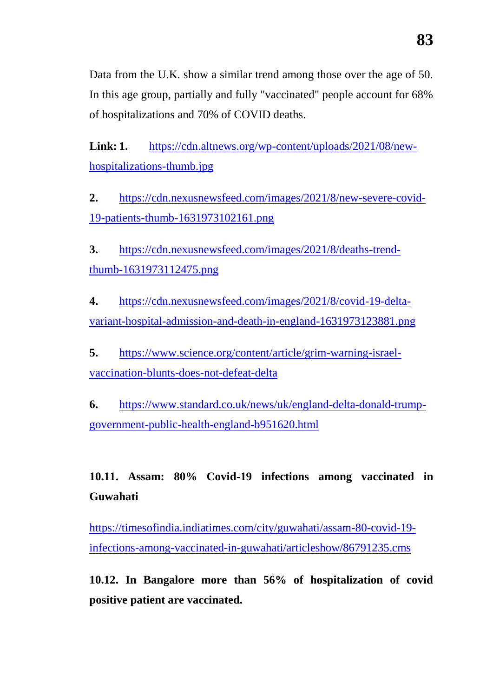Data from the U.K. show a similar trend among those over the age of 50. In this age group, partially and fully "vaccinated" people account for 68% of hospitalizations and 70% of COVID deaths.

**Link: 1.** [https://cdn.altnews.org/wp-content/uploads/2021/08/new](https://cdn.altnews.org/wp-content/uploads/2021/08/new-hospitalizations-thumb.jpg)[hospitalizations-thumb.jpg](https://cdn.altnews.org/wp-content/uploads/2021/08/new-hospitalizations-thumb.jpg)

**2.** [https://cdn.nexusnewsfeed.com/images/2021/8/new-severe-covid-](https://cdn.nexusnewsfeed.com/images/2021/8/new-severe-covid-19-patients-thumb-1631973102161.png)[19-patients-thumb-1631973102161.png](https://cdn.nexusnewsfeed.com/images/2021/8/new-severe-covid-19-patients-thumb-1631973102161.png)

**3.** [https://cdn.nexusnewsfeed.com/images/2021/8/deaths-trend](https://cdn.nexusnewsfeed.com/images/2021/8/deaths-trend-thumb-1631973112475.png)[thumb-1631973112475.png](https://cdn.nexusnewsfeed.com/images/2021/8/deaths-trend-thumb-1631973112475.png)

**4.** [https://cdn.nexusnewsfeed.com/images/2021/8/covid-19-delta](https://cdn.nexusnewsfeed.com/images/2021/8/covid-19-delta-variant-hospital-admission-and-death-in-england-1631973123881.png)[variant-hospital-admission-and-death-in-england-1631973123881.png](https://cdn.nexusnewsfeed.com/images/2021/8/covid-19-delta-variant-hospital-admission-and-death-in-england-1631973123881.png)

**5.** [https://www.science.org/content/article/grim-warning-israel](https://www.science.org/content/article/grim-warning-israel-vaccination-blunts-does-not-defeat-delta)[vaccination-blunts-does-not-defeat-delta](https://www.science.org/content/article/grim-warning-israel-vaccination-blunts-does-not-defeat-delta)

**6.** [https://www.standard.co.uk/news/uk/england-delta-donald-trump](https://www.standard.co.uk/news/uk/england-delta-donald-trump-government-public-health-england-b951620.html)[government-public-health-england-b951620.html](https://www.standard.co.uk/news/uk/england-delta-donald-trump-government-public-health-england-b951620.html)

**10.11. Assam: 80% Covid-19 infections among vaccinated in Guwahati**

[https://timesofindia.indiatimes.com/city/guwahati/assam-80-covid-19](https://timesofindia.indiatimes.com/city/guwahati/assam-80-covid-19-infections-among-vaccinated-in-guwahati/articleshow/86791235.cms) [infections-among-vaccinated-in-guwahati/articleshow/86791235.cms](https://timesofindia.indiatimes.com/city/guwahati/assam-80-covid-19-infections-among-vaccinated-in-guwahati/articleshow/86791235.cms)

**10.12. In Bangalore more than 56% of hospitalization of covid positive patient are vaccinated.**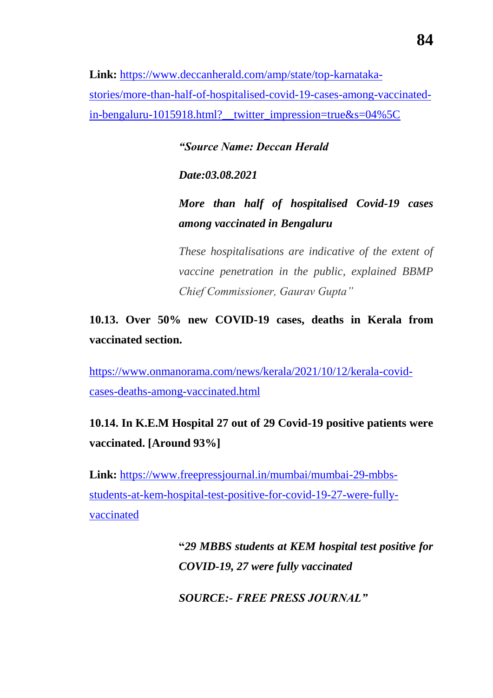**Link:** [https://www.deccanherald.com/amp/state/top-karnataka](https://www.blogger.com/blog/post/edit/709567615565430964/3408506099481922184)[stories/more-than-half-of-hospitalised-covid-19-cases-among-vaccinated](https://www.blogger.com/blog/post/edit/709567615565430964/3408506099481922184)[in-bengaluru-1015918.html?\\_\\_twitter\\_impression=true&s=04%5C](https://www.blogger.com/blog/post/edit/709567615565430964/3408506099481922184)

*―Source Name: Deccan Herald*

*Date:03.08.2021*

*More than half of hospitalised Covid-19 cases among vaccinated in Bengaluru*

*These hospitalisations are indicative of the extent of vaccine penetration in the public, explained BBMP Chief Commissioner, Gaurav Gupta*"

**10.13. Over 50% new COVID-19 cases, deaths in Kerala from vaccinated section.**

[https://www.onmanorama.com/news/kerala/2021/10/12/kerala-covid](https://www.onmanorama.com/news/kerala/2021/10/12/kerala-covid-cases-deaths-among-vaccinated.html)[cases-deaths-among-vaccinated.html](https://www.onmanorama.com/news/kerala/2021/10/12/kerala-covid-cases-deaths-among-vaccinated.html)

# **10.14. In K.E.M Hospital 27 out of 29 Covid-19 positive patients were vaccinated. [Around 93%]**

**Link:** [https://www.freepressjournal.in/mumbai/mumbai-29-mbbs](https://www.blogger.com/blog/post/edit/709567615565430964/3408506099481922184)[students-at-kem-hospital-test-positive-for-covid-19-27-were-fully](https://www.blogger.com/blog/post/edit/709567615565430964/3408506099481922184)[vaccinated](https://www.blogger.com/blog/post/edit/709567615565430964/3408506099481922184)

> **"***29 MBBS students at KEM hospital test positive for COVID-19, 27 were fully vaccinated*

*SOURCE:- FREE PRESS JOURNAL‖*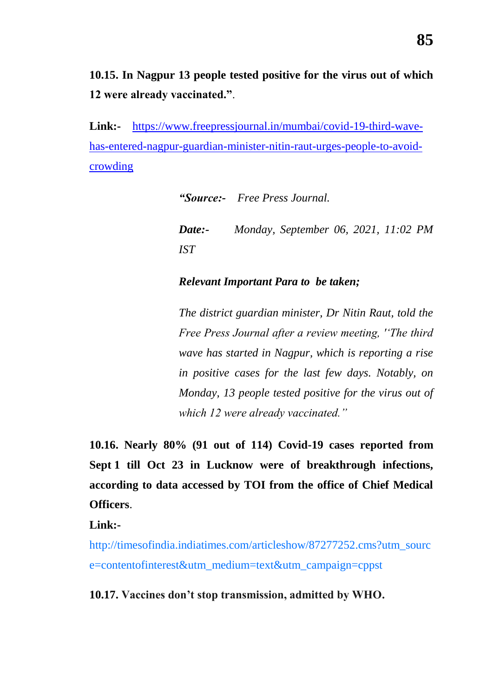**10.15. In Nagpur 13 people tested positive for the virus out of which 12 were already vaccinated."**.

**Link:-** [https://www.freepressjournal.in/mumbai/covid-19-third-wave](https://www.blogger.com/blog/post/edit/709567615565430964/8861471820033596248)[has-entered-nagpur-guardian-minister-nitin-raut-urges-people-to-avoid](https://www.blogger.com/blog/post/edit/709567615565430964/8861471820033596248)[crowding](https://www.blogger.com/blog/post/edit/709567615565430964/8861471820033596248)

*―Source:- Free Press Journal.*

|     | <b>Date:</b> Monday, September 06, 2021, 11:02 PM |  |  |
|-----|---------------------------------------------------|--|--|
| IST |                                                   |  |  |

## *Relevant Important Para to be taken;*

*The district guardian minister, Dr Nitin Raut, told the Free Press Journal after a review meeting, '‗The third wave has started in Nagpur, which is reporting a rise in positive cases for the last few days. Notably, on Monday, 13 people tested positive for the virus out of which 12 were already vaccinated.‖*

**10.16. Nearly 80% (91 out of 114) Covid-19 cases reported from Sept 1 till Oct 23 in Lucknow were of breakthrough infections, according to data accessed by TOI from the office of Chief Medical Officers**.

**Link:-**

[http://timesofindia.indiatimes.com/articleshow/87277252.cms?utm\\_sourc](http://timesofindia.indiatimes.com/articleshow/87277252.cms?utm_source=contentofinterest&utm_medium=text&utm_campaign=cppst) [e=contentofinterest&utm\\_medium=text&utm\\_campaign=cppst](http://timesofindia.indiatimes.com/articleshow/87277252.cms?utm_source=contentofinterest&utm_medium=text&utm_campaign=cppst)

**10.17. Vaccines don"t stop transmission, admitted by WHO.**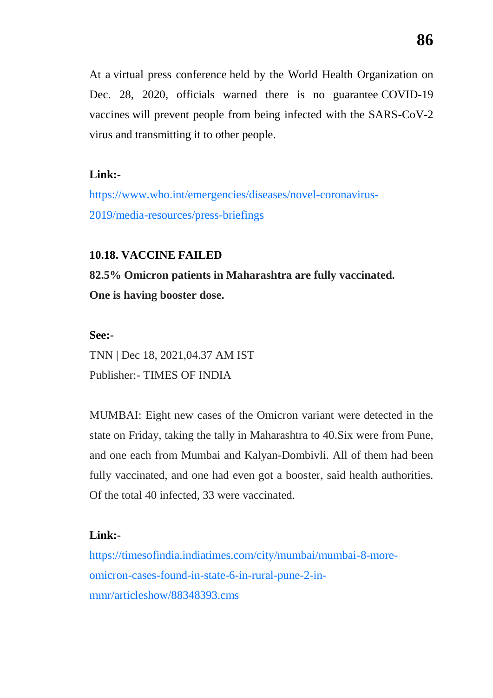At a [virtual press conference](https://www.who.int/emergencies/diseases/novel-coronavirus-2019/media-resources/press-briefings) held by the World Health Organization on Dec. 28, 2020, officials warned there is no guarantee [COVID-19](https://childrenshealthdefense.org/defender_category/covid/)  [vaccines](https://childrenshealthdefense.org/defender_category/covid/) will prevent people from being infected with the SARS-CoV-2 virus and transmitting it to other people.

## **Link:-**

[https://www.who.int/emergencies/diseases/novel-coronavirus-](https://www.who.int/emergencies/diseases/novel-coronavirus-2019/media-resources/press-briefings)[2019/media-resources/press-briefings](https://www.who.int/emergencies/diseases/novel-coronavirus-2019/media-resources/press-briefings)

## **10.18. VACCINE FAILED**

**82.5% Omicron patients in Maharashtra are fully vaccinated. One is having booster dose.**

## **See:-**

TNN | Dec 18, 2021,04.37 AM IST Publisher:- TIMES OF INDIA

MUMBAI: Eight new cases of the Omicron variant were detected in the state on Friday, taking the tally in Maharashtra to 40.Six were from Pune, and one each from Mumbai and Kalyan-Dombivli. All of them had been fully vaccinated, and one had even got a booster, said health authorities. Of the total 40 infected, 33 were vaccinated.

## **Link:-**

https://timesofindia.indiatimes.com/city/mumbai/mumbai-8-moreomicron-cases-found-in-state-6-in-rural-pune-2-inmmr/articleshow/88348393.cms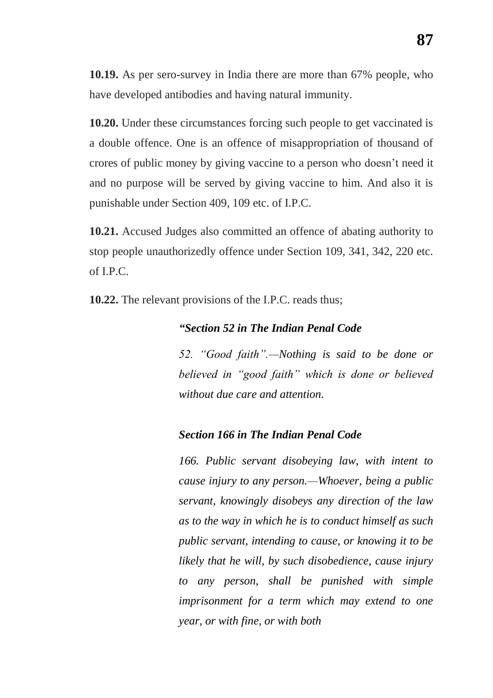**10.19.** As per sero-survey in India there are more than 67% people, who have developed antibodies and having natural immunity.

**10.20.** Under these circumstances forcing such people to get vaccinated is a double offence. One is an offence of misappropriation of thousand of crores of public money by giving vaccine to a person who doesn"t need it and no purpose will be served by giving vaccine to him. And also it is punishable under Section 409, 109 etc. of I.P.C.

**10.21.** Accused Judges also committed an offence of abating authority to stop people unauthorizedly offence under Section 109, 341, 342, 220 etc. of I.P.C.

**10.22.** The relevant provisions of the I.P.C. reads thus;

## *―Section 52 in The Indian Penal Code*

52. "Good faith".—Nothing is said to be done or *believed in ―good faith‖ which is done or believed without due care and attention.*

### *Section 166 in The Indian Penal Code*

*166. Public servant disobeying law, with intent to cause injury to any person.—Whoever, being a public servant, knowingly disobeys any direction of the law as to the way in which he is to conduct himself as such public servant, intending to cause, or knowing it to be likely that he will, by such disobedience, cause injury to any person, shall be punished with simple imprisonment for a term which may extend to one year, or with fine, or with both*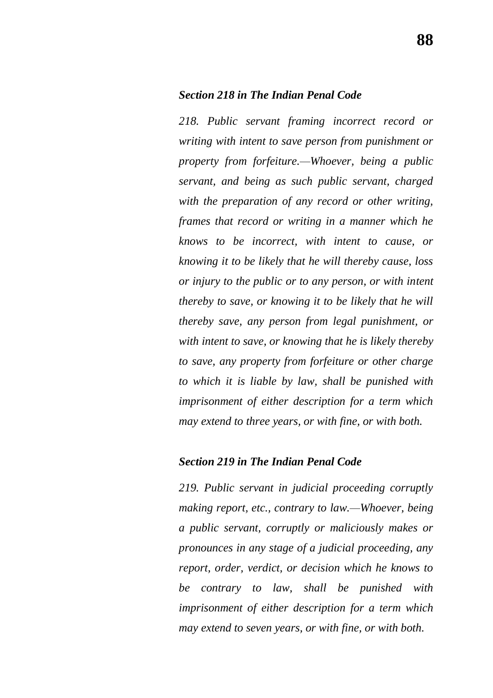#### *Section 218 in The Indian Penal Code*

*218. Public servant framing incorrect record or writing with intent to save person from punishment or property from forfeiture.—Whoever, being a public servant, and being as such public servant, charged with the preparation of any record or other writing, frames that record or writing in a manner which he knows to be incorrect, with intent to cause, or knowing it to be likely that he will thereby cause, loss or injury to the public or to any person, or with intent thereby to save, or knowing it to be likely that he will thereby save, any person from legal punishment, or with intent to save, or knowing that he is likely thereby to save, any property from forfeiture or other charge to which it is liable by law, shall be punished with imprisonment of either description for a term which may extend to three years, or with fine, or with both.*

### *Section 219 in The Indian Penal Code*

*219. Public servant in judicial proceeding corruptly making report, etc., contrary to law.—Whoever, being a public servant, corruptly or maliciously makes or pronounces in any stage of a judicial proceeding, any report, order, verdict, or decision which he knows to be contrary to law, shall be punished with imprisonment of either description for a term which may extend to seven years, or with fine, or with both.*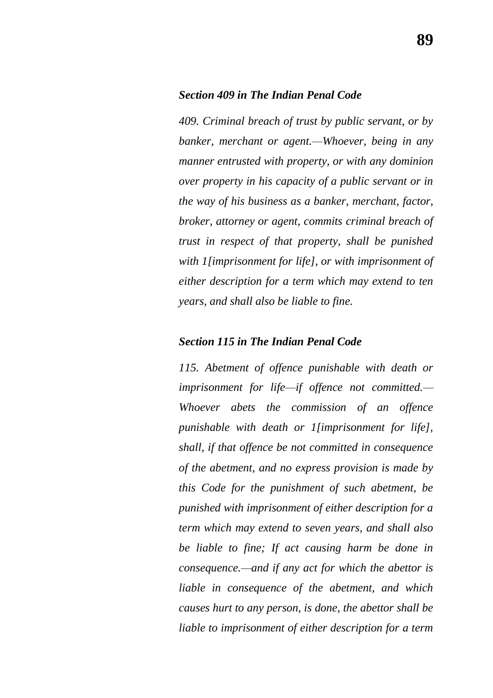#### *Section 409 in The Indian Penal Code*

*409. Criminal breach of trust by public servant, or by banker, merchant or agent.—Whoever, being in any manner entrusted with property, or with any dominion over property in his capacity of a public servant or in the way of his business as a banker, merchant, factor, broker, attorney or agent, commits criminal breach of trust in respect of that property, shall be punished with 1[imprisonment for life], or with imprisonment of either description for a term which may extend to ten years, and shall also be liable to fine.*

#### *Section 115 in The Indian Penal Code*

*115. Abetment of offence punishable with death or imprisonment for life—if offence not committed.— Whoever abets the commission of an offence punishable with death or 1[imprisonment for life], shall, if that offence be not committed in consequence of the abetment, and no express provision is made by this Code for the punishment of such abetment, be punished with imprisonment of either description for a term which may extend to seven years, and shall also be liable to fine; If act causing harm be done in consequence.—and if any act for which the abettor is liable in consequence of the abetment, and which causes hurt to any person, is done, the abettor shall be liable to imprisonment of either description for a term*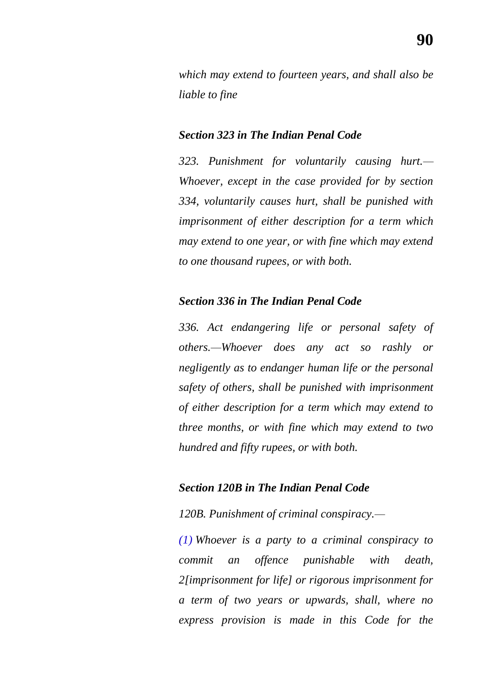*which may extend to fourteen years, and shall also be liable to fine*

## *Section 323 in The Indian Penal Code*

*323. Punishment for voluntarily causing hurt.— Whoever, except in the case provided for by section 334, voluntarily causes hurt, shall be punished with imprisonment of either description for a term which may extend to one year, or with fine which may extend to one thousand rupees, or with both.*

### *Section 336 in The Indian Penal Code*

*336. Act endangering life or personal safety of others.—Whoever does any act so rashly or negligently as to endanger human life or the personal safety of others, shall be punished with imprisonment of either description for a term which may extend to three months, or with fine which may extend to two hundred and fifty rupees, or with both.*

### *Section 120B in The Indian Penal Code*

*120B. Punishment of criminal conspiracy.—*

*[\(1\)](https://indiankanoon.org/doc/81396/) Whoever is a party to a criminal conspiracy to commit an offence punishable with death, 2[imprisonment for life] or rigorous imprisonment for a term of two years or upwards, shall, where no express provision is made in this Code for the*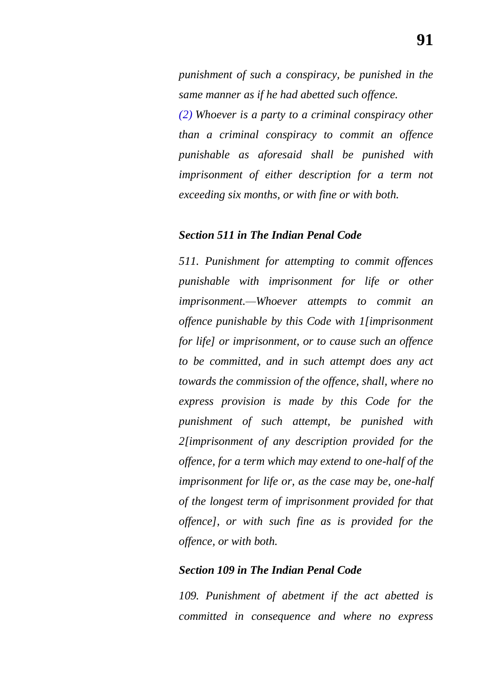*punishment of such a conspiracy, be punished in the same manner as if he had abetted such offence.*

*[\(2\)](https://indiankanoon.org/doc/822448/) Whoever is a party to a criminal conspiracy other than a criminal conspiracy to commit an offence punishable as aforesaid shall be punished with imprisonment of either description for a term not exceeding six months, or with fine or with both.*

#### *Section 511 in The Indian Penal Code*

*511. Punishment for attempting to commit offences punishable with imprisonment for life or other imprisonment.—Whoever attempts to commit an offence punishable by this Code with 1[imprisonment for life] or imprisonment, or to cause such an offence to be committed, and in such attempt does any act towards the commission of the offence, shall, where no express provision is made by this Code for the punishment of such attempt, be punished with 2[imprisonment of any description provided for the offence, for a term which may extend to one-half of the imprisonment for life or, as the case may be, one-half of the longest term of imprisonment provided for that offence], or with such fine as is provided for the offence, or with both.*

#### *Section 109 in The Indian Penal Code*

*109. Punishment of abetment if the act abetted is committed in consequence and where no express*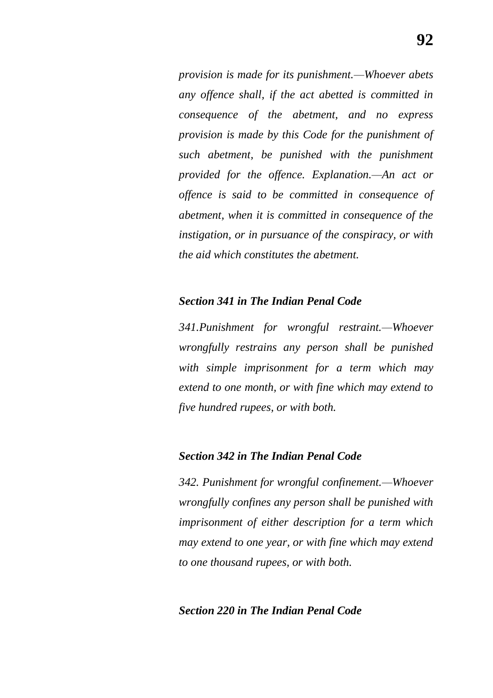*provision is made for its punishment.—Whoever abets any offence shall, if the act abetted is committed in consequence of the abetment, and no express provision is made by this Code for the punishment of such abetment, be punished with the punishment provided for the offence. Explanation.—An act or offence is said to be committed in consequence of abetment, when it is committed in consequence of the instigation, or in pursuance of the conspiracy, or with the aid which constitutes the abetment.*

### *Section 341 in The Indian Penal Code*

*341.Punishment for wrongful restraint.—Whoever wrongfully restrains any person shall be punished with simple imprisonment for a term which may extend to one month, or with fine which may extend to five hundred rupees, or with both.*

#### *Section 342 in The Indian Penal Code*

*342. Punishment for wrongful confinement.—Whoever wrongfully confines any person shall be punished with imprisonment of either description for a term which may extend to one year, or with fine which may extend to one thousand rupees, or with both.*

### *Section 220 in The Indian Penal Code*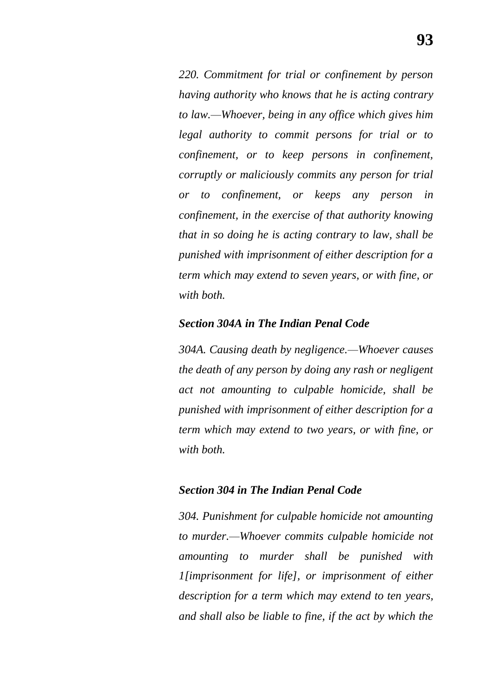*220. Commitment for trial or confinement by person having authority who knows that he is acting contrary to law.—Whoever, being in any office which gives him legal authority to commit persons for trial or to confinement, or to keep persons in confinement, corruptly or maliciously commits any person for trial or to confinement, or keeps any person in confinement, in the exercise of that authority knowing that in so doing he is acting contrary to law, shall be punished with imprisonment of either description for a term which may extend to seven years, or with fine, or with both.*

#### *Section 304A in The Indian Penal Code*

*304A. Causing death by negligence.—Whoever causes the death of any person by doing any rash or negligent act not amounting to culpable homicide, shall be punished with imprisonment of either description for a term which may extend to two years, or with fine, or with both.*

#### *Section 304 in The Indian Penal Code*

*304. Punishment for culpable homicide not amounting to murder.—Whoever commits culpable homicide not amounting to murder shall be punished with 1[imprisonment for life], or imprisonment of either description for a term which may extend to ten years, and shall also be liable to fine, if the act by which the*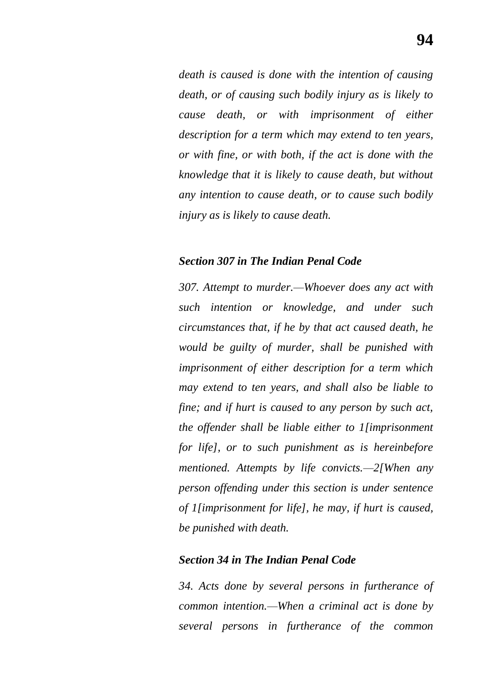*death is caused is done with the intention of causing death, or of causing such bodily injury as is likely to cause death, or with imprisonment of either description for a term which may extend to ten years, or with fine, or with both, if the act is done with the knowledge that it is likely to cause death, but without any intention to cause death, or to cause such bodily injury as is likely to cause death.*

#### *Section 307 in The Indian Penal Code*

*307. Attempt to murder.—Whoever does any act with such intention or knowledge, and under such circumstances that, if he by that act caused death, he would be guilty of murder, shall be punished with imprisonment of either description for a term which may extend to ten years, and shall also be liable to fine; and if hurt is caused to any person by such act, the offender shall be liable either to 1[imprisonment for life], or to such punishment as is hereinbefore mentioned. Attempts by life convicts.—2[When any person offending under this section is under sentence of 1[imprisonment for life], he may, if hurt is caused, be punished with death.*

#### *Section 34 in The Indian Penal Code*

*34. Acts done by several persons in furtherance of common intention.—When a criminal act is done by several persons in furtherance of the common*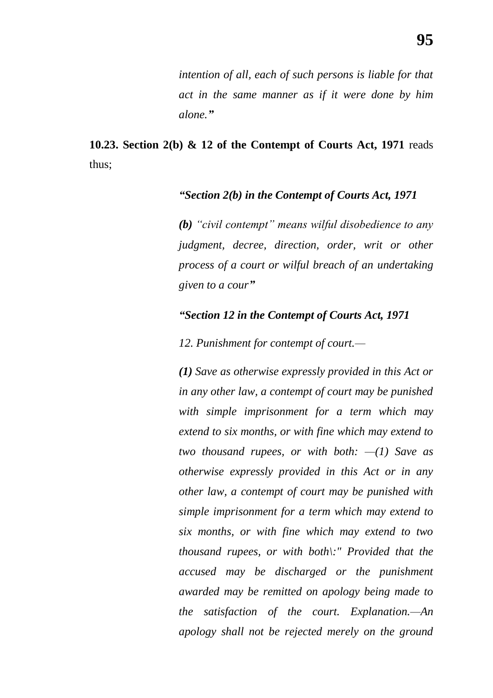**10.23. Section 2(b) & 12 of the Contempt of Courts Act, 1971** reads thus;

## *―Section 2(b) in the Contempt of Courts Act, 1971*

*(b)* "civil contempt" means wilful disobedience to any *judgment, decree, direction, order, writ or other process of a court or wilful breach of an undertaking given to a cour‖*

## *―Section 12 in the Contempt of Courts Act, 1971*

*12. Punishment for contempt of court.—*

*[\(1\)](https://indiankanoon.org/doc/1242058/) Save as otherwise expressly provided in this Act or in any other law, a contempt of court may be punished with simple imprisonment for a term which may extend to six months, or with fine which may extend to two thousand rupees, or with both: —(1) Save as otherwise expressly provided in this Act or in any other law, a contempt of court may be punished with simple imprisonment for a term which may extend to six months, or with fine which may extend to two thousand rupees, or with both\:" Provided that the accused may be discharged or the punishment awarded may be remitted on apology being made to the satisfaction of the court. Explanation.—An apology shall not be rejected merely on the ground*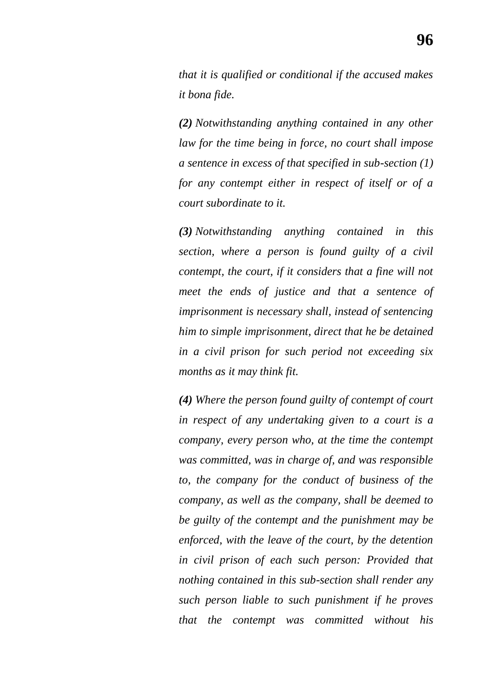*that it is qualified or conditional if the accused makes it bona fide.*

*[\(2\)](https://indiankanoon.org/doc/105671/) Notwithstanding anything contained in any other law for the time being in force, no court shall impose a sentence in excess of that specified in sub-section (1) for any contempt either in respect of itself or of a court subordinate to it.*

*[\(3\)](https://indiankanoon.org/doc/750917/) Notwithstanding anything contained in this section, where a person is found guilty of a civil contempt, the court, if it considers that a fine will not meet the ends of justice and that a sentence of imprisonment is necessary shall, instead of sentencing him to simple imprisonment, direct that he be detained in a civil prison for such period not exceeding six months as it may think fit.*

*[\(4\)](https://indiankanoon.org/doc/672442/) Where the person found guilty of contempt of court in respect of any undertaking given to a court is a company, every person who, at the time the contempt was committed, was in charge of, and was responsible to, the company for the conduct of business of the company, as well as the company, shall be deemed to be guilty of the contempt and the punishment may be enforced, with the leave of the court, by the detention in civil prison of each such person: Provided that nothing contained in this sub-section shall render any such person liable to such punishment if he proves that the contempt was committed without his*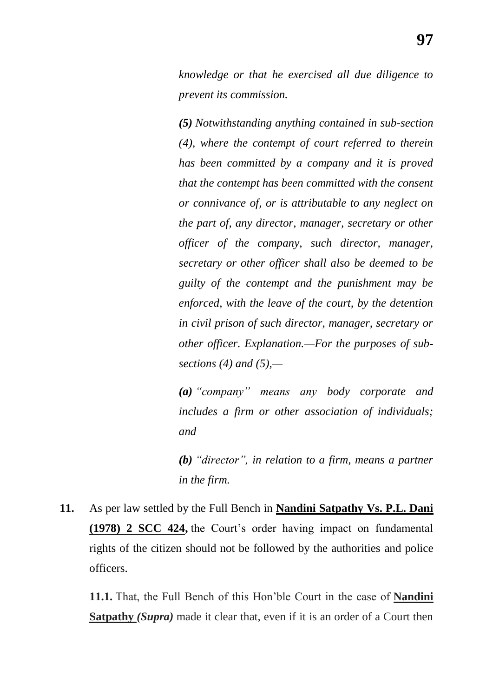*knowledge or that he exercised all due diligence to prevent its commission.*

*[\(5\)](https://indiankanoon.org/doc/1275367/) Notwithstanding anything contained in sub-section (4), where the contempt of court referred to therein has been committed by a company and it is proved that the contempt has been committed with the consent or connivance of, or is attributable to any neglect on the part of, any director, manager, secretary or other officer of the company, such director, manager, secretary or other officer shall also be deemed to be guilty of the contempt and the punishment may be enforced, with the leave of the court, by the detention in civil prison of such director, manager, secretary or other officer. Explanation.—For the purposes of subsections (4) and (5),—*

*[\(a\)](https://indiankanoon.org/doc/312540/) ―company‖ means any body corporate and includes a firm or other association of individuals; and*

*[\(b\)](https://indiankanoon.org/doc/288937/)* "director", in relation to a firm, means a partner *in the firm.*

**11.** As per law settled by the Full Bench in **Nandini Satpathy Vs. P.L. Dani (1978) 2 SCC 424,** the Court"s order having impact on fundamental rights of the citizen should not be followed by the authorities and police officers.

**11.1.** That, the Full Bench of this Hon"ble Court in the case of **Nandini Satpathy** *(Supra)* made it clear that, even if it is an order of a Court then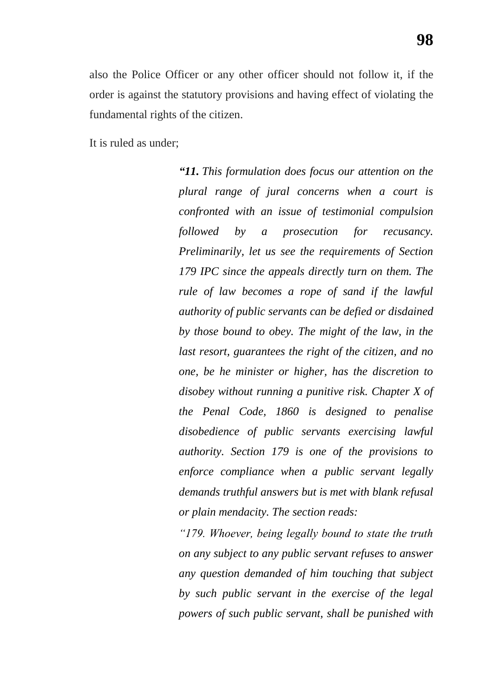also the Police Officer or any other officer should not follow it, if the order is against the statutory provisions and having effect of violating the fundamental rights of the citizen.

It is ruled as under;

*―11. This formulation does focus our attention on the plural range of jural concerns when a court is confronted with an issue of testimonial compulsion followed by a prosecution for recusancy. Preliminarily, let us see the requirements of Section 179 IPC since the appeals directly turn on them. The rule of law becomes a rope of sand if the lawful authority of public servants can be defied or disdained by those bound to obey. The might of the law, in the last resort, guarantees the right of the citizen, and no one, be he minister or higher, has the discretion to disobey without running a punitive risk. Chapter X of the Penal Code, 1860 is designed to penalise disobedience of public servants exercising lawful authority. Section 179 is one of the provisions to enforce compliance when a public servant legally demands truthful answers but is met with blank refusal or plain mendacity. The section reads:*

*―179. Whoever, being legally bound to state the truth on any subject to any public servant refuses to answer any question demanded of him touching that subject by such public servant in the exercise of the legal powers of such public servant, shall be punished with*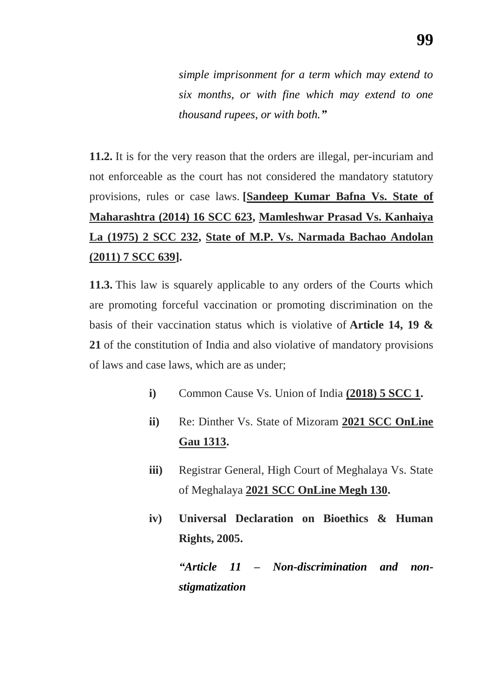*simple imprisonment for a term which may extend to six months, or with fine which may extend to one thousand rupees, or with both.‖*

**11.2.** It is for the very reason that the orders are illegal, per-incuriam and not enforceable as the court has not considered the mandatory statutory provisions, rules or case laws. **[Sandeep Kumar Bafna Vs. State of Maharashtra (2014) 16 SCC 623, Mamleshwar Prasad Vs. Kanhaiya La (1975) 2 SCC 232, State of M.P. Vs. Narmada Bachao Andolan (2011) 7 SCC 639].**

**11.3.** This law is squarely applicable to any orders of the Courts which are promoting forceful vaccination or promoting discrimination on the basis of their vaccination status which is violative of **Article 14, 19 & 21** of the constitution of India and also violative of mandatory provisions of laws and case laws, which are as under;

- **i)** Common Cause Vs. Union of India **(2018) 5 SCC 1.**
- **ii)** Re: Dinther Vs. State of Mizoram **2021 SCC OnLine Gau 1313.**
- **iii)** Registrar General, High Court of Meghalaya Vs. State of Meghalaya **2021 SCC OnLine Megh 130.**
- **iv) Universal Declaration on Bioethics & Human Rights, 2005.**

*―Article 11 – Non-discrimination and nonstigmatization*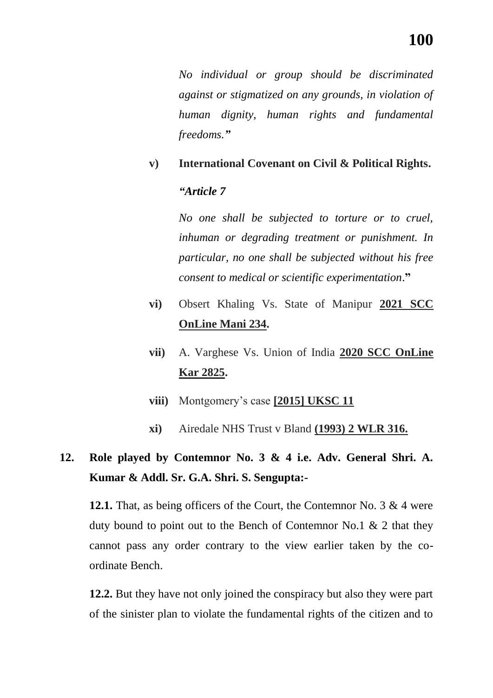*No individual or group should be discriminated against or stigmatized on any grounds, in violation of human dignity, human rights and fundamental freedoms.‖*

## **v) International Covenant on Civil & Political Rights.**

## *―Article 7*

*No one shall be subjected to torture or to cruel, inhuman or degrading treatment or punishment. In particular, no one shall be subjected without his free consent to medical or scientific experimentation*.**"**

- **vi)** Obsert Khaling Vs. State of Manipur **2021 SCC OnLine Mani 234.**
- **vii)** A. Varghese Vs. Union of India **2020 SCC OnLine Kar 2825.**
- **viii)** Montgomery"s case **[2015] UKSC 11**
- **xi)** Airedale NHS Trust v Bland **(1993) 2 WLR 316.**

# **12. Role played by Contemnor No. 3 & 4 i.e. Adv. General Shri. A. Kumar & Addl. Sr. G.A. Shri. S. Sengupta:-**

**12.1.** That, as being officers of the Court, the Contemnor No. 3 & 4 were duty bound to point out to the Bench of Contemnor No.1 & 2 that they cannot pass any order contrary to the view earlier taken by the coordinate Bench.

**12.2.** But they have not only joined the conspiracy but also they were part of the sinister plan to violate the fundamental rights of the citizen and to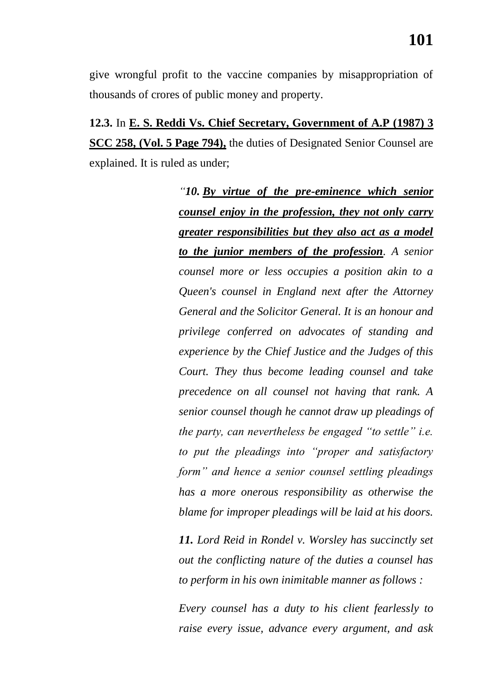give wrongful profit to the vaccine companies by misappropriation of thousands of crores of public money and property.

**12.3.** In **E. S. Reddi Vs. Chief Secretary, Government of A.P (1987) 3 SCC 258, (Vol. 5 Page 794),** the duties of Designated Senior Counsel are explained. It is ruled as under;

> *―10. By virtue of the pre-eminence which senior counsel enjoy in the profession, they not only carry greater responsibilities but they also act as a model to the junior members of the profession. A senior counsel more or less occupies a position akin to a Queen's counsel in England next after the Attorney General and the Solicitor General. It is an honour and privilege conferred on advocates of standing and experience by the Chief Justice and the Judges of this Court. They thus become leading counsel and take precedence on all counsel not having that rank. A senior counsel though he cannot draw up pleadings of the party, can nevertheless be engaged "to settle" i.e. to put the pleadings into "proper and satisfactory form‖ and hence a senior counsel settling pleadings has a more onerous responsibility as otherwise the blame for improper pleadings will be laid at his doors.*

> *11. Lord Reid in Rondel v. Worsley has succinctly set out the conflicting nature of the duties a counsel has to perform in his own inimitable manner as follows :*

> *Every counsel has a duty to his client fearlessly to raise every issue, advance every argument, and ask*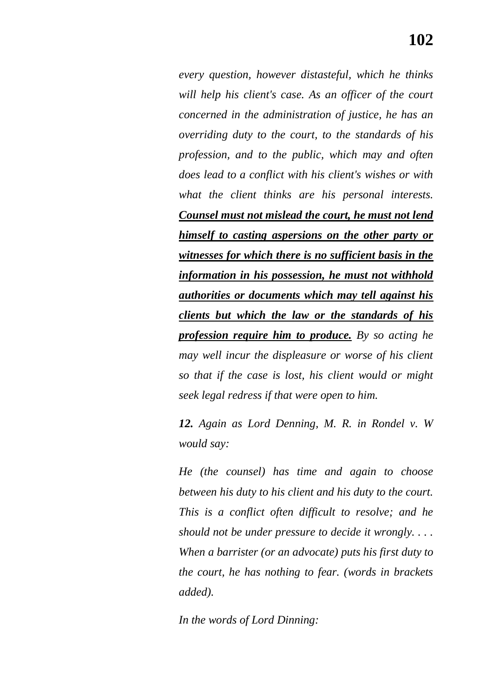*every question, however distasteful, which he thinks will help his client's case. As an officer of the court concerned in the administration of justice, he has an overriding duty to the court, to the standards of his profession, and to the public, which may and often does lead to a conflict with his client's wishes or with what the client thinks are his personal interests. Counsel must not mislead the court, he must not lend himself to casting aspersions on the other party or witnesses for which there is no sufficient basis in the information in his possession, he must not withhold authorities or documents which may tell against his clients but which the law or the standards of his profession require him to produce. By so acting he may well incur the displeasure or worse of his client so that if the case is lost, his client would or might seek legal redress if that were open to him.*

*12. Again as Lord Denning, M. R. in Rondel v. W would say:*

*He (the counsel) has time and again to choose between his duty to his client and his duty to the court. This is a conflict often difficult to resolve; and he should not be under pressure to decide it wrongly. . . . When a barrister (or an advocate) puts his first duty to the court, he has nothing to fear. (words in brackets added).*

*In the words of Lord Dinning:*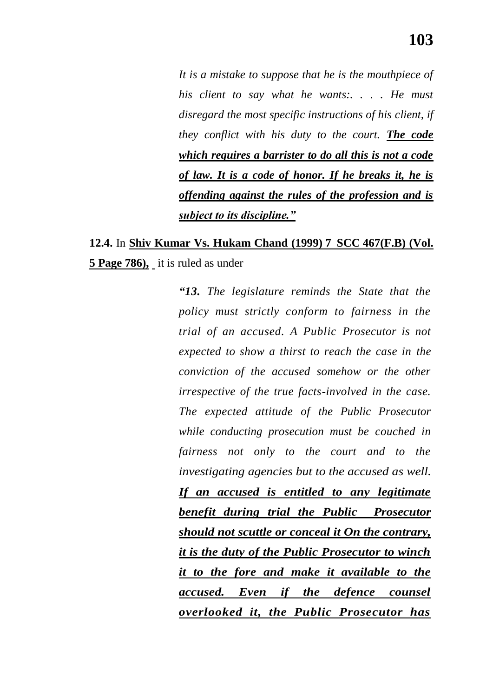*It is a mistake to suppose that he is the mouthpiece of his client to say what he wants:. . . . He must disregard the most specific instructions of his client, if they conflict with his duty to the court. The code which requires a barrister to do all this is not a code of law. It is a code of honor. If he breaks it, he is offending against the rules of the profession and is subject to its discipline.‖*

## **12.4.** In **Shiv Kumar Vs. Hukam Chand (1999) 7 SCC 467(F.B) (Vol. 5 Page 786),** it is ruled as under

*―13. The legislature reminds the State that the policy must strictly conform to fairness in the trial of an accused. A Public Prosecutor is not expected to show a thirst to reach the case in the conviction of the accused somehow or the other irrespective of the true facts-involved in the case. The expected attitude of the Public Prosecutor while conducting prosecution must be couched in fairness not only to the court and to the investigating agencies but to the accused as well. If an accused is entitled to any legitimate benefit during trial the Public Prosecutor should not scuttle or conceal it On the contrary, it is the duty of the Public Prosecutor to winch it to the fore and make it available to the accused. Even if the defence counsel overlooked it, the Public Prosecutor has*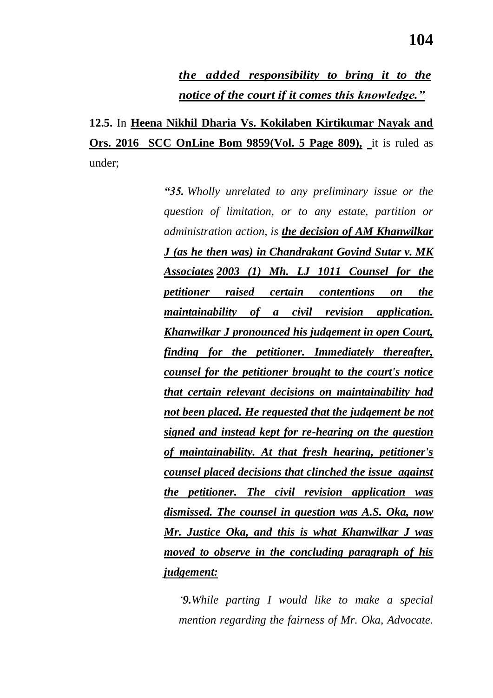**12.5.** In **Heena Nikhil Dharia Vs. Kokilaben Kirtikumar Nayak and Ors. 2016 SCC OnLine Bom 9859(Vol. 5 Page 809),** it is ruled as under;

> *―35. Wholly unrelated to any preliminary issue or the question of limitation, or to any estate, partition or administration action, is the decision of AM Khanwilkar J (as he then was) in Chandrakant Govind Sutar v. MK Associates 2003 (1) Mh. LJ 1011 Counsel for the petitioner raised certain contentions on the maintainability of a civil revision application. Khanwilkar J pronounced his judgement in open Court, finding for the petitioner. Immediately thereafter, counsel for the petitioner brought to the court's notice that certain relevant decisions on maintainability had not been placed. He requested that the judgement be not signed and instead kept for re-hearing on the question of maintainability. At that fresh hearing, petitioner's counsel placed decisions that clinched the issue against the petitioner. The civil revision application was dismissed. The counsel in question was A.S. Oka, now Mr. Justice Oka, and this is what Khanwilkar J was moved to observe in the concluding paragraph of his judgement:*

*‗9.While parting I would like to make a special mention regarding the fairness of Mr. Oka, Advocate.*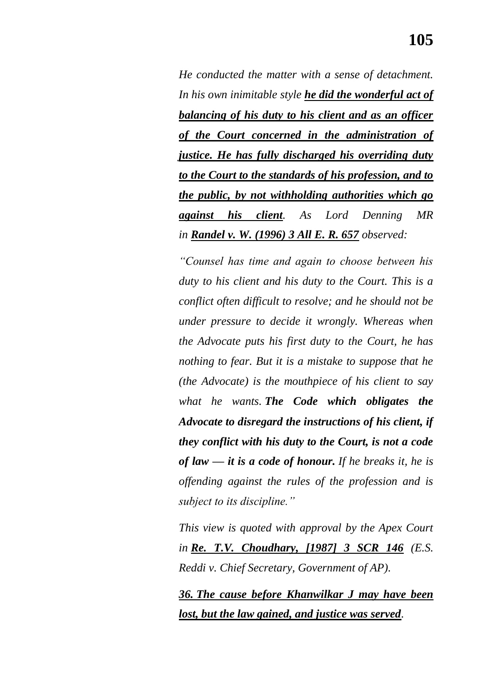*He conducted the matter with a sense of detachment. In his own inimitable style he did the wonderful act of balancing of his duty to his client and as an officer of the Court concerned in the administration of justice. He has fully discharged his overriding duty to the Court to the standards of his profession, and to the public, by not withholding authorities which go against his client. As Lord Denning MR in Randel v. W. (1996) 3 All E. R. 657 observed:*

*―Counsel has time and again to choose between his duty to his client and his duty to the Court. This is a conflict often difficult to resolve; and he should not be under pressure to decide it wrongly. Whereas when the Advocate puts his first duty to the Court, he has nothing to fear. But it is a mistake to suppose that he (the Advocate) is the mouthpiece of his client to say what he wants. The Code which obligates the Advocate to disregard the instructions of his client, if they conflict with his duty to the Court, is not a code of law — it is a code of honour. If he breaks it, he is offending against the rules of the profession and is subject to its discipline.‖*

*This view is quoted with approval by the Apex Court in Re. T.V. Choudhary, [1987] 3 SCR 146 (E.S. Reddi v. Chief Secretary, Government of AP).*

*36. The cause before Khanwilkar J may have been lost, but the law gained, and justice was served.*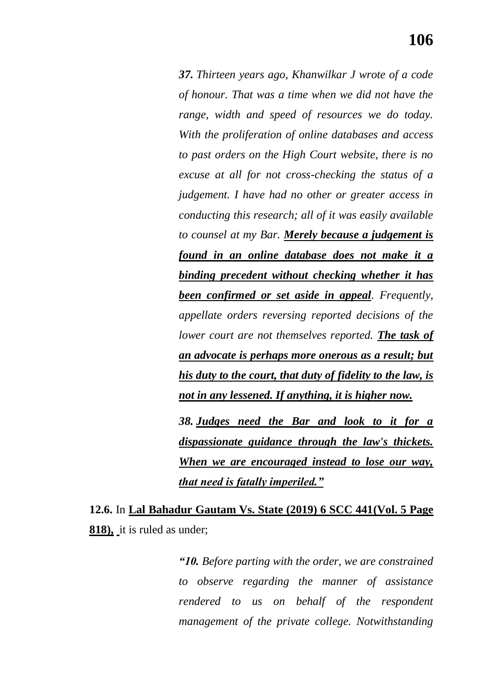*37. Thirteen years ago, Khanwilkar J wrote of a code of honour. That was a time when we did not have the range, width and speed of resources we do today. With the proliferation of online databases and access to past orders on the High Court website, there is no excuse at all for not cross-checking the status of a judgement. I have had no other or greater access in conducting this research; all of it was easily available to counsel at my Bar. Merely because a judgement is found in an online database does not make it a binding precedent without checking whether it has been confirmed or set aside in appeal. Frequently, appellate orders reversing reported decisions of the lower court are not themselves reported. The task of an advocate is perhaps more onerous as a result; but his duty to the court, that duty of fidelity to the law, is not in any lessened. If anything, it is higher now.*

*38. Judges need the Bar and look to it for a dispassionate guidance through the law's thickets. When we are encouraged instead to lose our way, that need is fatally imperiled.‖*

**12.6.** In **Lal Bahadur Gautam Vs. State (2019) 6 SCC 441(Vol. 5 Page 818),** it is ruled as under;

> *―10. Before parting with the order, we are constrained to observe regarding the manner of assistance rendered to us on behalf of the respondent management of the private college. Notwithstanding*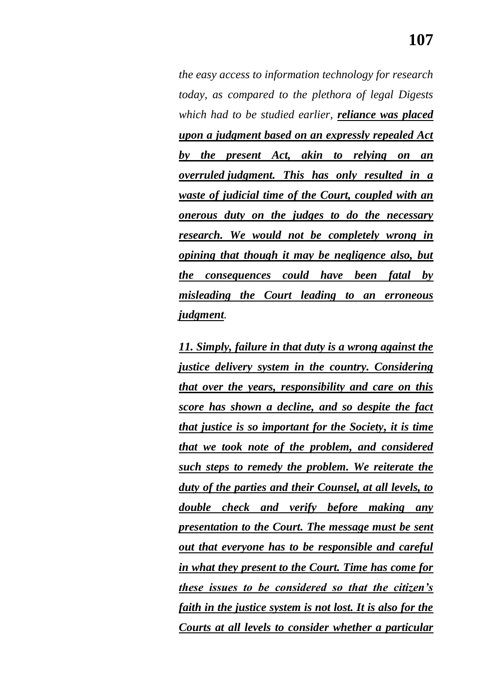*the easy access to information technology for research today, as compared to the plethora of legal Digests which had to be studied earlier, reliance was placed upon a judgment based on an expressly repealed Act by the present Act, akin to relying on an overruled judgment. This has only resulted in a waste of judicial time of the Court, coupled with an onerous duty on the judges to do the necessary research. We would not be completely wrong in opining that though it may be negligence also, but the consequences could have been fatal by misleading the Court leading to an erroneous judgment.*

*11. Simply, failure in that duty is a wrong against the justice delivery system in the country. Considering that over the years, responsibility and care on this score has shown a decline, and so despite the fact that justice is so important for the Society, it is time that we took note of the problem, and considered such steps to remedy the problem. We reiterate the duty of the parties and their Counsel, at all levels, to double check and verify before making any presentation to the Court. The message must be sent out that everyone has to be responsible and careful in what they present to the Court. Time has come for these issues to be considered so that the citizen's faith in the justice system is not lost. It is also for the Courts at all levels to consider whether a particular*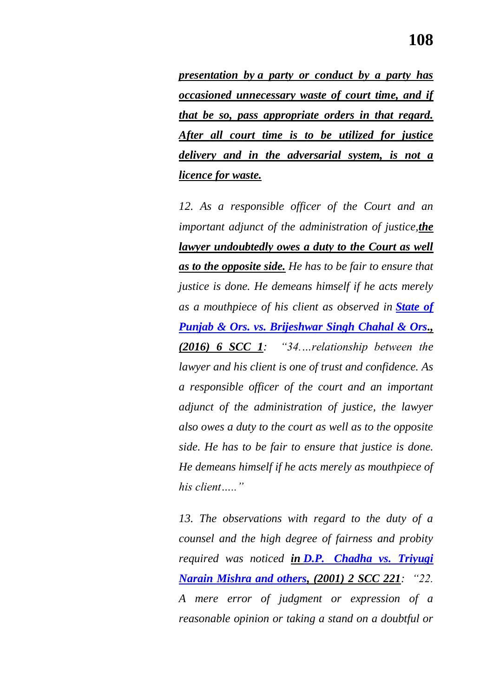*presentation by a party or conduct by a party has occasioned unnecessary waste of court time, and if that be so, pass appropriate orders in that regard. After all court time is to be utilized for justice delivery and in the adversarial system, is not a licence for waste.*

*12. As a responsible officer of the Court and an important adjunct of the administration of justice,the lawyer undoubtedly owes a duty to the Court as well as to the opposite side. He has to be fair to ensure that justice is done. He demeans himself if he acts merely as a mouthpiece of his client as observed in [State of](https://indiankanoon.org/doc/21025575/)  [Punjab & Ors. vs. Brijeshwar Singh Chahal & Ors.](https://indiankanoon.org/doc/21025575/), (2016) 6 SCC 1: ―34.…relationship between the lawyer and his client is one of trust and confidence. As a responsible officer of the court and an important adjunct of the administration of justice, the lawyer also owes a duty to the court as well as to the opposite side. He has to be fair to ensure that justice is done. He demeans himself if he acts merely as mouthpiece of his client…..‖*

*13. The observations with regard to the duty of a counsel and the high degree of fairness and probity required was noticed in D.P. [Chadha vs. Triyugi](https://indiankanoon.org/doc/1195716/)  [Narain Mishra and others,](https://indiankanoon.org/doc/1195716/)* (2001) 2 SCC 221: "22. *A mere error of judgment or expression of a reasonable opinion or taking a stand on a doubtful or*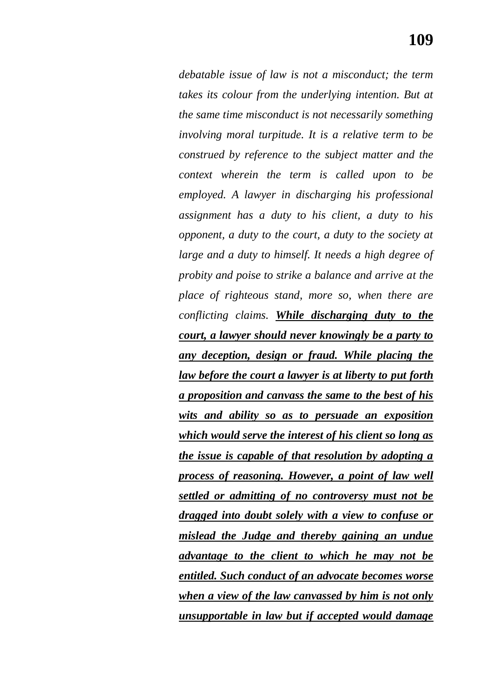*debatable issue of law is not a misconduct; the term takes its colour from the underlying intention. But at the same time misconduct is not necessarily something involving moral turpitude. It is a relative term to be construed by reference to the subject matter and the context wherein the term is called upon to be employed. A lawyer in discharging his professional assignment has a duty to his client, a duty to his opponent, a duty to the court, a duty to the society at large and a duty to himself. It needs a high degree of probity and poise to strike a balance and arrive at the place of righteous stand, more so, when there are conflicting claims. While discharging duty to the court, a lawyer should never knowingly be a party to any deception, design or fraud. While placing the law before the court a lawyer is at liberty to put forth a proposition and canvass the same to the best of his wits and ability so as to persuade an exposition which would serve the interest of his client so long as the issue is capable of that resolution by adopting a process of reasoning. However, a point of law well settled or admitting of no controversy must not be dragged into doubt solely with a view to confuse or mislead the Judge and thereby gaining an undue advantage to the client to which he may not be entitled. Such conduct of an advocate becomes worse when a view of the law canvassed by him is not only unsupportable in law but if accepted would damage*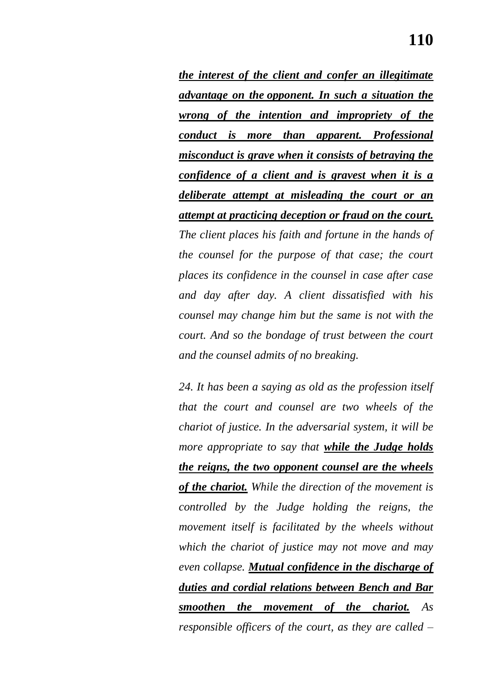*the interest of the client and confer an illegitimate advantage on the opponent. In such a situation the wrong of the intention and impropriety of the conduct is more than apparent. Professional misconduct is grave when it consists of betraying the confidence of a client and is gravest when it is a deliberate attempt at misleading the court or an attempt at practicing deception or fraud on the court. The client places his faith and fortune in the hands of the counsel for the purpose of that case; the court places its confidence in the counsel in case after case and day after day. A client dissatisfied with his counsel may change him but the same is not with the court. And so the bondage of trust between the court and the counsel admits of no breaking.*

*24. It has been a saying as old as the profession itself that the court and counsel are two wheels of the chariot of justice. In the adversarial system, it will be more appropriate to say that while the Judge holds the reigns, the two opponent counsel are the wheels of the chariot. While the direction of the movement is controlled by the Judge holding the reigns, the movement itself is facilitated by the wheels without which the chariot of justice may not move and may even collapse. Mutual confidence in the discharge of duties and cordial relations between Bench and Bar smoothen the movement of the chariot. As responsible officers of the court, as they are called –*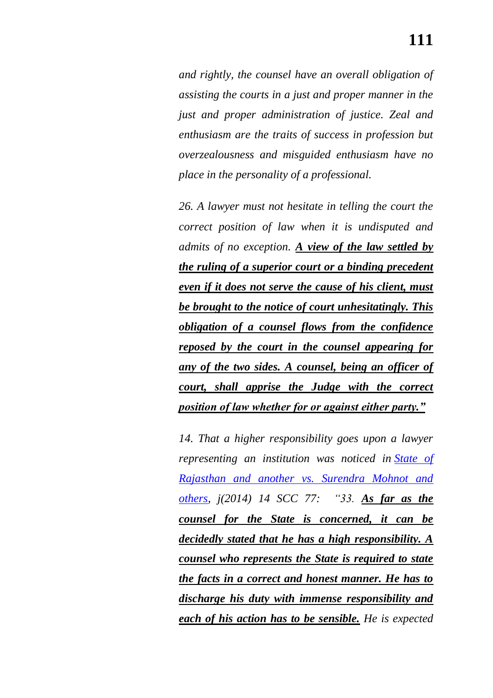*and rightly, the counsel have an overall obligation of assisting the courts in a just and proper manner in the just and proper administration of justice. Zeal and enthusiasm are the traits of success in profession but overzealousness and misguided enthusiasm have no place in the personality of a professional.*

*26. A lawyer must not hesitate in telling the court the correct position of law when it is undisputed and admits of no exception. A view of the law settled by the ruling of a superior court or a binding precedent even if it does not serve the cause of his client, must be brought to the notice of court unhesitatingly. This obligation of a counsel flows from the confidence reposed by the court in the counsel appearing for any of the two sides. A counsel, being an officer of court, shall apprise the Judge with the correct position of law whether for or against either party.‖*

*14. That a higher responsibility goes upon a lawyer representing an institution was noticed in [State of](https://indiankanoon.org/doc/103414929/)  [Rajasthan and another vs. Surendra Mohnot and](https://indiankanoon.org/doc/103414929/)  [others,](https://indiankanoon.org/doc/103414929/) j(2014) 14 SCC 77: ―33. As far as the counsel for the State is concerned, it can be decidedly stated that he has a high responsibility. A counsel who represents the State is required to state the facts in a correct and honest manner. He has to discharge his duty with immense responsibility and each of his action has to be sensible. He is expected*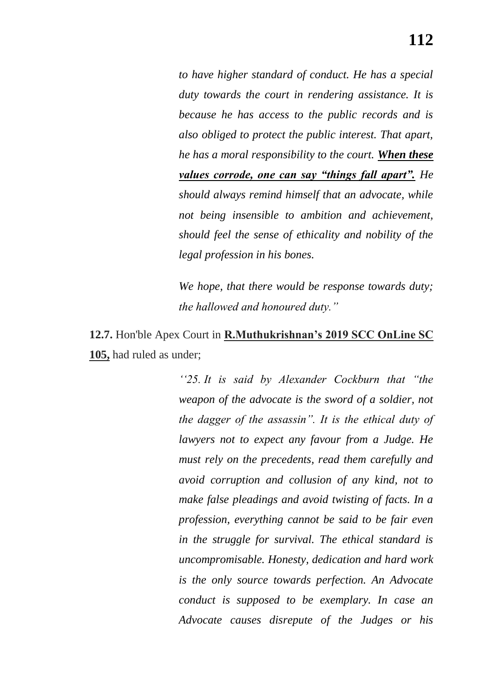*to have higher standard of conduct. He has a special duty towards the court in rendering assistance. It is because he has access to the public records and is also obliged to protect the public interest. That apart, he has a moral responsibility to the court. When these values corrode, one can say "things fall apart". He should always remind himself that an advocate, while not being insensible to ambition and achievement, should feel the sense of ethicality and nobility of the legal profession in his bones.*

*We hope, that there would be response towards duty; the hallowed and honoured duty.*"

**12.7.** Hon'ble Apex Court in **R.Muthukrishnan"s 2019 SCC OnLine SC 105,** had ruled as under;

> *‗‗25. It is said by Alexander Cockburn that ―the weapon of the advocate is the sword of a soldier, not the dagger of the assassin‖. It is the ethical duty of lawyers not to expect any favour from a Judge. He must rely on the precedents, read them carefully and avoid corruption and collusion of any kind, not to make false pleadings and avoid twisting of facts. In a profession, everything cannot be said to be fair even in the struggle for survival. The ethical standard is uncompromisable. Honesty, dedication and hard work is the only source towards perfection. An Advocate conduct is supposed to be exemplary. In case an Advocate causes disrepute of the Judges or his*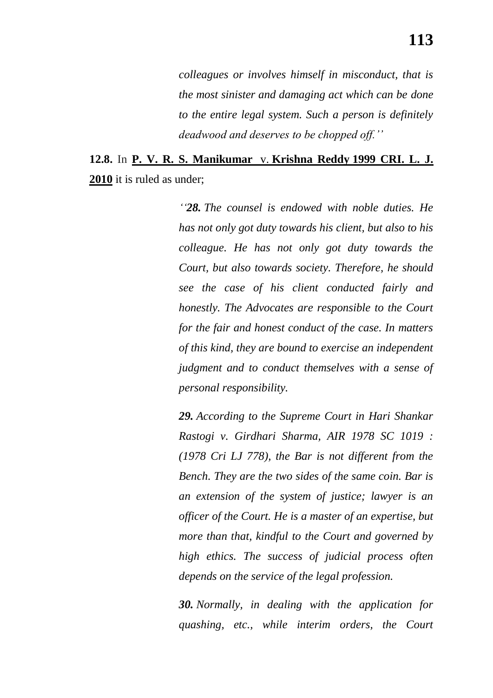*colleagues or involves himself in misconduct, that is the most sinister and damaging act which can be done to the entire legal system. Such a person is definitely deadwood and deserves to be chopped off.''*

## **12.8.** In **P. V. R. S. Manikumar** v. **Krishna Reddy 1999 CRI. L. J. 2010** it is ruled as under;

*‗‗28. The counsel is endowed with noble duties. He has not only got duty towards his client, but also to his colleague. He has not only got duty towards the Court, but also towards society. Therefore, he should see the case of his client conducted fairly and honestly. The Advocates are responsible to the Court for the fair and honest conduct of the case. In matters of this kind, they are bound to exercise an independent judgment and to conduct themselves with a sense of personal responsibility.*

*29. According to the Supreme Court in Hari Shankar Rastogi v. Girdhari Sharma, AIR 1978 SC 1019 : (1978 Cri LJ 778), the Bar is not different from the Bench. They are the two sides of the same coin. Bar is an extension of the system of justice; lawyer is an officer of the Court. He is a master of an expertise, but more than that, kindful to the Court and governed by high ethics. The success of judicial process often depends on the service of the legal profession.*

*30. Normally, in dealing with the application for quashing, etc., while interim orders, the Court*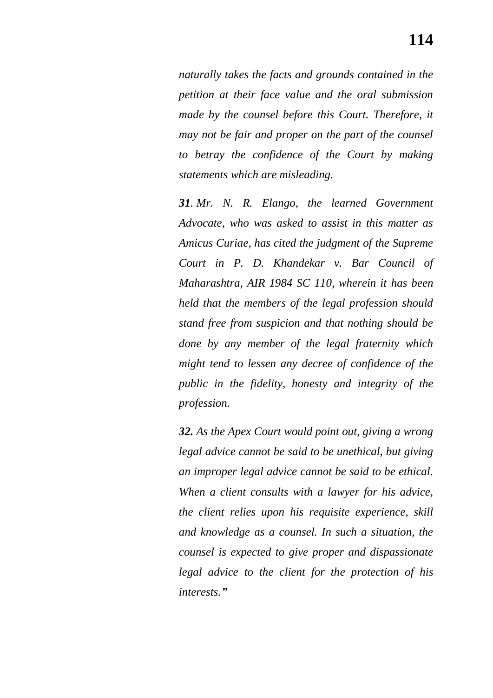*naturally takes the facts and grounds contained in the petition at their face value and the oral submission made by the counsel before this Court. Therefore, it may not be fair and proper on the part of the counsel to betray the confidence of the Court by making statements which are misleading.*

*31. Mr. N. R. Elango, the learned Government Advocate, who was asked to assist in this matter as Amicus Curiae, has cited the judgment of the Supreme Court in P. D. Khandekar v. Bar Council of Maharashtra, AIR 1984 SC 110, wherein it has been held that the members of the legal profession should stand free from suspicion and that nothing should be done by any member of the legal fraternity which might tend to lessen any decree of confidence of the public in the fidelity, honesty and integrity of the profession.*

*32. As the Apex Court would point out, giving a wrong legal advice cannot be said to be unethical, but giving an improper legal advice cannot be said to be ethical. When a client consults with a lawyer for his advice, the client relies upon his requisite experience, skill and knowledge as a counsel. In such a situation, the counsel is expected to give proper and dispassionate legal advice to the client for the protection of his interests.‖*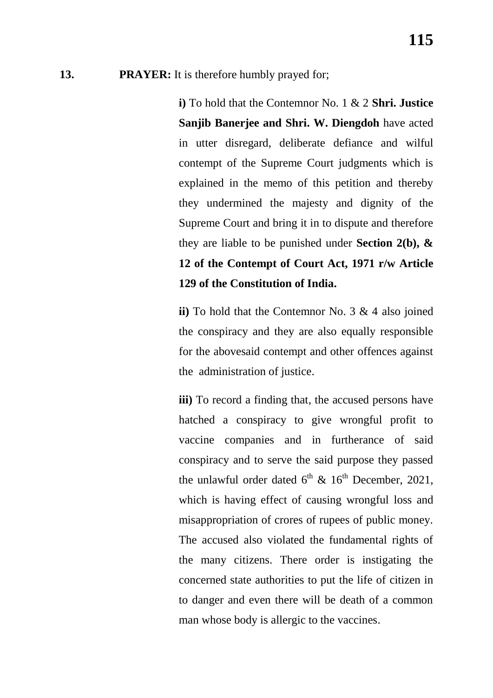## **13. PRAYER:** It is therefore humbly prayed for;

**i)** To hold that the Contemnor No. 1 & 2 **Shri. Justice Sanjib Banerjee and Shri. W. Diengdoh** have acted in utter disregard, deliberate defiance and wilful contempt of the Supreme Court judgments which is explained in the memo of this petition and thereby they undermined the majesty and dignity of the Supreme Court and bring it in to dispute and therefore they are liable to be punished under **Section 2(b), & 12 of the Contempt of Court Act, 1971 r/w Article 129 of the Constitution of India.**

**ii)** To hold that the Contemnor No. 3 & 4 also joined the conspiracy and they are also equally responsible for the abovesaid contempt and other offences against the administration of justice.

iii) To record a finding that, the accused persons have hatched a conspiracy to give wrongful profit to vaccine companies and in furtherance of said conspiracy and to serve the said purpose they passed the unlawful order dated  $6^{th}$  &  $16^{th}$  December, 2021, which is having effect of causing wrongful loss and misappropriation of crores of rupees of public money. The accused also violated the fundamental rights of the many citizens. There order is instigating the concerned state authorities to put the life of citizen in to danger and even there will be death of a common man whose body is allergic to the vaccines.